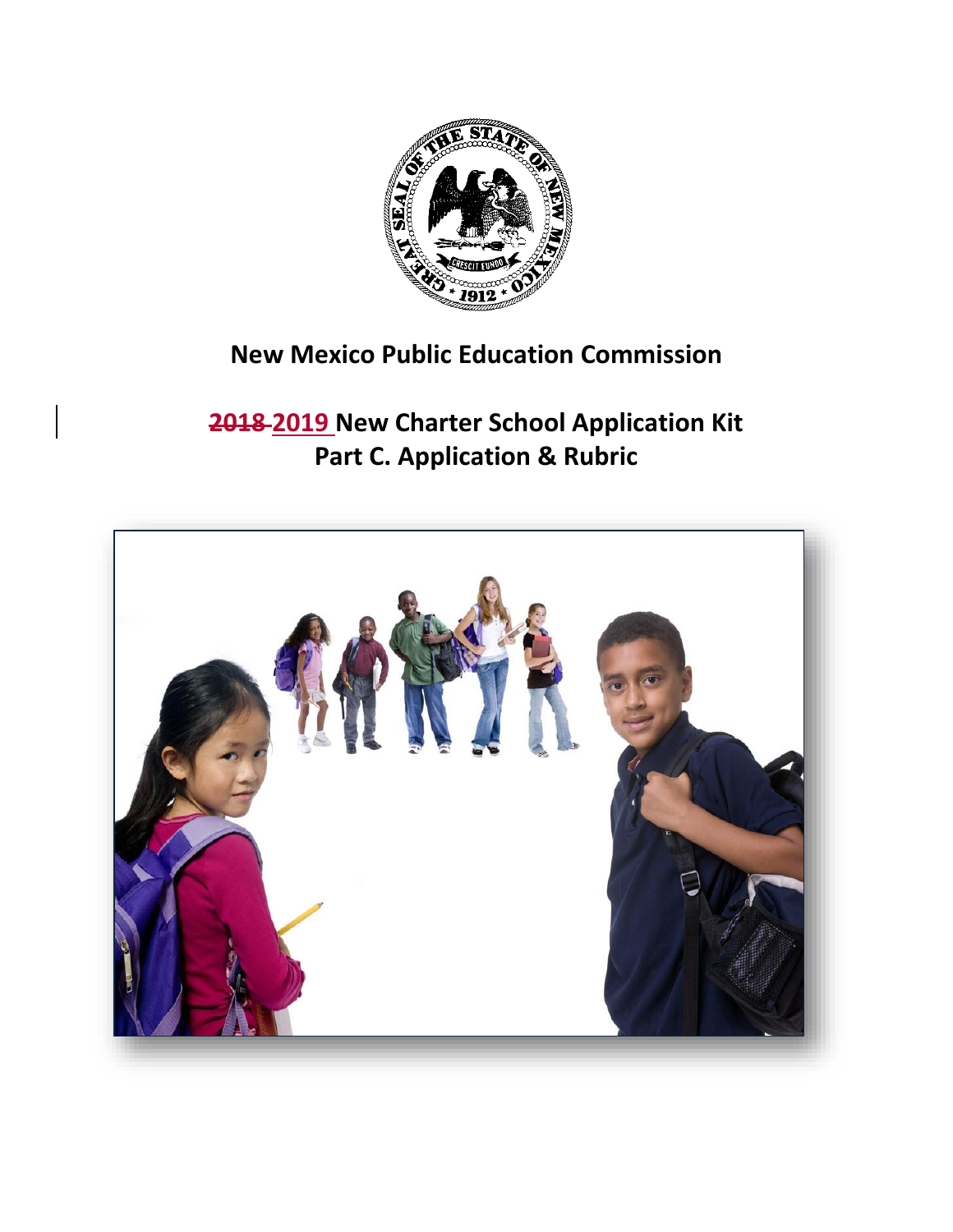

# **New Mexico Public Education Commission**

# **2018 2019 New Charter School Application Kit Part C. Application & Rubric**

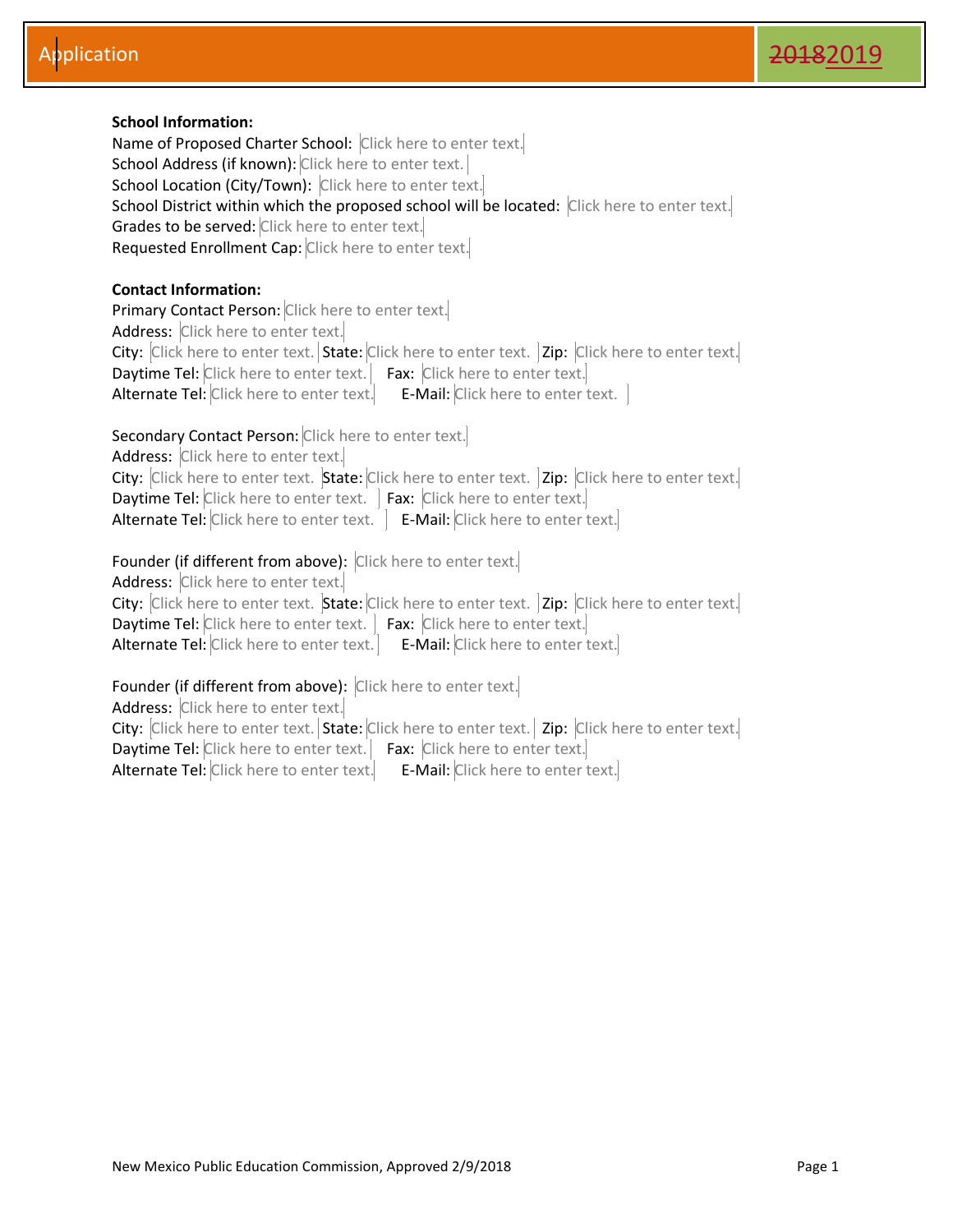#### **School Information:**

Name of Proposed Charter School: Click here to enter text. School Address (if known): Click here to enter text. School Location (City/Town): Click here to enter text. School District within which the proposed school will be located: Click here to enter text. Grades to be served: Click here to enter text. Requested Enrollment Cap: Click here to enter text.

#### **Contact Information:**

Primary Contact Person: Click here to enter text. Address: Click here to enter text. City: Click here to enter text. State: Click here to enter text. | Zip: Click here to enter text.| Daytime Tel: Click here to enter text. Fax: Click here to enter text. Alternate Tel: Click here to enter text. E-Mail: Click here to enter text.

#### Secondary Contact Person: Click here to enter text.

Address: Click here to enter text.

City: Click here to enter text. State: Click here to enter text. | Zip: Click here to enter text.| Daytime Tel: Click here to enter text. | Fax: Click here to enter text. Alternate Tel: Click here to enter text.  $\left| \right|$  E-Mail: Click here to enter text.

#### Founder (if different from above): Click here to enter text.

Address: Click here to enter text. City: Click here to enter text. State: Click here to enter text. | Zip: Click here to enter text.| Daytime Tel: Click here to enter text. | Fax: Click here to enter text. Alternate Tel: Click here to enter text. | E-Mail: Click here to enter text.

#### Founder (if different from above): Click here to enter text.

Address: Click here to enter text. City: Click here to enter text. State: Click here to enter text. | Zip: Click here to enter text. Daytime Tel: Click here to enter text. Fax: Click here to enter text. Alternate Tel: Click here to enter text. E-Mail: Click here to enter text.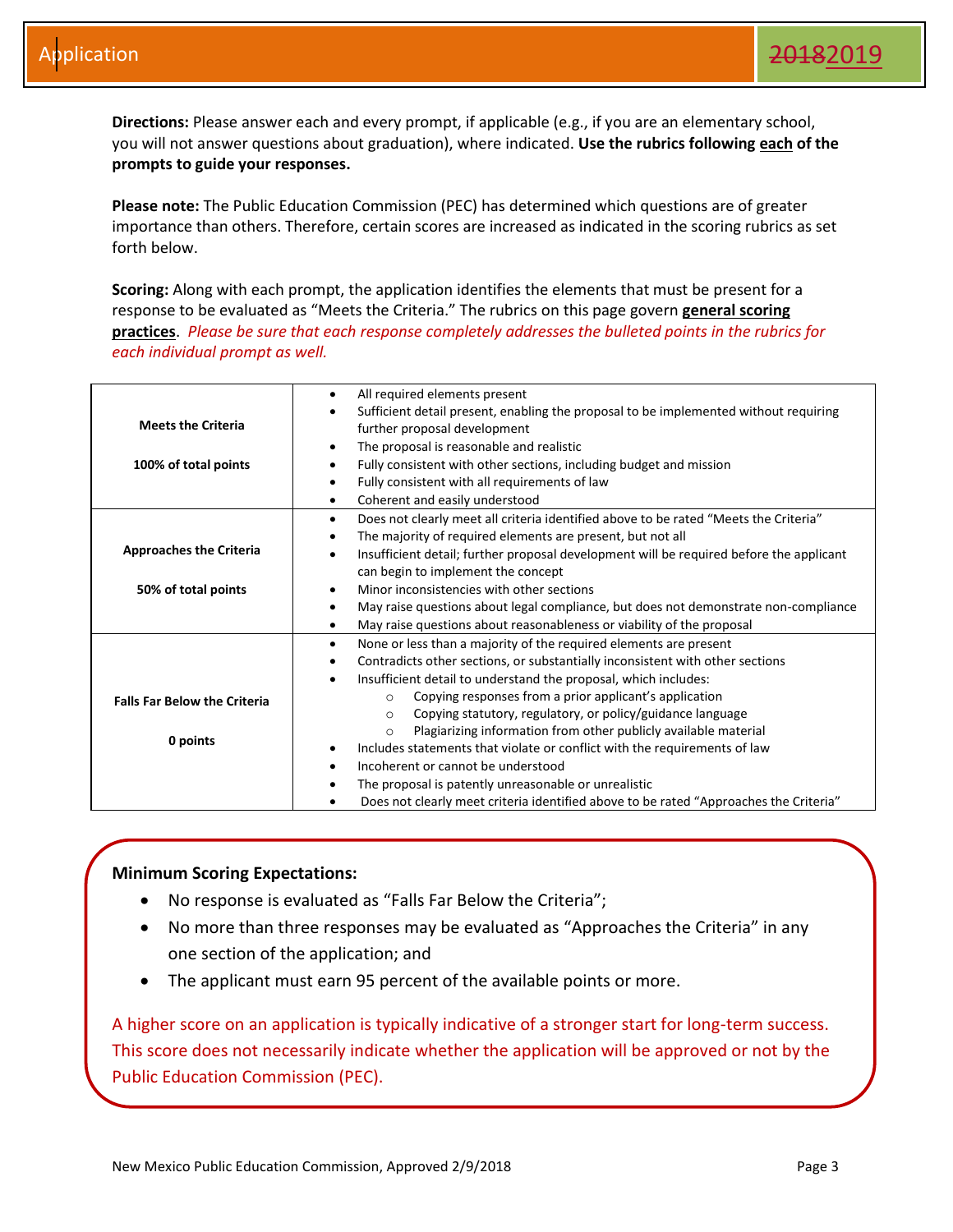**Directions:** Please answer each and every prompt, if applicable (e.g., if you are an elementary school, you will not answer questions about graduation), where indicated. **Use the rubrics following each of the prompts to guide your responses.** 

**Please note:** The Public Education Commission (PEC) has determined which questions are of greater importance than others. Therefore, certain scores are increased as indicated in the scoring rubrics as set forth below.

**Scoring:** Along with each prompt, the application identifies the elements that must be present for a response to be evaluated as "Meets the Criteria." The rubrics on this page govern **general scoring practices**. *Please be sure that each response completely addresses the bulleted points in the rubrics for each individual prompt as well.*

|                                     | All required elements present<br>$\bullet$                                                           |
|-------------------------------------|------------------------------------------------------------------------------------------------------|
|                                     | Sufficient detail present, enabling the proposal to be implemented without requiring<br>$\bullet$    |
| <b>Meets the Criteria</b>           | further proposal development                                                                         |
|                                     | The proposal is reasonable and realistic<br>$\bullet$                                                |
| 100% of total points                | Fully consistent with other sections, including budget and mission<br>٠                              |
|                                     | Fully consistent with all requirements of law<br>$\bullet$                                           |
|                                     | Coherent and easily understood<br>$\bullet$                                                          |
|                                     | Does not clearly meet all criteria identified above to be rated "Meets the Criteria"<br>$\bullet$    |
|                                     | The majority of required elements are present, but not all<br>$\bullet$                              |
| <b>Approaches the Criteria</b>      | Insufficient detail; further proposal development will be required before the applicant<br>$\bullet$ |
|                                     | can begin to implement the concept                                                                   |
| 50% of total points                 | Minor inconsistencies with other sections<br>٠                                                       |
|                                     | May raise questions about legal compliance, but does not demonstrate non-compliance<br>$\bullet$     |
|                                     | May raise questions about reasonableness or viability of the proposal<br>$\bullet$                   |
|                                     | None or less than a majority of the required elements are present<br>$\bullet$                       |
|                                     | Contradicts other sections, or substantially inconsistent with other sections<br>$\bullet$           |
|                                     | Insufficient detail to understand the proposal, which includes:<br>$\bullet$                         |
| <b>Falls Far Below the Criteria</b> | Copying responses from a prior applicant's application<br>$\circ$                                    |
|                                     | Copying statutory, regulatory, or policy/guidance language<br>$\circ$                                |
|                                     | Plagiarizing information from other publicly available material<br>$\Omega$                          |
| 0 points                            | Includes statements that violate or conflict with the requirements of law<br>٠                       |
|                                     | Incoherent or cannot be understood<br>٠                                                              |
|                                     | The proposal is patently unreasonable or unrealistic<br>٠                                            |
|                                     | Does not clearly meet criteria identified above to be rated "Approaches the Criteria"                |

#### **Minimum Scoring Expectations:**

- No response is evaluated as "Falls Far Below the Criteria";
- No more than three responses may be evaluated as "Approaches the Criteria" in any one section of the application; and
- The applicant must earn 95 percent of the available points or more.

A higher score on an application is typically indicative of a stronger start for long-term success. This score does not necessarily indicate whether the application will be approved or not by the Public Education Commission (PEC).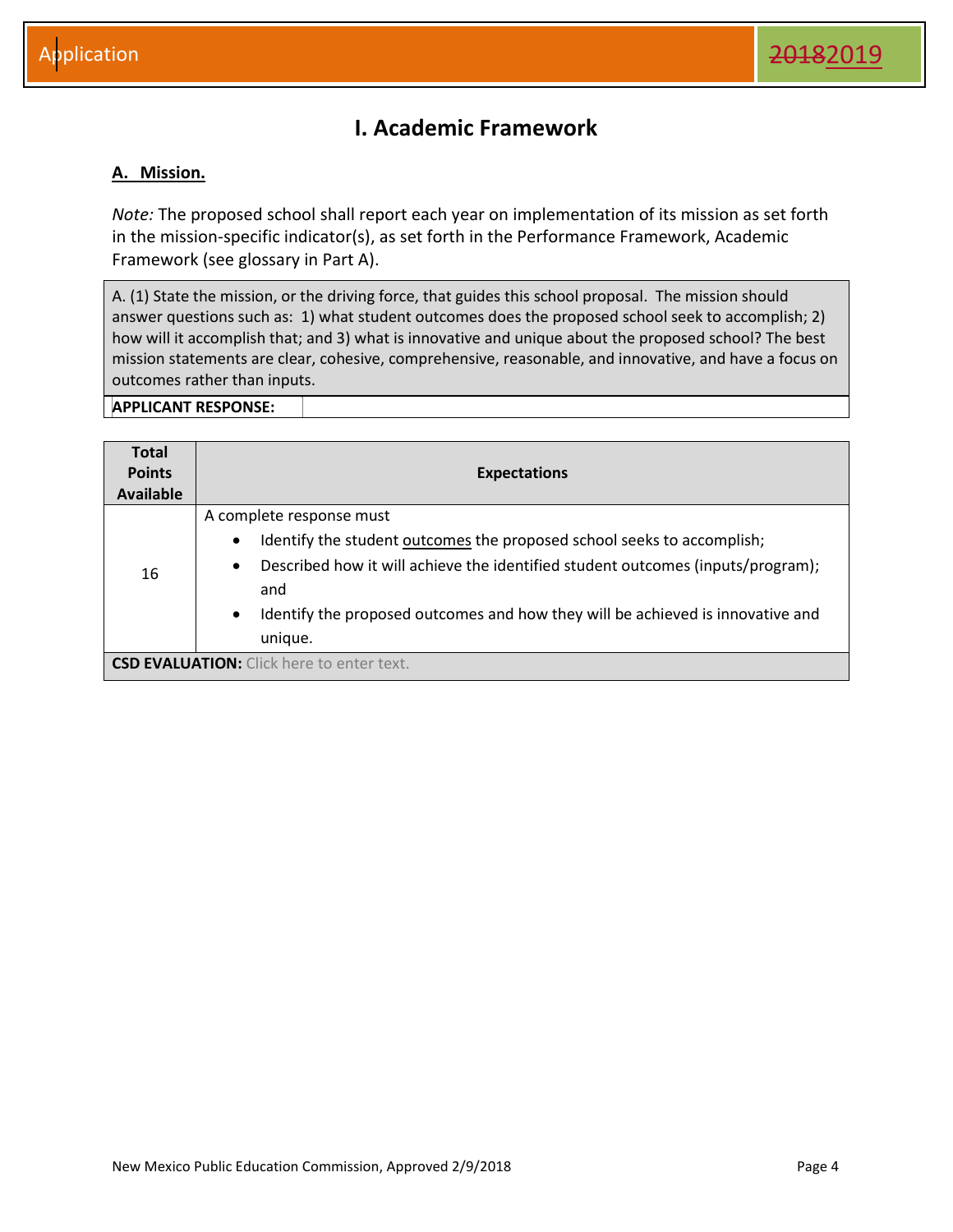### **I. Academic Framework**

#### <span id="page-4-1"></span><span id="page-4-0"></span>**A. Mission.**

*Note:* The proposed school shall report each year on implementation of its mission as set forth in the mission-specific indicator(s), as set forth in the Performance Framework, Academic Framework (see glossary in Part A).

A. (1) State the mission, or the driving force, that guides this school proposal. The mission should answer questions such as: 1) what student outcomes does the proposed school seek to accomplish; 2) how will it accomplish that; and 3) what is innovative and unique about the proposed school? The best mission statements are clear, cohesive, comprehensive, reasonable, and innovative, and have a focus on outcomes rather than inputs.

| <b>Total</b>                                     |                                                                                                                                                                                                                                                                                                                                  |
|--------------------------------------------------|----------------------------------------------------------------------------------------------------------------------------------------------------------------------------------------------------------------------------------------------------------------------------------------------------------------------------------|
| <b>Points</b>                                    | <b>Expectations</b>                                                                                                                                                                                                                                                                                                              |
| <b>Available</b>                                 |                                                                                                                                                                                                                                                                                                                                  |
| 16                                               | A complete response must<br>Identify the student outcomes the proposed school seeks to accomplish;<br>$\bullet$<br>Described how it will achieve the identified student outcomes (inputs/program);<br>$\bullet$<br>and<br>Identify the proposed outcomes and how they will be achieved is innovative and<br>$\bullet$<br>unique. |
| <b>CSD EVALUATION:</b> Click here to enter text. |                                                                                                                                                                                                                                                                                                                                  |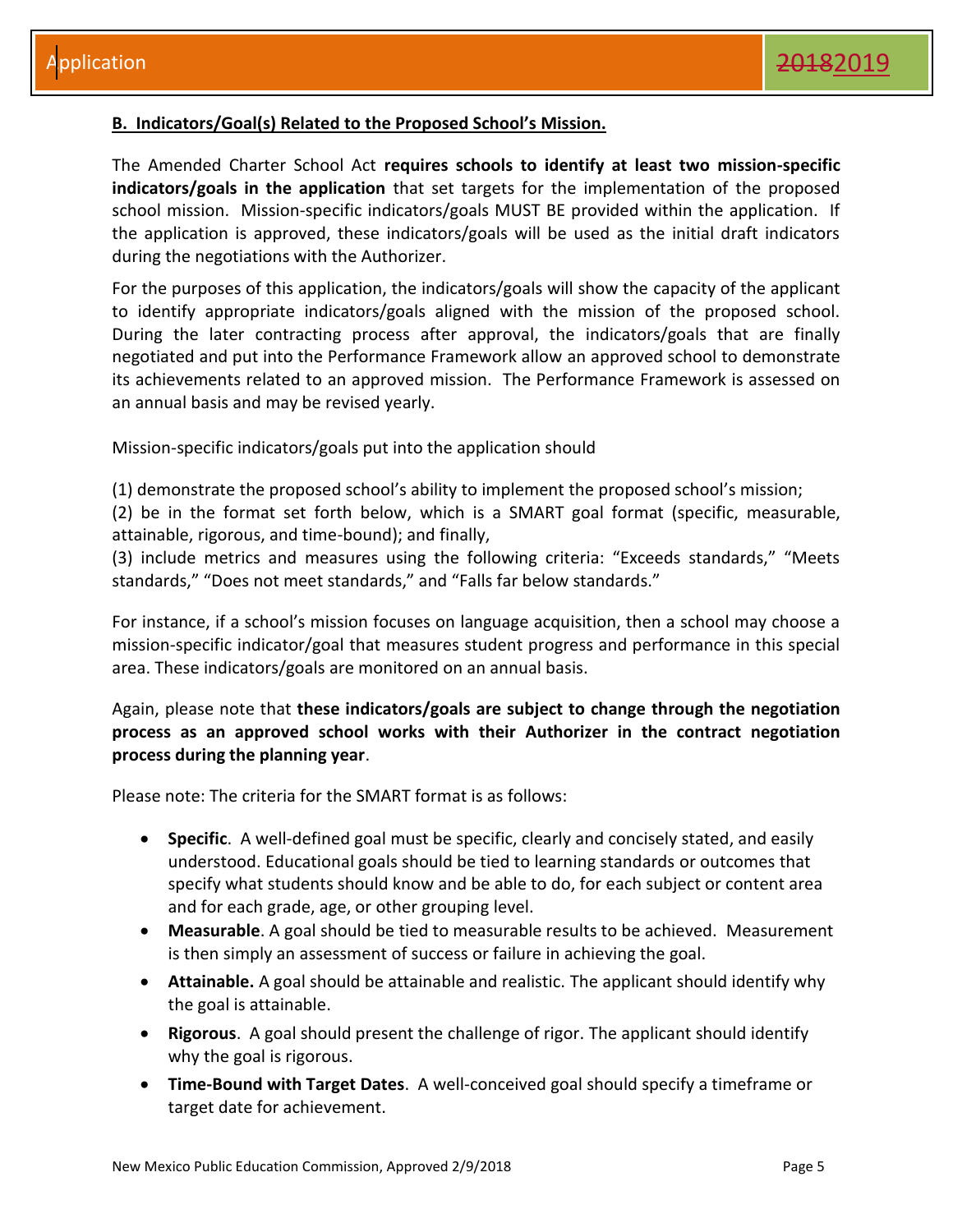#### <span id="page-5-0"></span>**B. Indicators/Goal(s) Related to the Proposed School's Mission.**

The Amended Charter School Act **requires schools to identify at least two mission-specific indicators/goals in the application** that set targets for the implementation of the proposed school mission. Mission-specific indicators/goals MUST BE provided within the application. If the application is approved, these indicators/goals will be used as the initial draft indicators during the negotiations with the Authorizer.

For the purposes of this application, the indicators/goals will show the capacity of the applicant to identify appropriate indicators/goals aligned with the mission of the proposed school. During the later contracting process after approval, the indicators/goals that are finally negotiated and put into the Performance Framework allow an approved school to demonstrate its achievements related to an approved mission. The Performance Framework is assessed on an annual basis and may be revised yearly.

Mission-specific indicators/goals put into the application should

(1) demonstrate the proposed school's ability to implement the proposed school's mission;

(2) be in the format set forth below, which is a SMART goal format (specific, measurable, attainable, rigorous, and time-bound); and finally,

(3) include metrics and measures using the following criteria: "Exceeds standards," "Meets standards," "Does not meet standards," and "Falls far below standards."

For instance, if a school's mission focuses on language acquisition, then a school may choose a mission-specific indicator/goal that measures student progress and performance in this special area. These indicators/goals are monitored on an annual basis.

#### Again, please note that **these indicators/goals are subject to change through the negotiation process as an approved school works with their Authorizer in the contract negotiation process during the planning year**.

Please note: The criteria for the SMART format is as follows:

- **Specific**. A well-defined goal must be specific, clearly and concisely stated, and easily understood. Educational goals should be tied to learning standards or outcomes that specify what students should know and be able to do, for each subject or content area and for each grade, age, or other grouping level.
- **Measurable**. A goal should be tied to measurable results to be achieved. Measurement is then simply an assessment of success or failure in achieving the goal.
- **Attainable.** A goal should be attainable and realistic. The applicant should identify why the goal is attainable.
- **Rigorous**. A goal should present the challenge of rigor. The applicant should identify why the goal is rigorous.
- **Time-Bound with Target Dates**. A well-conceived goal should specify a timeframe or target date for achievement.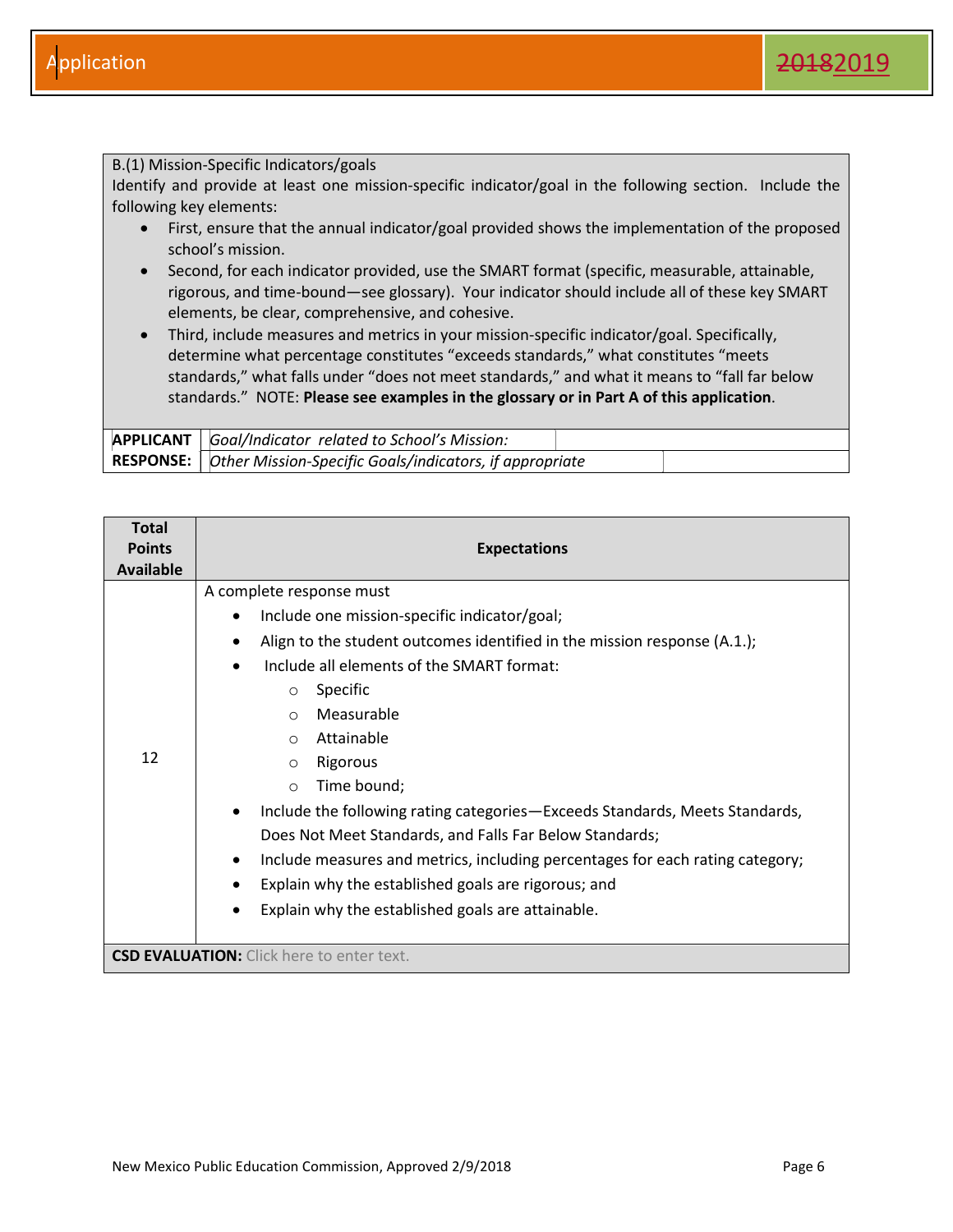#### B.(1) Mission-Specific Indicators/goals

Identify and provide at least one mission-specific indicator/goal in the following section. Include the following key elements:

- First, ensure that the annual indicator/goal provided shows the implementation of the proposed school's mission.
- Second, for each indicator provided, use the SMART format (specific, measurable, attainable, rigorous, and time-bound—see glossary). Your indicator should include all of these key SMART elements, be clear, comprehensive, and cohesive.
- Third, include measures and metrics in your mission-specific indicator/goal. Specifically, determine what percentage constitutes "exceeds standards," what constitutes "meets standards," what falls under "does not meet standards," and what it means to "fall far below standards." NOTE: **Please see examples in the glossary or in Part A of this application**.

| <b>APPLICANT</b>   Goal/Indicator related to School's Mission:      |  |
|---------------------------------------------------------------------|--|
| RESPONSE:   Other Mission-Specific Goals/indicators, if appropriate |  |

| <b>Total</b><br><b>Points</b><br><b>Available</b> | <b>Expectations</b>                                                                                                                                                                                                                                                                                                                                                                                                                                                                                                                                                                                                                                                          |
|---------------------------------------------------|------------------------------------------------------------------------------------------------------------------------------------------------------------------------------------------------------------------------------------------------------------------------------------------------------------------------------------------------------------------------------------------------------------------------------------------------------------------------------------------------------------------------------------------------------------------------------------------------------------------------------------------------------------------------------|
| 12                                                | A complete response must<br>Include one mission-specific indicator/goal;<br>Align to the student outcomes identified in the mission response (A.1.);<br>٠<br>Include all elements of the SMART format:<br>Specific<br>$\circ$<br>Measurable<br>$\circ$<br>Attainable<br>$\circ$<br>Rigorous<br>$\circ$<br>Time bound;<br>$\circ$<br>Include the following rating categories-Exceeds Standards, Meets Standards,<br>Does Not Meet Standards, and Falls Far Below Standards;<br>Include measures and metrics, including percentages for each rating category;<br>٠<br>Explain why the established goals are rigorous; and<br>Explain why the established goals are attainable. |
|                                                   | <b>CSD EVALUATION:</b> Click here to enter text.                                                                                                                                                                                                                                                                                                                                                                                                                                                                                                                                                                                                                             |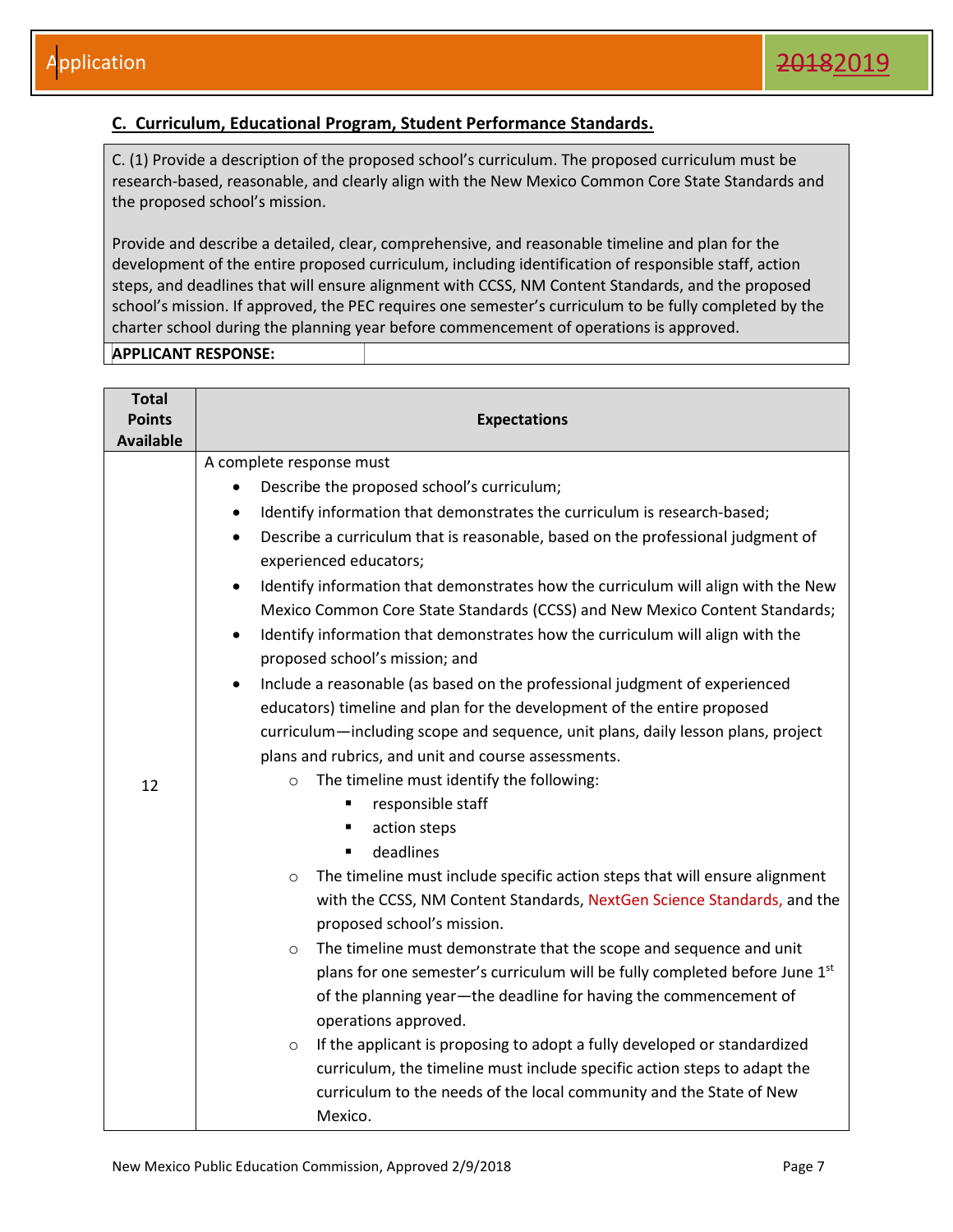#### <span id="page-7-0"></span>**C. Curriculum, Educational Program, Student Performance Standards.**

C. (1) Provide a description of the proposed school's curriculum. The proposed curriculum must be research-based, reasonable, and clearly align with the New Mexico Common Core State Standards and the proposed school's mission.

Provide and describe a detailed, clear, comprehensive, and reasonable timeline and plan for the development of the entire proposed curriculum, including identification of responsible staff, action steps, and deadlines that will ensure alignment with CCSS, NM Content Standards, and the proposed school's mission. If approved, the PEC requires one semester's curriculum to be fully completed by the charter school during the planning year before commencement of operations is approved.

| <b>Total</b>     |                                                                                                |  |  |
|------------------|------------------------------------------------------------------------------------------------|--|--|
| <b>Points</b>    | <b>Expectations</b>                                                                            |  |  |
| <b>Available</b> |                                                                                                |  |  |
|                  | A complete response must                                                                       |  |  |
|                  | Describe the proposed school's curriculum;                                                     |  |  |
|                  | Identify information that demonstrates the curriculum is research-based;                       |  |  |
|                  | Describe a curriculum that is reasonable, based on the professional judgment of<br>$\bullet$   |  |  |
|                  | experienced educators;                                                                         |  |  |
|                  | Identify information that demonstrates how the curriculum will align with the New<br>$\bullet$ |  |  |
|                  | Mexico Common Core State Standards (CCSS) and New Mexico Content Standards;                    |  |  |
|                  | Identify information that demonstrates how the curriculum will align with the<br>$\bullet$     |  |  |
|                  | proposed school's mission; and                                                                 |  |  |
|                  | Include a reasonable (as based on the professional judgment of experienced                     |  |  |
|                  | educators) timeline and plan for the development of the entire proposed                        |  |  |
|                  | curriculum—including scope and sequence, unit plans, daily lesson plans, project               |  |  |
|                  | plans and rubrics, and unit and course assessments.                                            |  |  |
| 12               | The timeline must identify the following:<br>$\circ$                                           |  |  |
|                  | responsible staff                                                                              |  |  |
|                  | action steps<br>п                                                                              |  |  |
|                  | deadlines<br>$\blacksquare$                                                                    |  |  |
|                  | The timeline must include specific action steps that will ensure alignment<br>$\circ$          |  |  |
|                  | with the CCSS, NM Content Standards, NextGen Science Standards, and the                        |  |  |
|                  | proposed school's mission.                                                                     |  |  |
|                  | The timeline must demonstrate that the scope and sequence and unit<br>$\circ$                  |  |  |
|                  | plans for one semester's curriculum will be fully completed before June 1st                    |  |  |
|                  | of the planning year-the deadline for having the commencement of                               |  |  |
|                  | operations approved.                                                                           |  |  |
|                  | If the applicant is proposing to adopt a fully developed or standardized<br>$\circ$            |  |  |
|                  | curriculum, the timeline must include specific action steps to adapt the                       |  |  |
|                  | curriculum to the needs of the local community and the State of New                            |  |  |
|                  | Mexico.                                                                                        |  |  |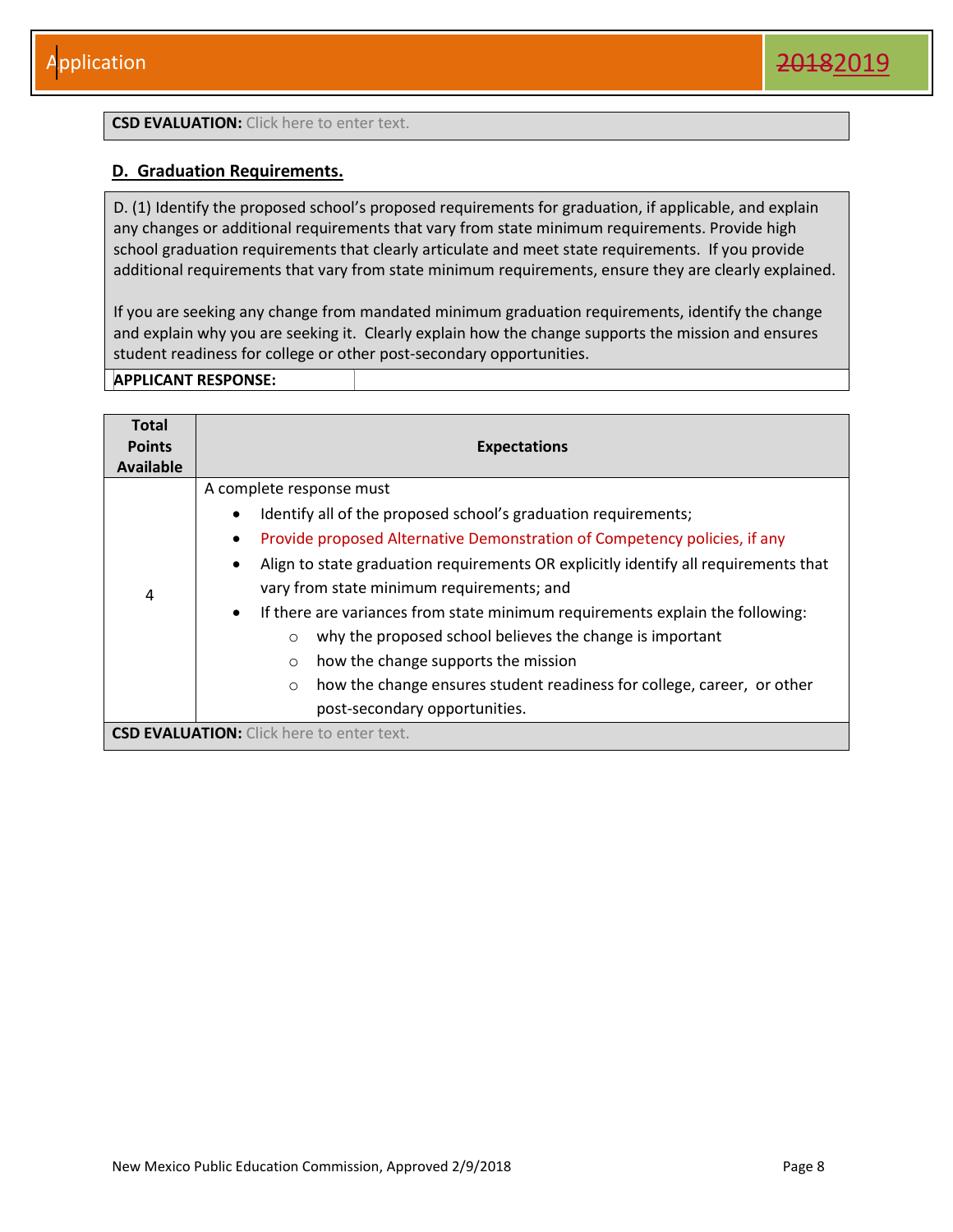#### **CSD EVALUATION:** Click here to enter text.

#### <span id="page-8-0"></span>**D. Graduation Requirements.**

D. (1) Identify the proposed school's proposed requirements for graduation, if applicable, and explain any changes or additional requirements that vary from state minimum requirements. Provide high school graduation requirements that clearly articulate and meet state requirements. If you provide additional requirements that vary from state minimum requirements, ensure they are clearly explained.

If you are seeking any change from mandated minimum graduation requirements, identify the change and explain why you are seeking it. Clearly explain how the change supports the mission and ensures student readiness for college or other post-secondary opportunities.

| <b>Total</b>     |                                                                                            |
|------------------|--------------------------------------------------------------------------------------------|
| <b>Points</b>    | <b>Expectations</b>                                                                        |
| <b>Available</b> |                                                                                            |
|                  | A complete response must                                                                   |
|                  | Identify all of the proposed school's graduation requirements;                             |
|                  | Provide proposed Alternative Demonstration of Competency policies, if any                  |
|                  | Align to state graduation requirements OR explicitly identify all requirements that        |
| 4                | vary from state minimum requirements; and                                                  |
|                  | If there are variances from state minimum requirements explain the following:<br>$\bullet$ |
|                  | why the proposed school believes the change is important<br>$\circ$                        |
|                  | how the change supports the mission<br>$\circ$                                             |
|                  | how the change ensures student readiness for college, career, or other<br>$\circ$          |
|                  | post-secondary opportunities.                                                              |
|                  | <b>CSD EVALUATION:</b> Click here to enter text.                                           |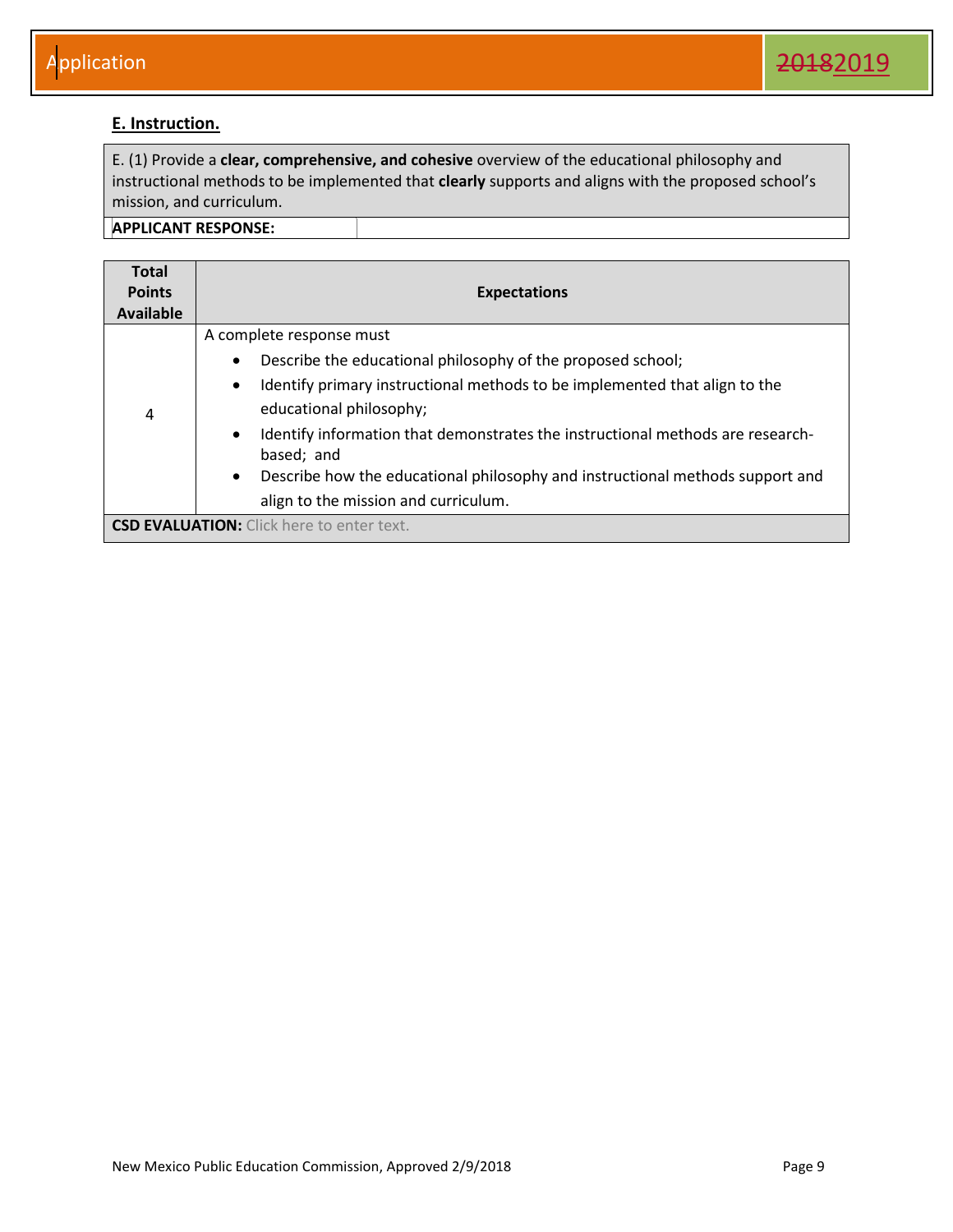#### <span id="page-9-0"></span>**E. Instruction.**

E. (1) Provide a **clear, comprehensive, and cohesive** overview of the educational philosophy and instructional methods to be implemented that **clearly** supports and aligns with the proposed school's mission, and curriculum.

| <b>Total</b><br><b>Points</b><br>Available | <b>Expectations</b>                                                                                                                                                                                                                                                                                                                                                                                                                                                           |
|--------------------------------------------|-------------------------------------------------------------------------------------------------------------------------------------------------------------------------------------------------------------------------------------------------------------------------------------------------------------------------------------------------------------------------------------------------------------------------------------------------------------------------------|
| 4                                          | A complete response must<br>Describe the educational philosophy of the proposed school;<br>$\bullet$<br>Identify primary instructional methods to be implemented that align to the<br>$\bullet$<br>educational philosophy;<br>Identify information that demonstrates the instructional methods are research-<br>$\bullet$<br>based; and<br>Describe how the educational philosophy and instructional methods support and<br>$\bullet$<br>align to the mission and curriculum. |
|                                            | <b>CSD EVALUATION:</b> Click here to enter text.                                                                                                                                                                                                                                                                                                                                                                                                                              |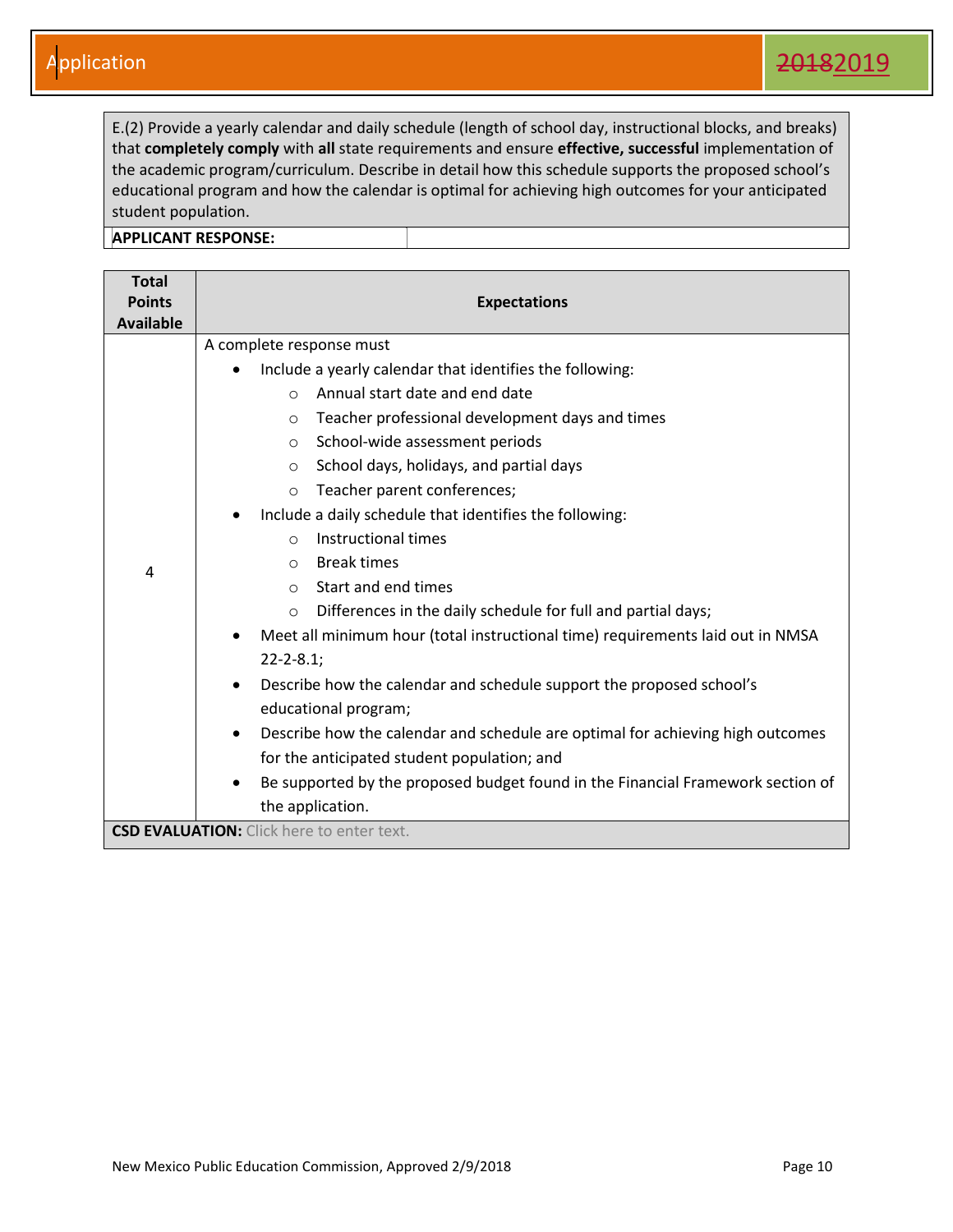E.(2) Provide a yearly calendar and daily schedule (length of school day, instructional blocks, and breaks) that **completely comply** with **all** state requirements and ensure **effective, successful** implementation of the academic program/curriculum. Describe in detail how this schedule supports the proposed school's educational program and how the calendar is optimal for achieving high outcomes for your anticipated student population.

| <b>Total</b><br><b>Points</b><br><b>Available</b> | <b>Expectations</b>                                                                          |
|---------------------------------------------------|----------------------------------------------------------------------------------------------|
|                                                   | A complete response must                                                                     |
|                                                   | Include a yearly calendar that identifies the following:                                     |
|                                                   | Annual start date and end date<br>$\bigcirc$                                                 |
|                                                   | Teacher professional development days and times<br>$\circ$                                   |
|                                                   | School-wide assessment periods<br>$\circ$                                                    |
|                                                   | School days, holidays, and partial days<br>$\circ$                                           |
|                                                   | Teacher parent conferences;<br>$\circ$                                                       |
|                                                   | Include a daily schedule that identifies the following:                                      |
|                                                   | Instructional times<br>$\bigcirc$                                                            |
| 4                                                 | <b>Break times</b><br>$\circ$                                                                |
|                                                   | Start and end times<br>$\circ$                                                               |
|                                                   | Differences in the daily schedule for full and partial days;<br>$\circ$                      |
|                                                   | Meet all minimum hour (total instructional time) requirements laid out in NMSA<br>$\bullet$  |
|                                                   | $22 - 2 - 8.1$ ;                                                                             |
|                                                   | Describe how the calendar and schedule support the proposed school's<br>$\bullet$            |
|                                                   | educational program;                                                                         |
|                                                   | Describe how the calendar and schedule are optimal for achieving high outcomes<br>$\bullet$  |
|                                                   | for the anticipated student population; and                                                  |
|                                                   | Be supported by the proposed budget found in the Financial Framework section of<br>$\bullet$ |
|                                                   | the application.                                                                             |
|                                                   | <b>CSD EVALUATION:</b> Click here to enter text.                                             |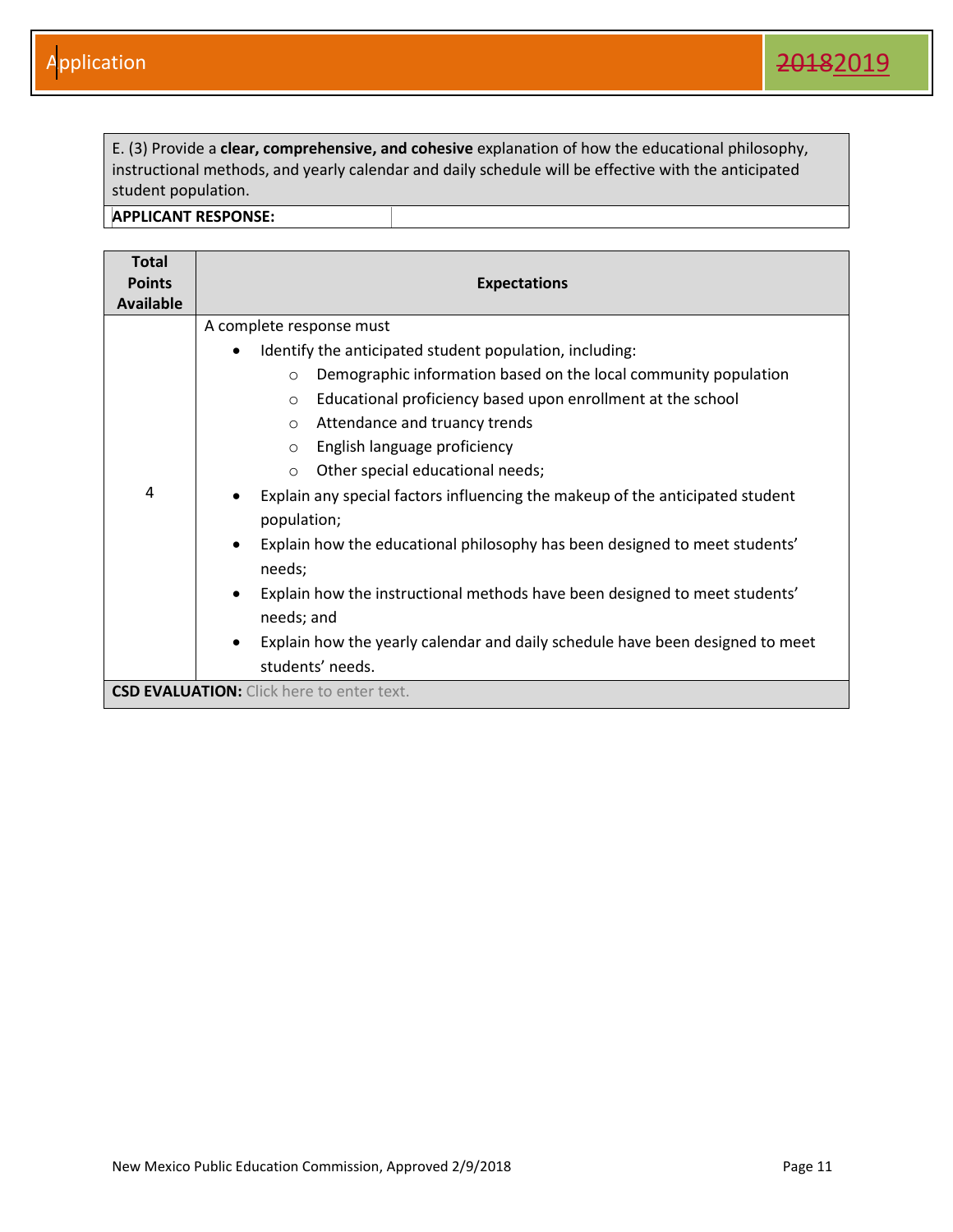E. (3) Provide a **clear, comprehensive, and cohesive** explanation of how the educational philosophy, instructional methods, and yearly calendar and daily schedule will be effective with the anticipated student population.

| <b>Total</b><br><b>Points</b> | <b>Expectations</b>                                                                                                                                                                                                                                                                                                                                                                                                                                                                                                                                                                                                                                                                                          |
|-------------------------------|--------------------------------------------------------------------------------------------------------------------------------------------------------------------------------------------------------------------------------------------------------------------------------------------------------------------------------------------------------------------------------------------------------------------------------------------------------------------------------------------------------------------------------------------------------------------------------------------------------------------------------------------------------------------------------------------------------------|
| <b>Available</b>              |                                                                                                                                                                                                                                                                                                                                                                                                                                                                                                                                                                                                                                                                                                              |
| 4                             | A complete response must<br>Identify the anticipated student population, including:<br>$\bullet$<br>Demographic information based on the local community population<br>$\circ$<br>Educational proficiency based upon enrollment at the school<br>$\circ$<br>Attendance and truancy trends<br>$\circ$<br>English language proficiency<br>$\circ$<br>Other special educational needs;<br>$\circ$<br>Explain any special factors influencing the makeup of the anticipated student<br>population;<br>Explain how the educational philosophy has been designed to meet students'<br>$\bullet$<br>needs;<br>Explain how the instructional methods have been designed to meet students'<br>$\bullet$<br>needs; and |
|                               | Explain how the yearly calendar and daily schedule have been designed to meet<br>$\bullet$<br>students' needs.                                                                                                                                                                                                                                                                                                                                                                                                                                                                                                                                                                                               |
|                               | <b>CSD EVALUATION:</b> Click here to enter text.                                                                                                                                                                                                                                                                                                                                                                                                                                                                                                                                                                                                                                                             |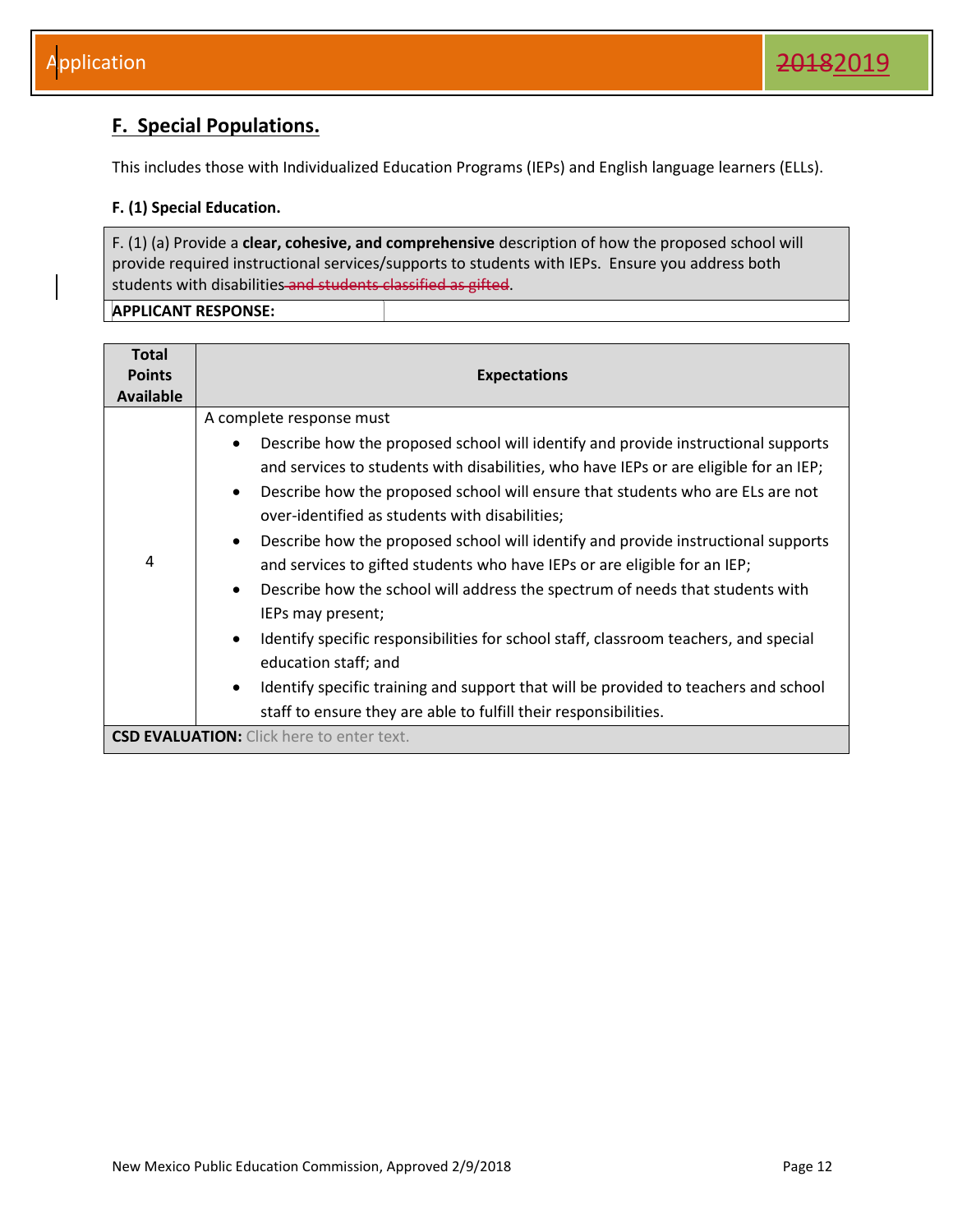### <span id="page-12-0"></span>**F. Special Populations.**

This includes those with Individualized Education Programs (IEPs) and English language learners (ELLs).

#### **F. (1) Special Education.**

F. (1) (a) Provide a **clear, cohesive, and comprehensive** description of how the proposed school will provide required instructional services/supports to students with IEPs. Ensure you address both students with disabilities and students classified as gifted.

| <b>Total</b>     |                                                                                                                                                                                                                                                                                                                                                                                                                                                                                                                                                                                                                                                                                                                                                                                                                                                                                            |
|------------------|--------------------------------------------------------------------------------------------------------------------------------------------------------------------------------------------------------------------------------------------------------------------------------------------------------------------------------------------------------------------------------------------------------------------------------------------------------------------------------------------------------------------------------------------------------------------------------------------------------------------------------------------------------------------------------------------------------------------------------------------------------------------------------------------------------------------------------------------------------------------------------------------|
| <b>Points</b>    | <b>Expectations</b>                                                                                                                                                                                                                                                                                                                                                                                                                                                                                                                                                                                                                                                                                                                                                                                                                                                                        |
| <b>Available</b> |                                                                                                                                                                                                                                                                                                                                                                                                                                                                                                                                                                                                                                                                                                                                                                                                                                                                                            |
| 4                | A complete response must<br>Describe how the proposed school will identify and provide instructional supports<br>and services to students with disabilities, who have IEPs or are eligible for an IEP;<br>Describe how the proposed school will ensure that students who are ELs are not<br>$\bullet$<br>over-identified as students with disabilities;<br>Describe how the proposed school will identify and provide instructional supports<br>$\bullet$<br>and services to gifted students who have IEPs or are eligible for an IEP;<br>Describe how the school will address the spectrum of needs that students with<br>$\bullet$<br>IEPs may present;<br>Identify specific responsibilities for school staff, classroom teachers, and special<br>$\bullet$<br>education staff; and<br>Identify specific training and support that will be provided to teachers and school<br>$\bullet$ |
|                  | staff to ensure they are able to fulfill their responsibilities.                                                                                                                                                                                                                                                                                                                                                                                                                                                                                                                                                                                                                                                                                                                                                                                                                           |
|                  | <b>CSD EVALUATION:</b> Click here to enter text.                                                                                                                                                                                                                                                                                                                                                                                                                                                                                                                                                                                                                                                                                                                                                                                                                                           |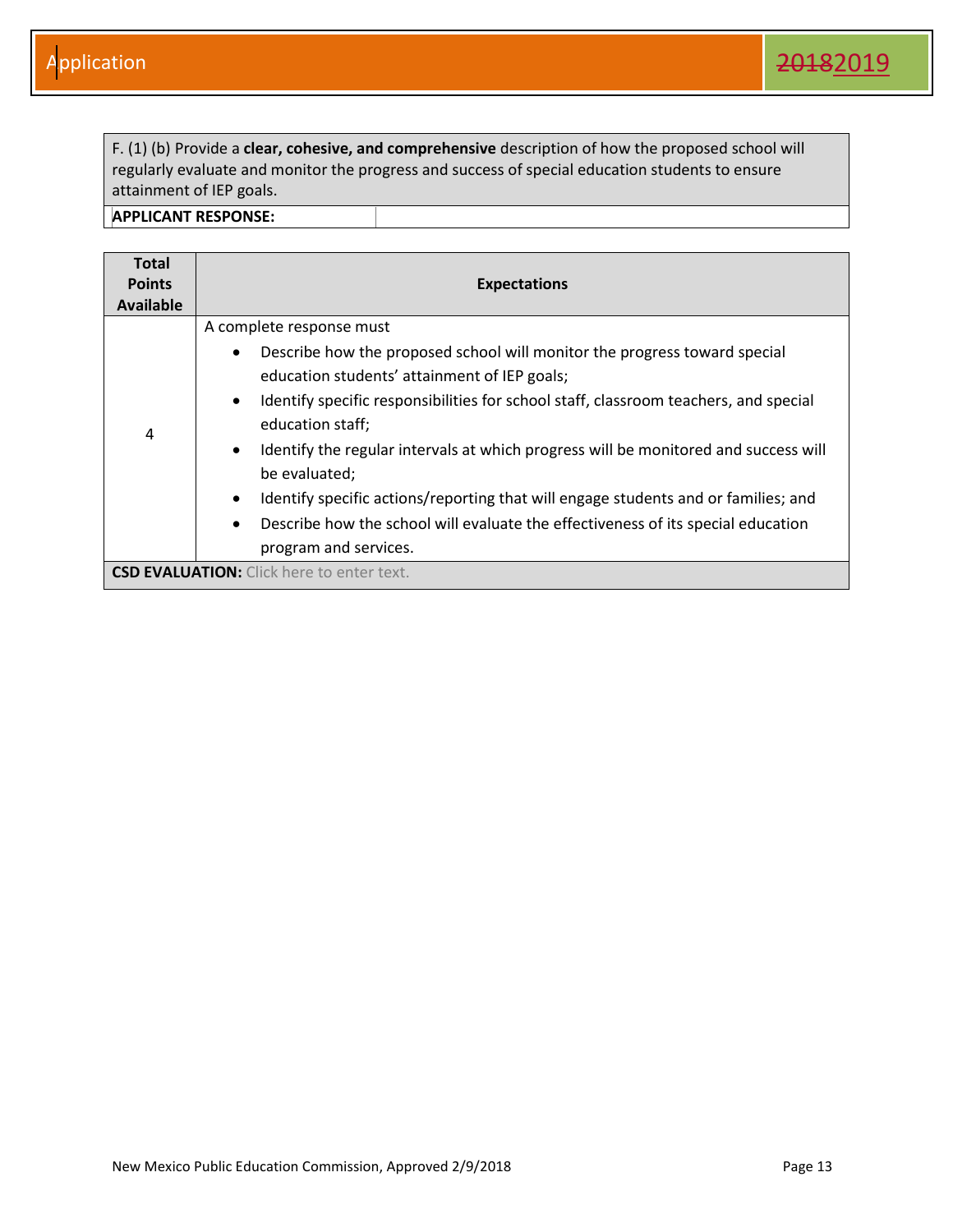F. (1) (b) Provide a **clear, cohesive, and comprehensive** description of how the proposed school will regularly evaluate and monitor the progress and success of special education students to ensure attainment of IEP goals.

| <b>Total</b>     |                                                                                                   |
|------------------|---------------------------------------------------------------------------------------------------|
| <b>Points</b>    | <b>Expectations</b>                                                                               |
| <b>Available</b> |                                                                                                   |
|                  | A complete response must                                                                          |
| 4                | Describe how the proposed school will monitor the progress toward special<br>$\bullet$            |
|                  | education students' attainment of IEP goals;                                                      |
|                  | Identify specific responsibilities for school staff, classroom teachers, and special<br>$\bullet$ |
|                  | education staff;                                                                                  |
|                  | Identify the regular intervals at which progress will be monitored and success will<br>$\bullet$  |
|                  | be evaluated;                                                                                     |
|                  | Identify specific actions/reporting that will engage students and or families; and<br>$\bullet$   |
|                  | Describe how the school will evaluate the effectiveness of its special education<br>$\bullet$     |
|                  | program and services.                                                                             |
|                  | <b>CSD EVALUATION:</b> Click here to enter text.                                                  |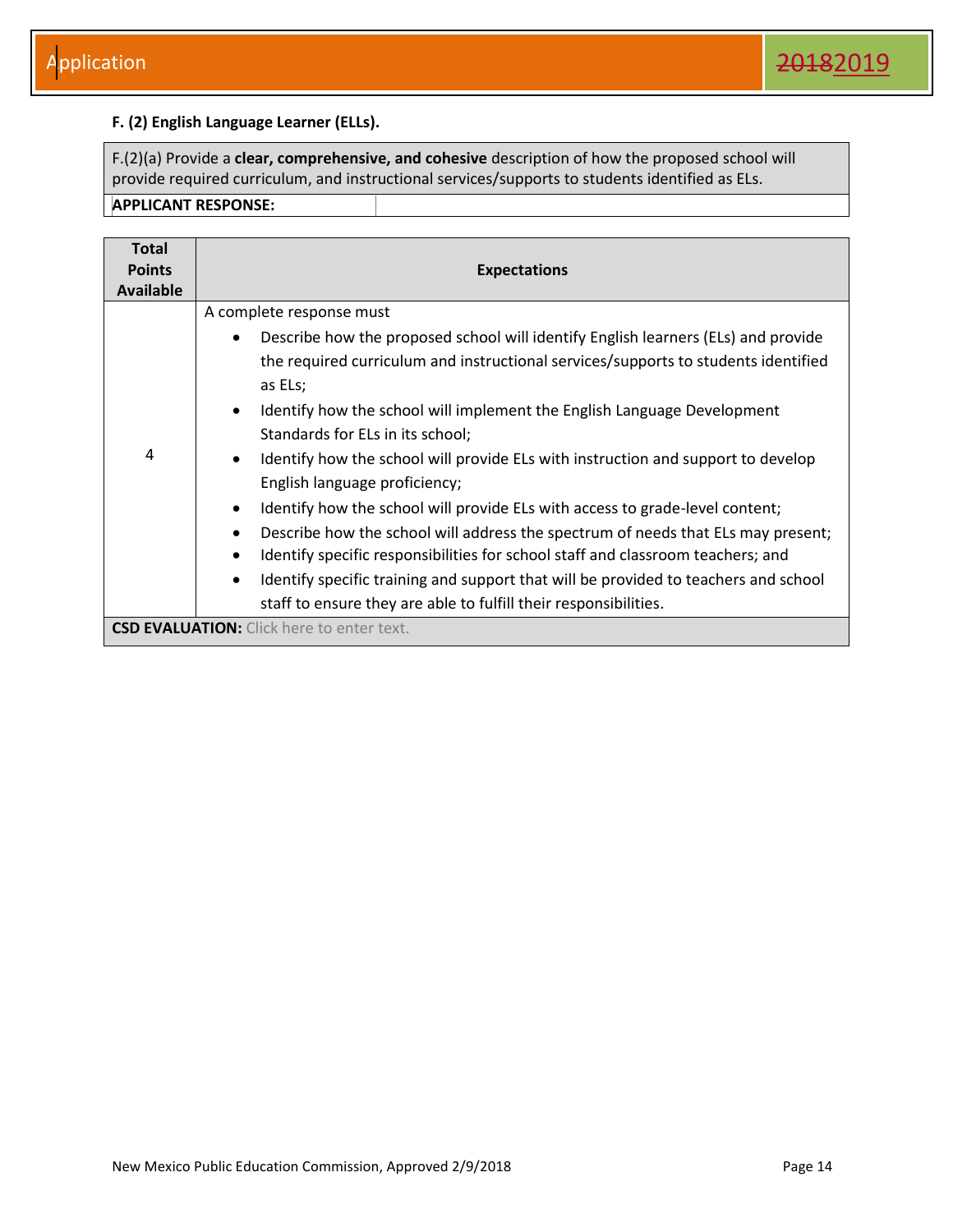#### **F. (2) English Language Learner (ELLs).**

F.(2)(a) Provide a **clear, comprehensive, and cohesive** description of how the proposed school will provide required curriculum, and instructional services/supports to students identified as ELs. **APPLICANT RESPONSE:** 

| <b>Total</b><br><b>Points</b><br>Available | <b>Expectations</b>                                                                                                                                                                                                                                                                                                                                                                                                                                                                                                                                                                                                                                                                                                                                                                                                                                                                                                                                             |
|--------------------------------------------|-----------------------------------------------------------------------------------------------------------------------------------------------------------------------------------------------------------------------------------------------------------------------------------------------------------------------------------------------------------------------------------------------------------------------------------------------------------------------------------------------------------------------------------------------------------------------------------------------------------------------------------------------------------------------------------------------------------------------------------------------------------------------------------------------------------------------------------------------------------------------------------------------------------------------------------------------------------------|
| 4                                          | A complete response must<br>Describe how the proposed school will identify English learners (ELs) and provide<br>$\bullet$<br>the required curriculum and instructional services/supports to students identified<br>as ELs;<br>Identify how the school will implement the English Language Development<br>$\bullet$<br>Standards for ELs in its school;<br>Identify how the school will provide ELs with instruction and support to develop<br>$\bullet$<br>English language proficiency;<br>Identify how the school will provide ELs with access to grade-level content;<br>$\bullet$<br>Describe how the school will address the spectrum of needs that ELs may present;<br>$\bullet$<br>Identify specific responsibilities for school staff and classroom teachers; and<br>$\bullet$<br>Identify specific training and support that will be provided to teachers and school<br>$\bullet$<br>staff to ensure they are able to fulfill their responsibilities. |
|                                            | <b>CSD EVALUATION:</b> Click here to enter text.                                                                                                                                                                                                                                                                                                                                                                                                                                                                                                                                                                                                                                                                                                                                                                                                                                                                                                                |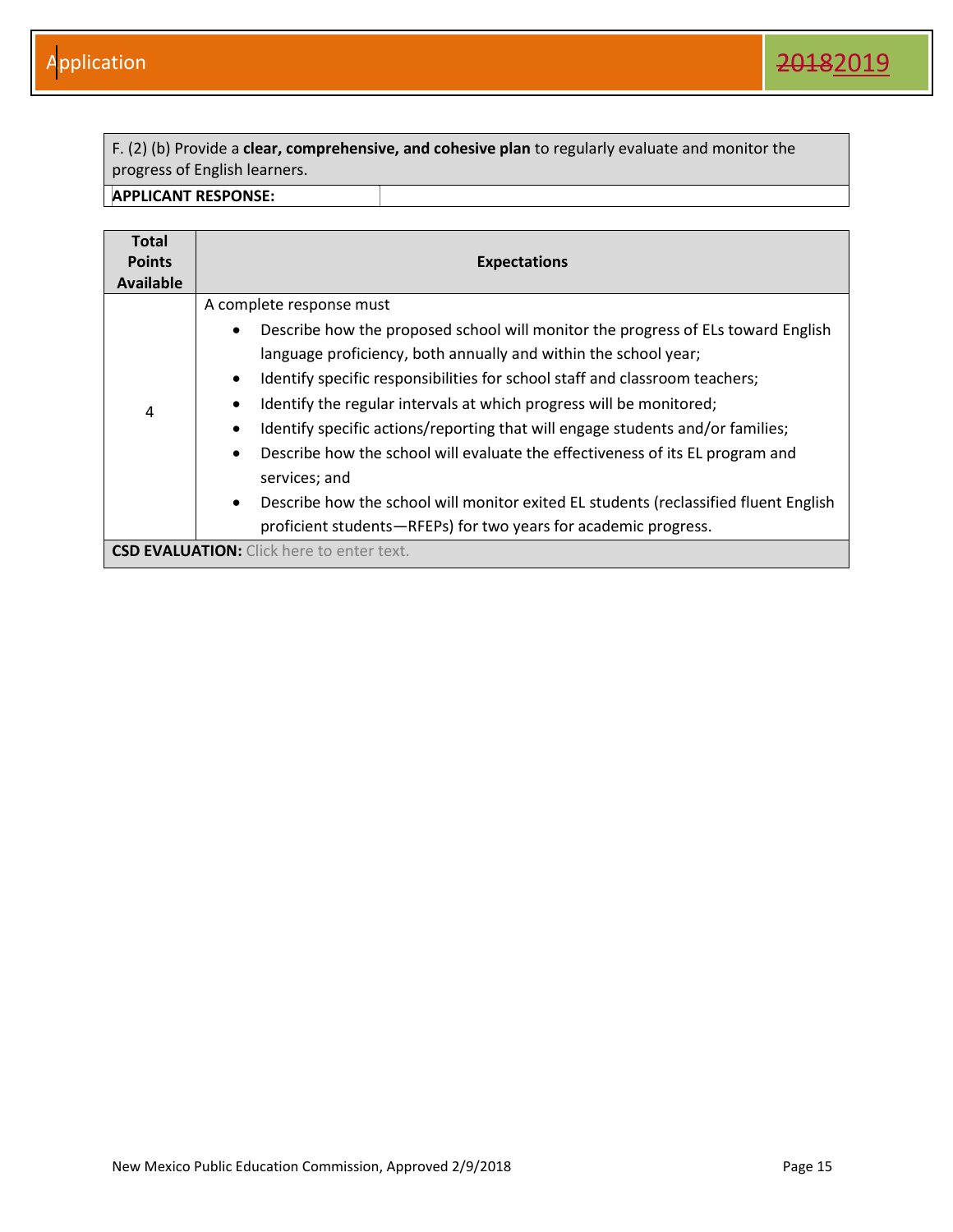F. (2) (b) Provide a **clear, comprehensive, and cohesive plan** to regularly evaluate and monitor the progress of English learners.

| <b>Total</b>  |                                                                                                   |
|---------------|---------------------------------------------------------------------------------------------------|
| <b>Points</b> | <b>Expectations</b>                                                                               |
| Available     |                                                                                                   |
|               | A complete response must                                                                          |
|               | Describe how the proposed school will monitor the progress of ELs toward English<br>$\bullet$     |
| 4             | language proficiency, both annually and within the school year;                                   |
|               | Identify specific responsibilities for school staff and classroom teachers;<br>$\bullet$          |
|               | Identify the regular intervals at which progress will be monitored;                               |
|               | Identify specific actions/reporting that will engage students and/or families;<br>$\bullet$       |
|               | Describe how the school will evaluate the effectiveness of its EL program and<br>$\bullet$        |
|               | services; and                                                                                     |
|               | Describe how the school will monitor exited EL students (reclassified fluent English<br>$\bullet$ |
|               | proficient students-RFEPs) for two years for academic progress.                                   |
|               | <b>CSD EVALUATION:</b> Click here to enter text.                                                  |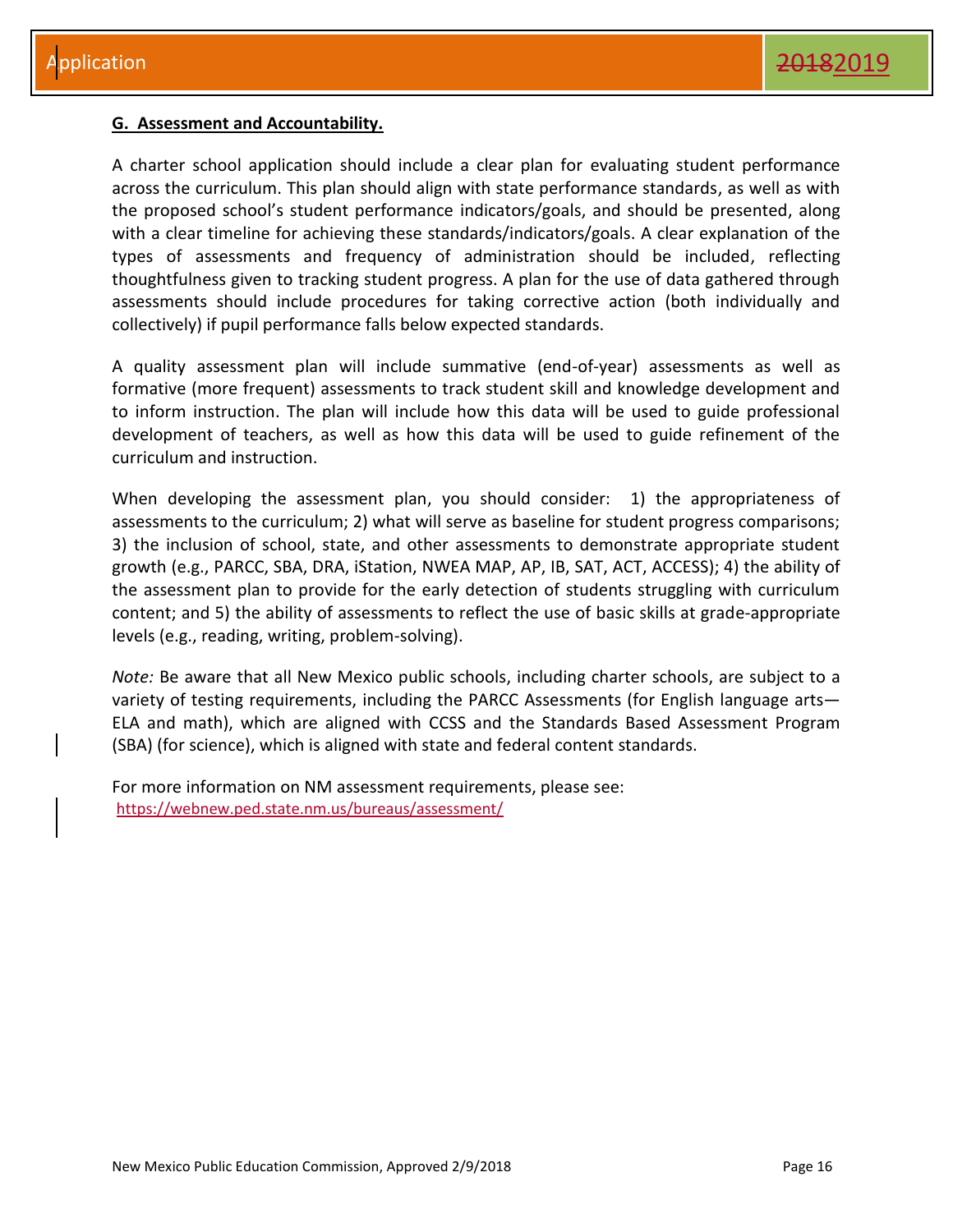#### <span id="page-16-0"></span>**G. Assessment and Accountability.**

A charter school application should include a clear plan for evaluating student performance across the curriculum. This plan should align with state performance standards, as well as with the proposed school's student performance indicators/goals, and should be presented, along with a clear timeline for achieving these standards/indicators/goals. A clear explanation of the types of assessments and frequency of administration should be included, reflecting thoughtfulness given to tracking student progress. A plan for the use of data gathered through assessments should include procedures for taking corrective action (both individually and collectively) if pupil performance falls below expected standards.

A quality assessment plan will include summative (end-of-year) assessments as well as formative (more frequent) assessments to track student skill and knowledge development and to inform instruction. The plan will include how this data will be used to guide professional development of teachers, as well as how this data will be used to guide refinement of the curriculum and instruction.

When developing the assessment plan, you should consider: 1) the appropriateness of assessments to the curriculum; 2) what will serve as baseline for student progress comparisons; 3) the inclusion of school, state, and other assessments to demonstrate appropriate student growth (e.g., PARCC, SBA, DRA, iStation, NWEA MAP, AP, IB, SAT, ACT, ACCESS); 4) the ability of the assessment plan to provide for the early detection of students struggling with curriculum content; and 5) the ability of assessments to reflect the use of basic skills at grade-appropriate levels (e.g., reading, writing, problem-solving).

*Note:* Be aware that all New Mexico public schools, including charter schools, are subject to a variety of testing requirements, including the PARCC Assessments (for English language arts— ELA and math), which are aligned with CCSS and the Standards Based Assessment Program (SBA) (for science), which is aligned with state and federal content standards.

For more information on NM assessment requirements, please see: https://webnew.ped.state.nm.us/bureaus/assessment/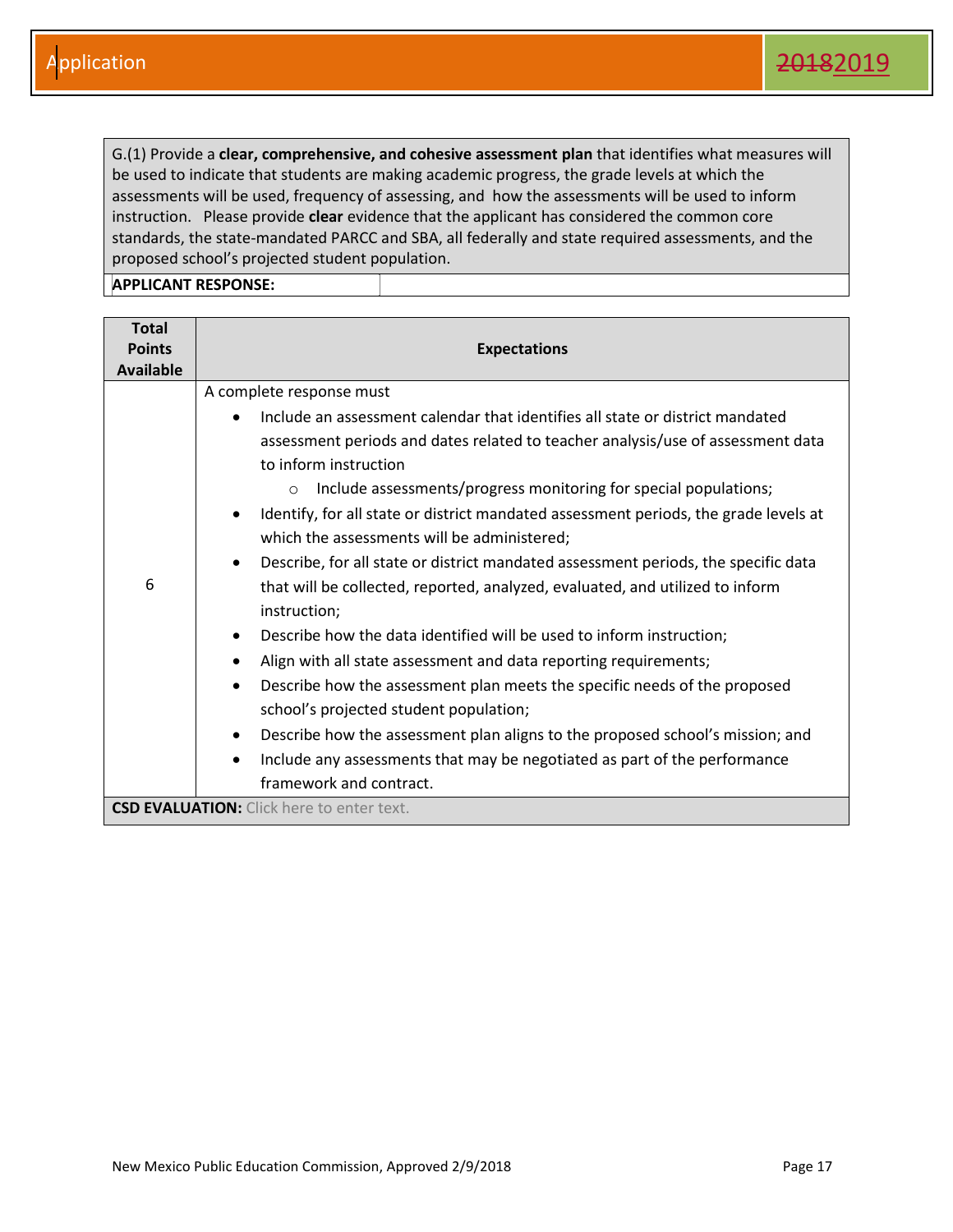G.(1) Provide a **clear, comprehensive, and cohesive assessment plan** that identifies what measures will be used to indicate that students are making academic progress, the grade levels at which the assessments will be used, frequency of assessing, and how the assessments will be used to inform instruction. Please provide **clear** evidence that the applicant has considered the common core standards, the state-mandated PARCC and SBA, all federally and state required assessments, and the proposed school's projected student population.

| <b>Total</b><br><b>Points</b><br><b>Available</b> | <b>Expectations</b>                                                                                                                                                                                                                                                                                                                                                                                                                                                                                                                                                                                                                                                                                                                                                                                                                                                                                                                                                                                                                                                                                                                                             |
|---------------------------------------------------|-----------------------------------------------------------------------------------------------------------------------------------------------------------------------------------------------------------------------------------------------------------------------------------------------------------------------------------------------------------------------------------------------------------------------------------------------------------------------------------------------------------------------------------------------------------------------------------------------------------------------------------------------------------------------------------------------------------------------------------------------------------------------------------------------------------------------------------------------------------------------------------------------------------------------------------------------------------------------------------------------------------------------------------------------------------------------------------------------------------------------------------------------------------------|
| 6                                                 | A complete response must<br>Include an assessment calendar that identifies all state or district mandated<br>assessment periods and dates related to teacher analysis/use of assessment data<br>to inform instruction<br>Include assessments/progress monitoring for special populations;<br>$\circ$<br>Identify, for all state or district mandated assessment periods, the grade levels at<br>which the assessments will be administered;<br>Describe, for all state or district mandated assessment periods, the specific data<br>$\bullet$<br>that will be collected, reported, analyzed, evaluated, and utilized to inform<br>instruction;<br>Describe how the data identified will be used to inform instruction;<br>$\bullet$<br>Align with all state assessment and data reporting requirements;<br>$\bullet$<br>Describe how the assessment plan meets the specific needs of the proposed<br>$\bullet$<br>school's projected student population;<br>Describe how the assessment plan aligns to the proposed school's mission; and<br>$\bullet$<br>Include any assessments that may be negotiated as part of the performance<br>framework and contract. |
|                                                   | <b>CSD EVALUATION:</b> Click here to enter text.                                                                                                                                                                                                                                                                                                                                                                                                                                                                                                                                                                                                                                                                                                                                                                                                                                                                                                                                                                                                                                                                                                                |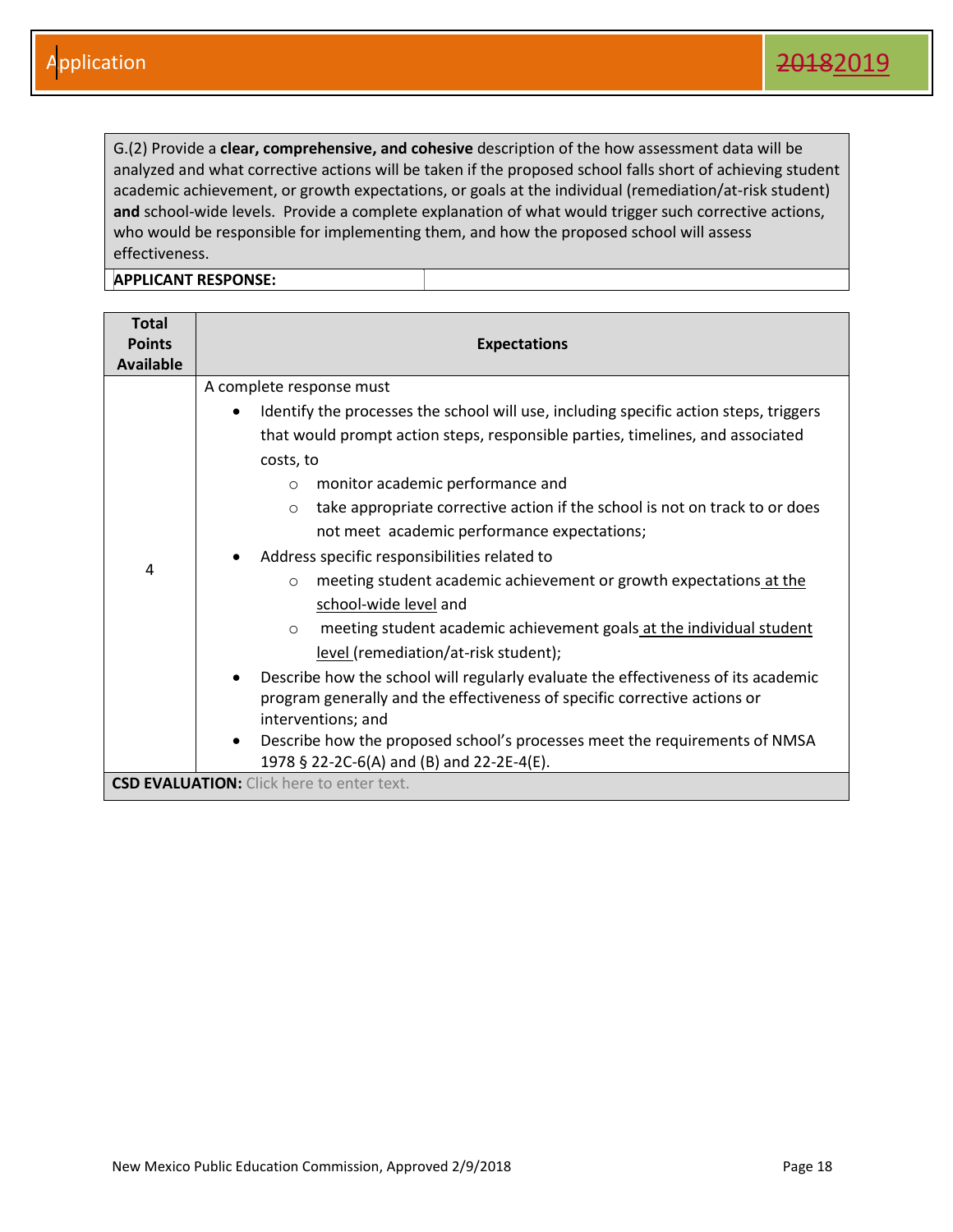G.(2) Provide a **clear, comprehensive, and cohesive** description of the how assessment data will be analyzed and what corrective actions will be taken if the proposed school falls short of achieving student academic achievement, or growth expectations, or goals at the individual (remediation/at-risk student) **and** school-wide levels. Provide a complete explanation of what would trigger such corrective actions, who would be responsible for implementing them, and how the proposed school will assess effectiveness.

| <b>Total</b><br><b>Points</b><br><b>Available</b> | <b>Expectations</b>                                                                                                                                                                                                                                                                                                                                                                                                                                                                                                                                                                                                                                                                                                                                                                                                                                                                                             |
|---------------------------------------------------|-----------------------------------------------------------------------------------------------------------------------------------------------------------------------------------------------------------------------------------------------------------------------------------------------------------------------------------------------------------------------------------------------------------------------------------------------------------------------------------------------------------------------------------------------------------------------------------------------------------------------------------------------------------------------------------------------------------------------------------------------------------------------------------------------------------------------------------------------------------------------------------------------------------------|
| 4                                                 | A complete response must<br>Identify the processes the school will use, including specific action steps, triggers<br>$\bullet$<br>that would prompt action steps, responsible parties, timelines, and associated<br>costs, to<br>monitor academic performance and<br>$\circ$<br>take appropriate corrective action if the school is not on track to or does<br>$\circ$<br>not meet academic performance expectations;<br>Address specific responsibilities related to<br>meeting student academic achievement or growth expectations at the<br>$\circ$<br>school-wide level and<br>meeting student academic achievement goals at the individual student<br>$\circ$<br>level (remediation/at-risk student);<br>Describe how the school will regularly evaluate the effectiveness of its academic<br>$\bullet$<br>program generally and the effectiveness of specific corrective actions or<br>interventions; and |
|                                                   | Describe how the proposed school's processes meet the requirements of NMSA<br>٠<br>1978 § 22-2C-6(A) and (B) and 22-2E-4(E).                                                                                                                                                                                                                                                                                                                                                                                                                                                                                                                                                                                                                                                                                                                                                                                    |
|                                                   | <b>CSD EVALUATION:</b> Click here to enter text.                                                                                                                                                                                                                                                                                                                                                                                                                                                                                                                                                                                                                                                                                                                                                                                                                                                                |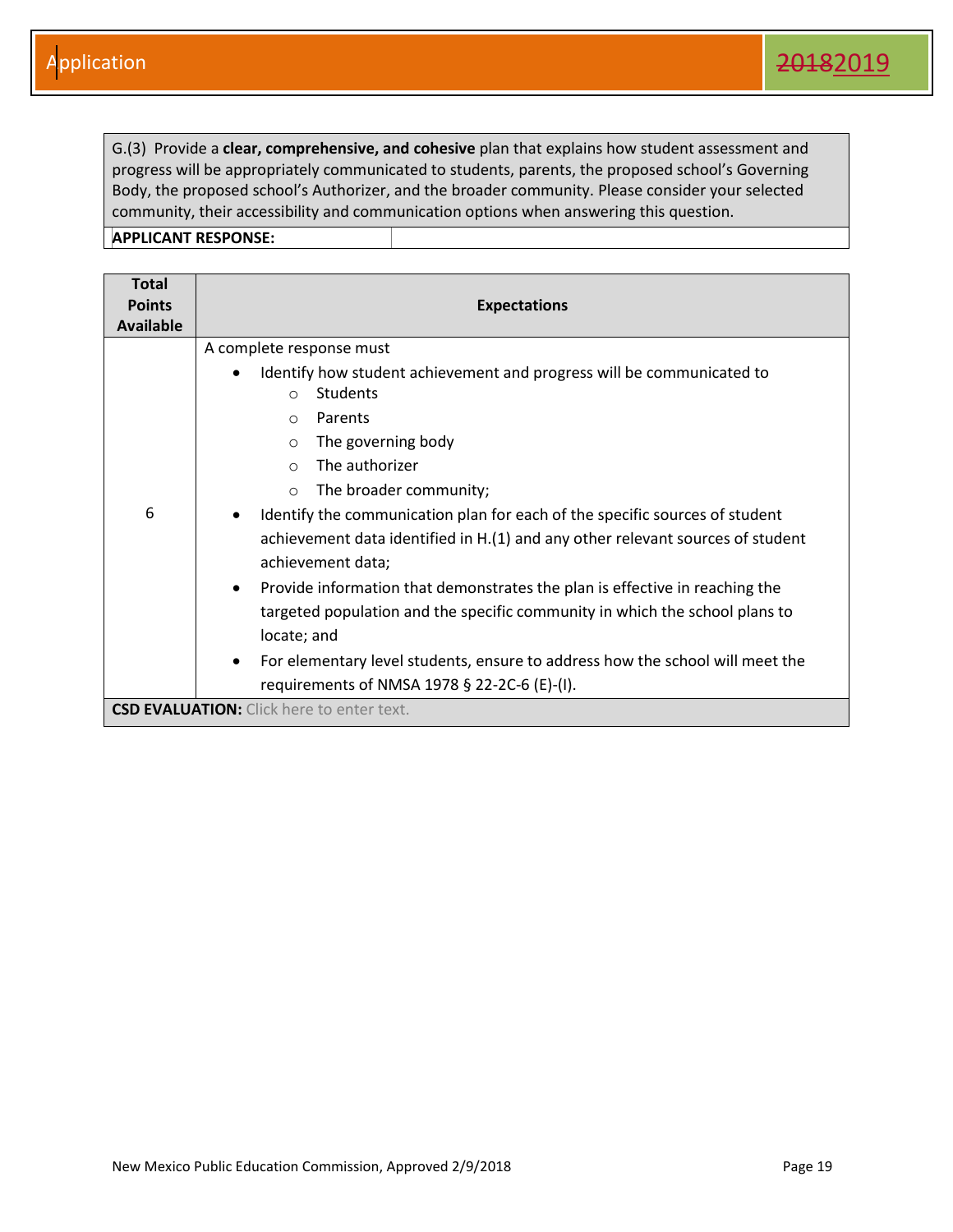G.(3) Provide a **clear, comprehensive, and cohesive** plan that explains how student assessment and progress will be appropriately communicated to students, parents, the proposed school's Governing Body, the proposed school's Authorizer, and the broader community. Please consider your selected community, their accessibility and communication options when answering this question.

| <b>Total</b><br><b>Points</b> |                                                                                                                                                                                                                                                                                                                                                                                                                                                                                                                                                                                                                                                                                                                                                                                                      |
|-------------------------------|------------------------------------------------------------------------------------------------------------------------------------------------------------------------------------------------------------------------------------------------------------------------------------------------------------------------------------------------------------------------------------------------------------------------------------------------------------------------------------------------------------------------------------------------------------------------------------------------------------------------------------------------------------------------------------------------------------------------------------------------------------------------------------------------------|
| <b>Available</b>              | <b>Expectations</b>                                                                                                                                                                                                                                                                                                                                                                                                                                                                                                                                                                                                                                                                                                                                                                                  |
| 6                             | A complete response must<br>Identify how student achievement and progress will be communicated to<br><b>Students</b><br>$\circ$<br>Parents<br>$\circ$<br>The governing body<br>$\circ$<br>The authorizer<br>$\Omega$<br>The broader community;<br>$\circ$<br>Identify the communication plan for each of the specific sources of student<br>$\bullet$<br>achievement data identified in H.(1) and any other relevant sources of student<br>achievement data;<br>Provide information that demonstrates the plan is effective in reaching the<br>$\bullet$<br>targeted population and the specific community in which the school plans to<br>locate; and<br>For elementary level students, ensure to address how the school will meet the<br>$\bullet$<br>requirements of NMSA 1978 § 22-2C-6 (E)-(I). |
|                               | <b>CSD EVALUATION:</b> Click here to enter text.                                                                                                                                                                                                                                                                                                                                                                                                                                                                                                                                                                                                                                                                                                                                                     |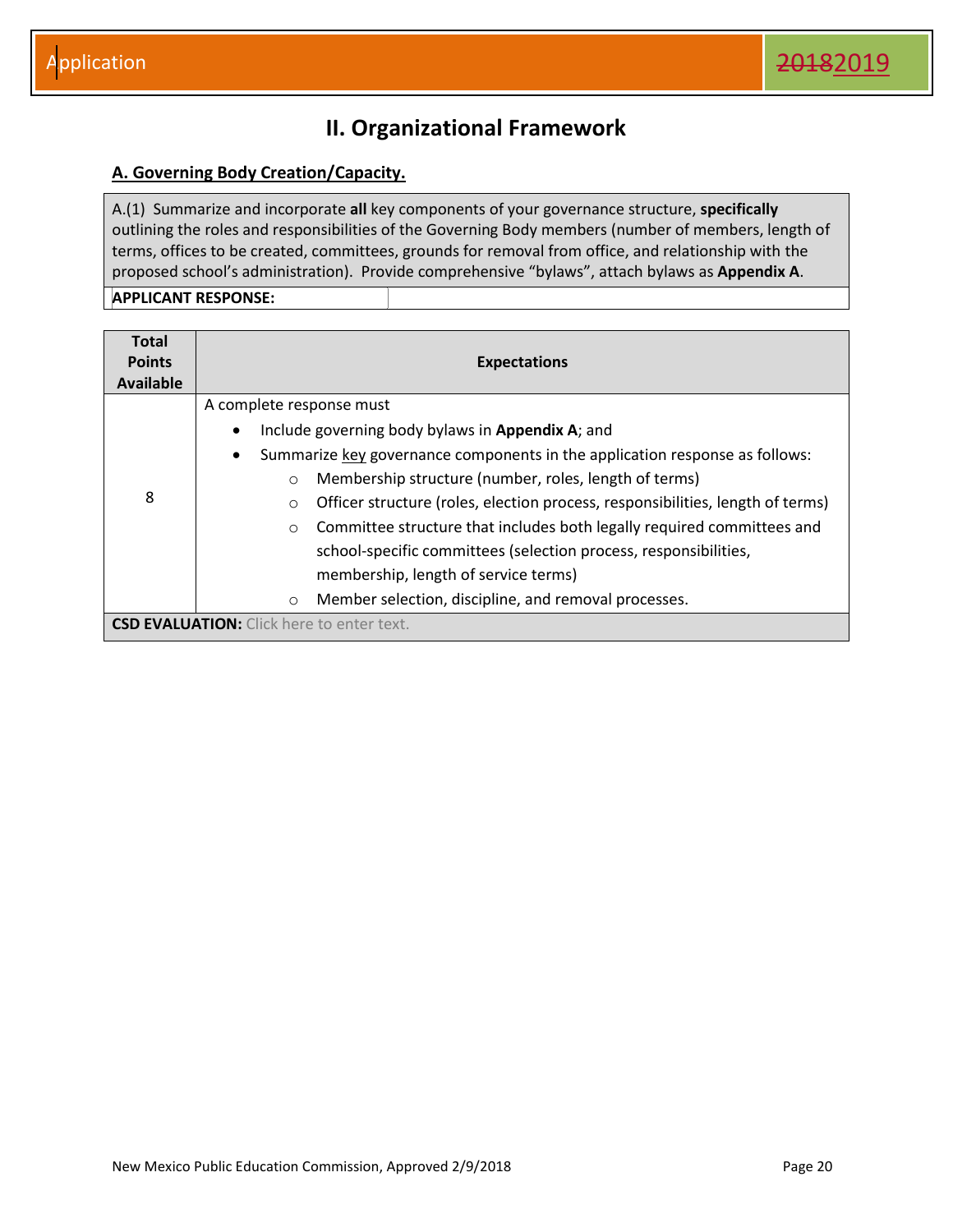## **II. Organizational Framework**

#### <span id="page-20-1"></span><span id="page-20-0"></span>**A. Governing Body Creation/Capacity.**

A.(1) Summarize and incorporate **all** key components of your governance structure, **specifically** outlining the roles and responsibilities of the Governing Body members (number of members, length of terms, offices to be created, committees, grounds for removal from office, and relationship with the proposed school's administration). Provide comprehensive "bylaws", attach bylaws as **Appendix A**.

| <b>Total</b><br><b>Points</b><br>Available | <b>Expectations</b>                                                                       |
|--------------------------------------------|-------------------------------------------------------------------------------------------|
|                                            | A complete response must                                                                  |
|                                            | Include governing body bylaws in Appendix A; and<br>$\bullet$                             |
|                                            | Summarize key governance components in the application response as follows:<br>$\bullet$  |
|                                            | Membership structure (number, roles, length of terms)<br>$\circ$                          |
| 8                                          | Officer structure (roles, election process, responsibilities, length of terms)<br>$\circ$ |
|                                            | Committee structure that includes both legally required committees and<br>$\circ$         |
|                                            | school-specific committees (selection process, responsibilities,                          |
|                                            | membership, length of service terms)                                                      |
|                                            | Member selection, discipline, and removal processes.<br>$\circ$                           |
|                                            | <b>CSD EVALUATION:</b> Click here to enter text.                                          |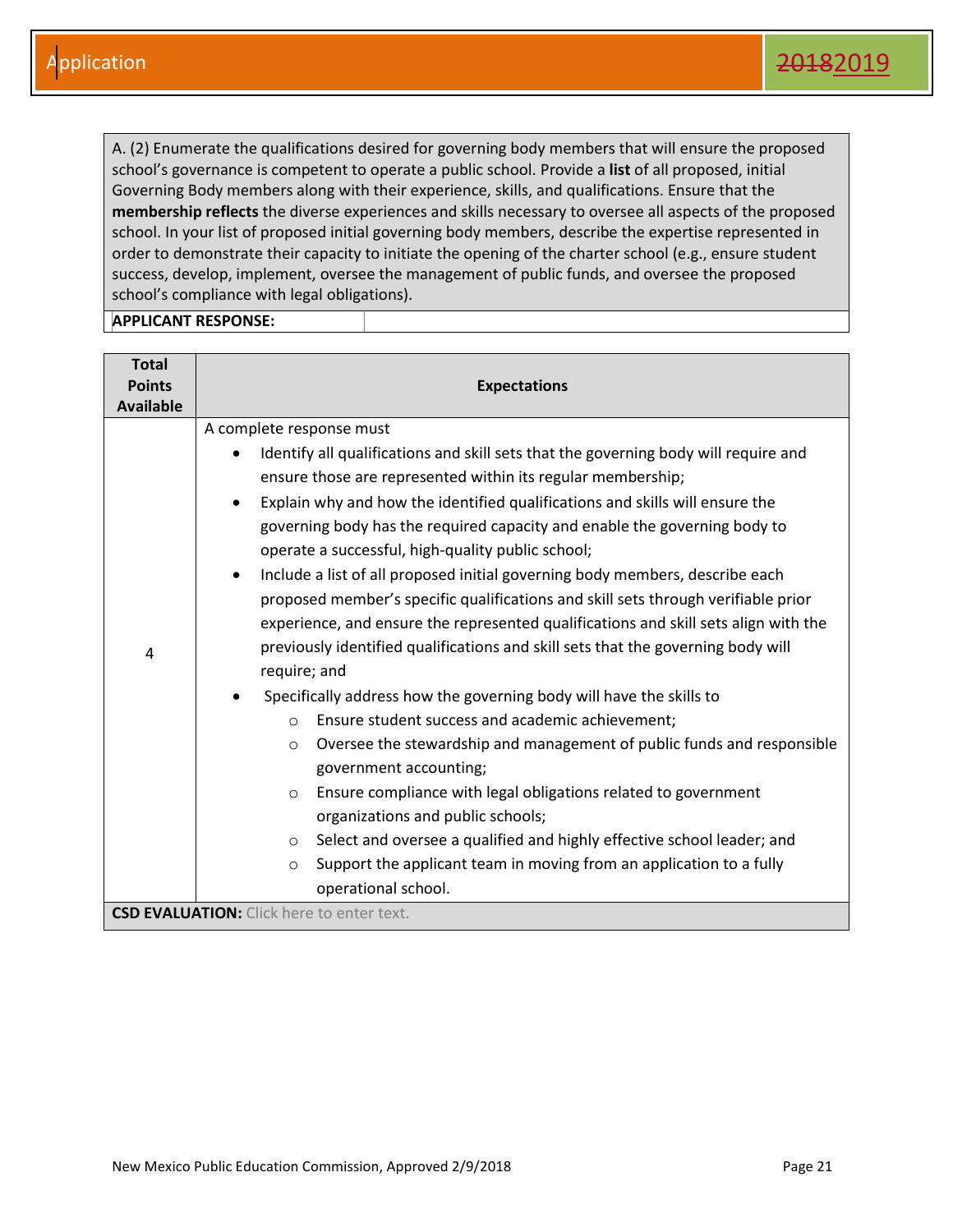A. (2) Enumerate the qualifications desired for governing body members that will ensure the proposed school's governance is competent to operate a public school. Provide a **list** of all proposed, initial Governing Body members along with their experience, skills, and qualifications. Ensure that the **membership reflects** the diverse experiences and skills necessary to oversee all aspects of the proposed school. In your list of proposed initial governing body members, describe the expertise represented in order to demonstrate their capacity to initiate the opening of the charter school (e.g., ensure student success, develop, implement, oversee the management of public funds, and oversee the proposed school's compliance with legal obligations).

| <b>Total</b><br><b>Points</b><br><b>Available</b> | <b>Expectations</b>                                                                                                                                                                                                                                                                                                                                                                                                                                                                                                                                                                                                                                                                                                                                                                                                                                                                                                                                                                                                                                                                                                                                                                                                                                                                                                                                              |
|---------------------------------------------------|------------------------------------------------------------------------------------------------------------------------------------------------------------------------------------------------------------------------------------------------------------------------------------------------------------------------------------------------------------------------------------------------------------------------------------------------------------------------------------------------------------------------------------------------------------------------------------------------------------------------------------------------------------------------------------------------------------------------------------------------------------------------------------------------------------------------------------------------------------------------------------------------------------------------------------------------------------------------------------------------------------------------------------------------------------------------------------------------------------------------------------------------------------------------------------------------------------------------------------------------------------------------------------------------------------------------------------------------------------------|
| 4                                                 | A complete response must<br>Identify all qualifications and skill sets that the governing body will require and<br>ensure those are represented within its regular membership;<br>Explain why and how the identified qualifications and skills will ensure the<br>$\bullet$<br>governing body has the required capacity and enable the governing body to<br>operate a successful, high-quality public school;<br>Include a list of all proposed initial governing body members, describe each<br>$\bullet$<br>proposed member's specific qualifications and skill sets through verifiable prior<br>experience, and ensure the represented qualifications and skill sets align with the<br>previously identified qualifications and skill sets that the governing body will<br>require; and<br>Specifically address how the governing body will have the skills to<br>Ensure student success and academic achievement;<br>$\Omega$<br>Oversee the stewardship and management of public funds and responsible<br>$\circ$<br>government accounting;<br>Ensure compliance with legal obligations related to government<br>$\circ$<br>organizations and public schools;<br>Select and oversee a qualified and highly effective school leader; and<br>$\circ$<br>Support the applicant team in moving from an application to a fully<br>$\circ$<br>operational school. |
|                                                   | <b>CSD EVALUATION:</b> Click here to enter text.                                                                                                                                                                                                                                                                                                                                                                                                                                                                                                                                                                                                                                                                                                                                                                                                                                                                                                                                                                                                                                                                                                                                                                                                                                                                                                                 |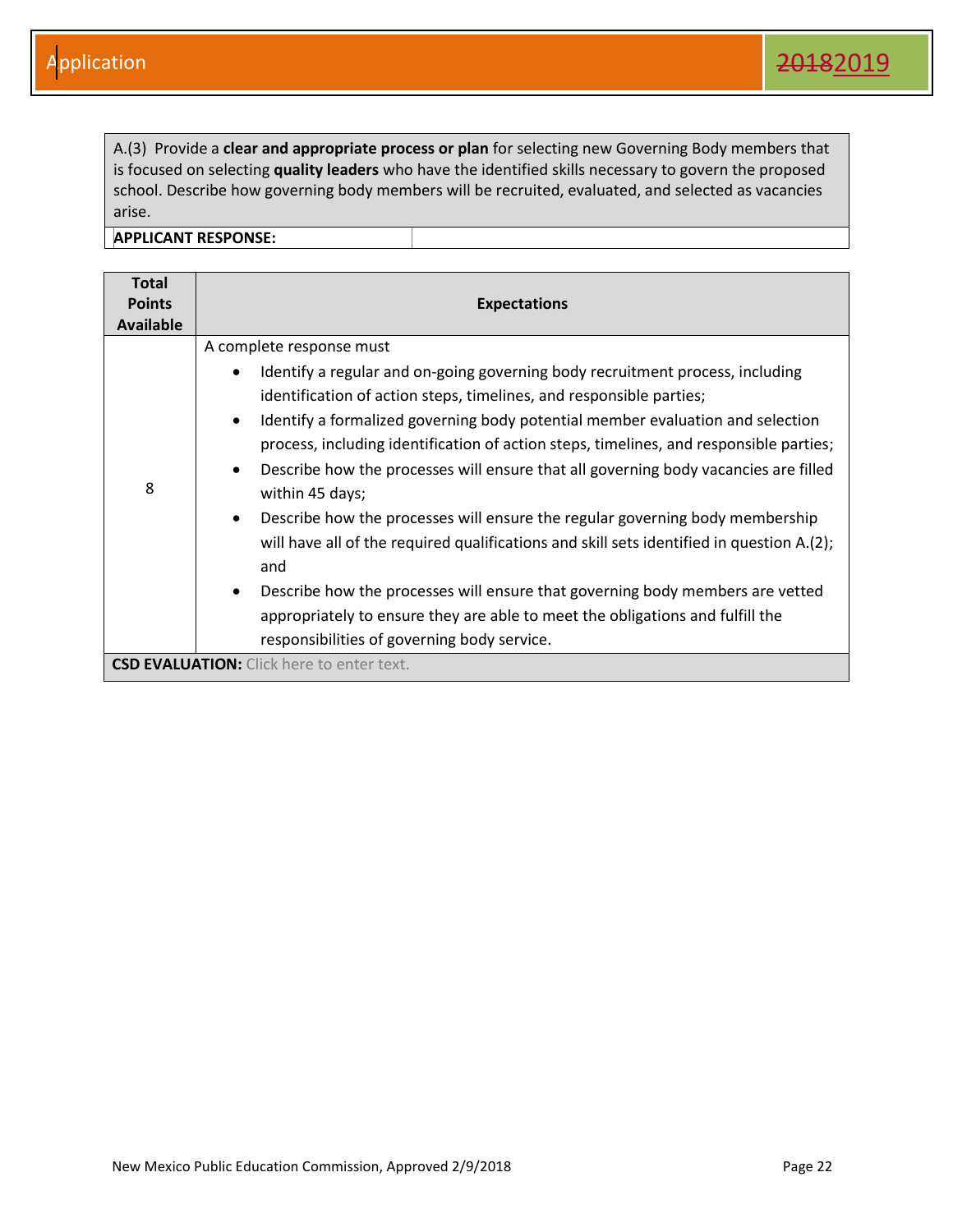A.(3) Provide a **clear and appropriate process or plan** for selecting new Governing Body members that is focused on selecting **quality leaders** who have the identified skills necessary to govern the proposed school. Describe how governing body members will be recruited, evaluated, and selected as vacancies arise.

| <b>Total</b><br><b>Points</b><br><b>Available</b> | <b>Expectations</b>                                                                                                                                                                                                                                                                                                                                                                                                                                                                                                                                                                                                                                                                                                                                                                                                                                                                                                                          |
|---------------------------------------------------|----------------------------------------------------------------------------------------------------------------------------------------------------------------------------------------------------------------------------------------------------------------------------------------------------------------------------------------------------------------------------------------------------------------------------------------------------------------------------------------------------------------------------------------------------------------------------------------------------------------------------------------------------------------------------------------------------------------------------------------------------------------------------------------------------------------------------------------------------------------------------------------------------------------------------------------------|
| 8                                                 | A complete response must<br>Identify a regular and on-going governing body recruitment process, including<br>$\bullet$<br>identification of action steps, timelines, and responsible parties;<br>Identify a formalized governing body potential member evaluation and selection<br>$\bullet$<br>process, including identification of action steps, timelines, and responsible parties;<br>Describe how the processes will ensure that all governing body vacancies are filled<br>$\bullet$<br>within 45 days;<br>Describe how the processes will ensure the regular governing body membership<br>$\bullet$<br>will have all of the required qualifications and skill sets identified in question A.(2);<br>and<br>Describe how the processes will ensure that governing body members are vetted<br>$\bullet$<br>appropriately to ensure they are able to meet the obligations and fulfill the<br>responsibilities of governing body service. |
|                                                   | <b>CSD EVALUATION:</b> Click here to enter text.                                                                                                                                                                                                                                                                                                                                                                                                                                                                                                                                                                                                                                                                                                                                                                                                                                                                                             |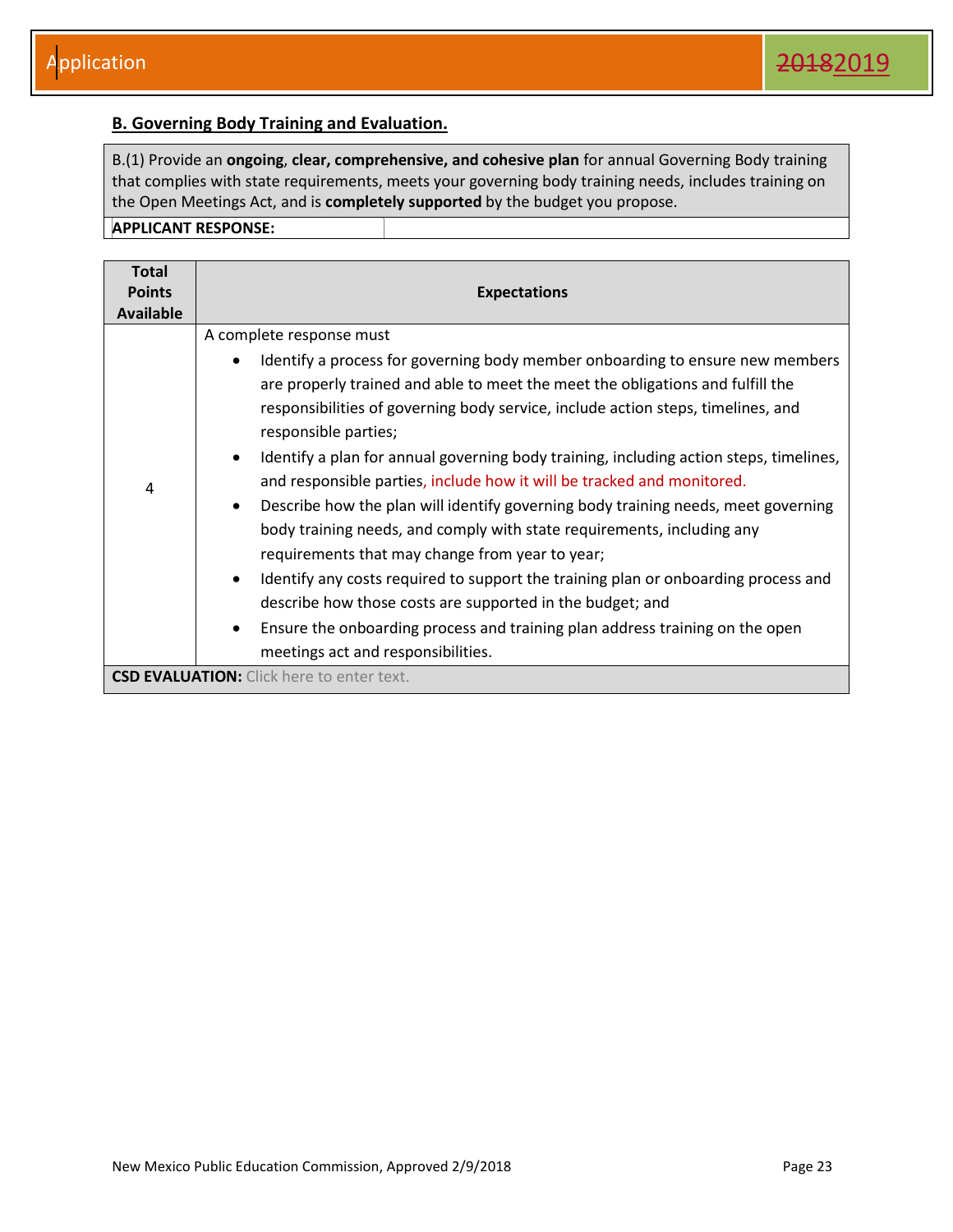#### <span id="page-23-0"></span>**B. Governing Body Training and Evaluation.**

B.(1) Provide an **ongoing**, **clear, comprehensive, and cohesive plan** for annual Governing Body training that complies with state requirements, meets your governing body training needs, includes training on the Open Meetings Act, and is **completely supported** by the budget you propose.

| <b>Total</b><br><b>Points</b><br><b>Available</b> | <b>Expectations</b>                                                                                                                                                                                                                                                                                                                                                                                                                                                                                                                                                                                                                                                                                                                                                                                                                                                                                                                                                                                                                     |
|---------------------------------------------------|-----------------------------------------------------------------------------------------------------------------------------------------------------------------------------------------------------------------------------------------------------------------------------------------------------------------------------------------------------------------------------------------------------------------------------------------------------------------------------------------------------------------------------------------------------------------------------------------------------------------------------------------------------------------------------------------------------------------------------------------------------------------------------------------------------------------------------------------------------------------------------------------------------------------------------------------------------------------------------------------------------------------------------------------|
| 4                                                 | A complete response must<br>Identify a process for governing body member onboarding to ensure new members<br>$\bullet$<br>are properly trained and able to meet the meet the obligations and fulfill the<br>responsibilities of governing body service, include action steps, timelines, and<br>responsible parties;<br>Identify a plan for annual governing body training, including action steps, timelines,<br>$\bullet$<br>and responsible parties, include how it will be tracked and monitored.<br>Describe how the plan will identify governing body training needs, meet governing<br>$\bullet$<br>body training needs, and comply with state requirements, including any<br>requirements that may change from year to year;<br>Identify any costs required to support the training plan or onboarding process and<br>$\bullet$<br>describe how those costs are supported in the budget; and<br>Ensure the onboarding process and training plan address training on the open<br>$\bullet$<br>meetings act and responsibilities. |
|                                                   | <b>CSD EVALUATION:</b> Click here to enter text.                                                                                                                                                                                                                                                                                                                                                                                                                                                                                                                                                                                                                                                                                                                                                                                                                                                                                                                                                                                        |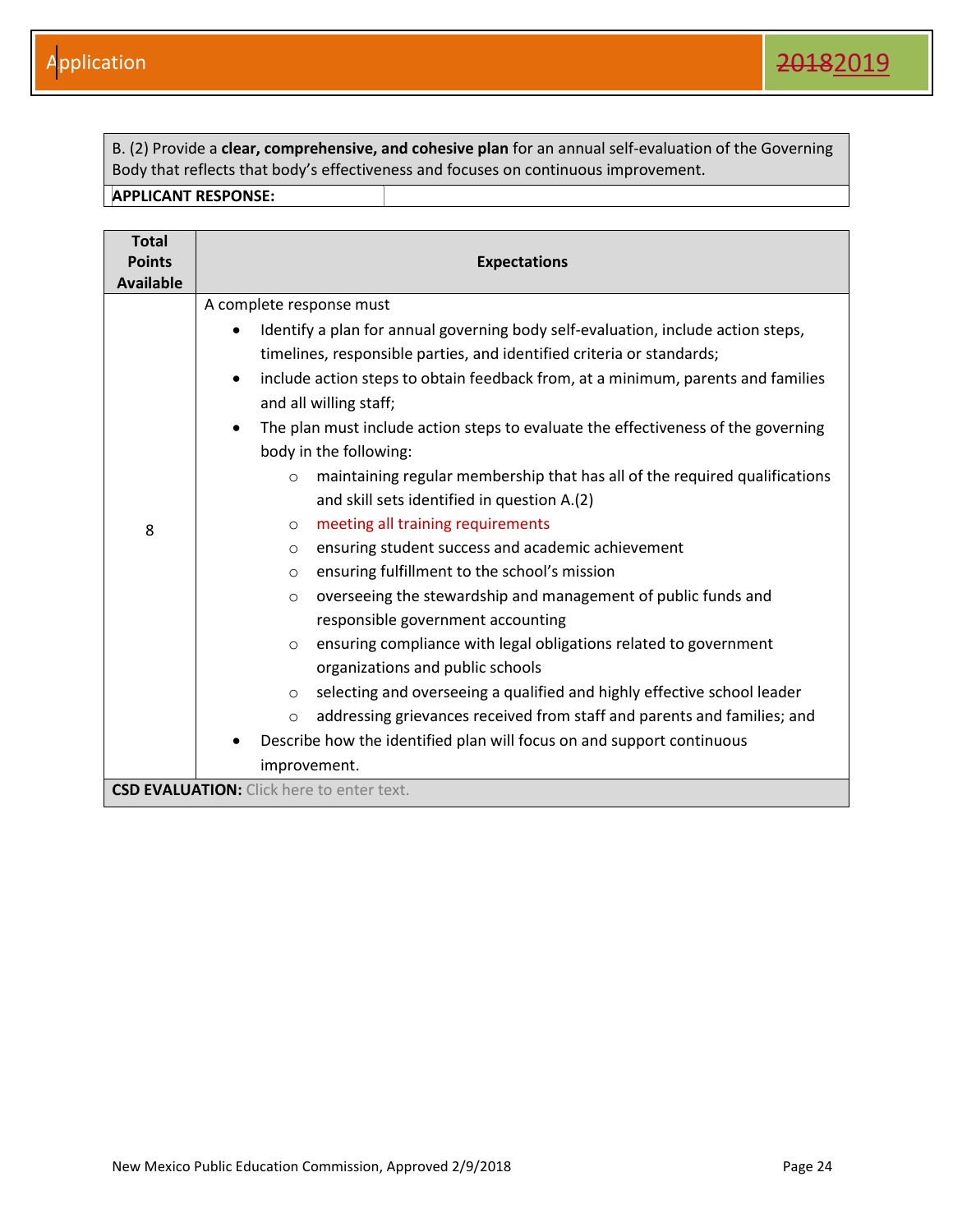B. (2) Provide a **clear, comprehensive, and cohesive plan** for an annual self-evaluation of the Governing Body that reflects that body's effectiveness and focuses on continuous improvement.

| <b>Total</b><br><b>Points</b><br><b>Available</b> | <b>Expectations</b>                                                                                                                                                                                                                                                                                                                                                                                                                                                                                                                                                                                                                                                                                                                                                                                                                                                                                                                                                                                                                                                          |
|---------------------------------------------------|------------------------------------------------------------------------------------------------------------------------------------------------------------------------------------------------------------------------------------------------------------------------------------------------------------------------------------------------------------------------------------------------------------------------------------------------------------------------------------------------------------------------------------------------------------------------------------------------------------------------------------------------------------------------------------------------------------------------------------------------------------------------------------------------------------------------------------------------------------------------------------------------------------------------------------------------------------------------------------------------------------------------------------------------------------------------------|
| 8                                                 | A complete response must<br>Identify a plan for annual governing body self-evaluation, include action steps,<br>timelines, responsible parties, and identified criteria or standards;<br>include action steps to obtain feedback from, at a minimum, parents and families<br>$\bullet$<br>and all willing staff;<br>The plan must include action steps to evaluate the effectiveness of the governing<br>body in the following:<br>maintaining regular membership that has all of the required qualifications<br>$\circ$<br>and skill sets identified in question A.(2)<br>meeting all training requirements<br>$\circ$<br>ensuring student success and academic achievement<br>$\circ$<br>ensuring fulfillment to the school's mission<br>$\circ$<br>overseeing the stewardship and management of public funds and<br>$\circ$<br>responsible government accounting<br>ensuring compliance with legal obligations related to government<br>$\circ$<br>organizations and public schools<br>selecting and overseeing a qualified and highly effective school leader<br>$\circ$ |
|                                                   | addressing grievances received from staff and parents and families; and<br>$\circ$<br>Describe how the identified plan will focus on and support continuous<br>improvement.                                                                                                                                                                                                                                                                                                                                                                                                                                                                                                                                                                                                                                                                                                                                                                                                                                                                                                  |
|                                                   | <b>CSD EVALUATION:</b> Click here to enter text.                                                                                                                                                                                                                                                                                                                                                                                                                                                                                                                                                                                                                                                                                                                                                                                                                                                                                                                                                                                                                             |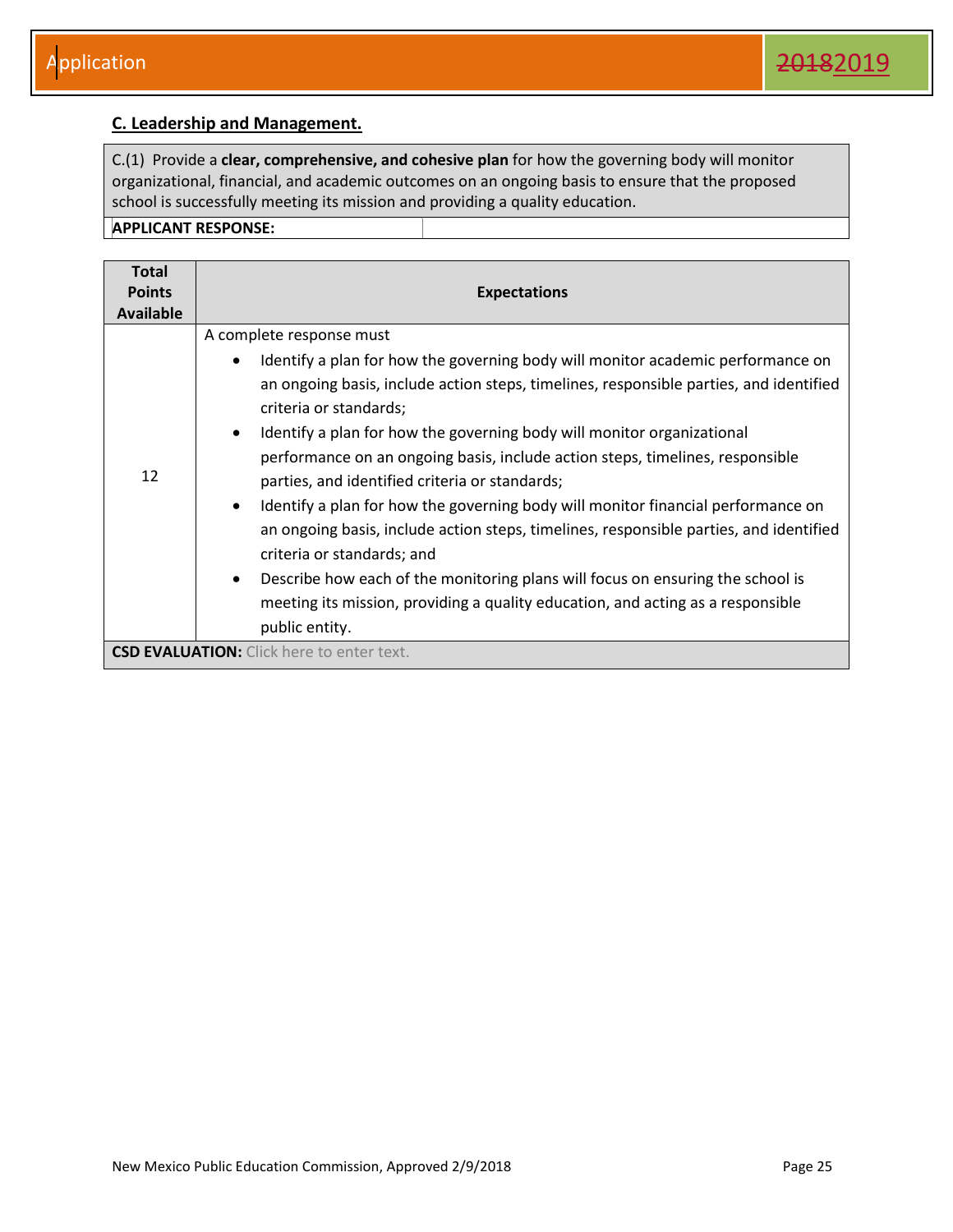#### <span id="page-25-0"></span>**C. Leadership and Management.**

C.(1) Provide a **clear, comprehensive, and cohesive plan** for how the governing body will monitor organizational, financial, and academic outcomes on an ongoing basis to ensure that the proposed school is successfully meeting its mission and providing a quality education.

| <b>Total</b><br><b>Points</b><br>Available | <b>Expectations</b>                                                                                                                                                                                                                                                                                                                                                                                                                                                                                                                                                                                                                                                                                                                                                                                                                                                                                 |
|--------------------------------------------|-----------------------------------------------------------------------------------------------------------------------------------------------------------------------------------------------------------------------------------------------------------------------------------------------------------------------------------------------------------------------------------------------------------------------------------------------------------------------------------------------------------------------------------------------------------------------------------------------------------------------------------------------------------------------------------------------------------------------------------------------------------------------------------------------------------------------------------------------------------------------------------------------------|
| 12                                         | A complete response must<br>Identify a plan for how the governing body will monitor academic performance on<br>$\bullet$<br>an ongoing basis, include action steps, timelines, responsible parties, and identified<br>criteria or standards;<br>Identify a plan for how the governing body will monitor organizational<br>$\bullet$<br>performance on an ongoing basis, include action steps, timelines, responsible<br>parties, and identified criteria or standards;<br>Identify a plan for how the governing body will monitor financial performance on<br>$\bullet$<br>an ongoing basis, include action steps, timelines, responsible parties, and identified<br>criteria or standards; and<br>Describe how each of the monitoring plans will focus on ensuring the school is<br>$\bullet$<br>meeting its mission, providing a quality education, and acting as a responsible<br>public entity. |
|                                            | <b>CSD EVALUATION:</b> Click here to enter text.                                                                                                                                                                                                                                                                                                                                                                                                                                                                                                                                                                                                                                                                                                                                                                                                                                                    |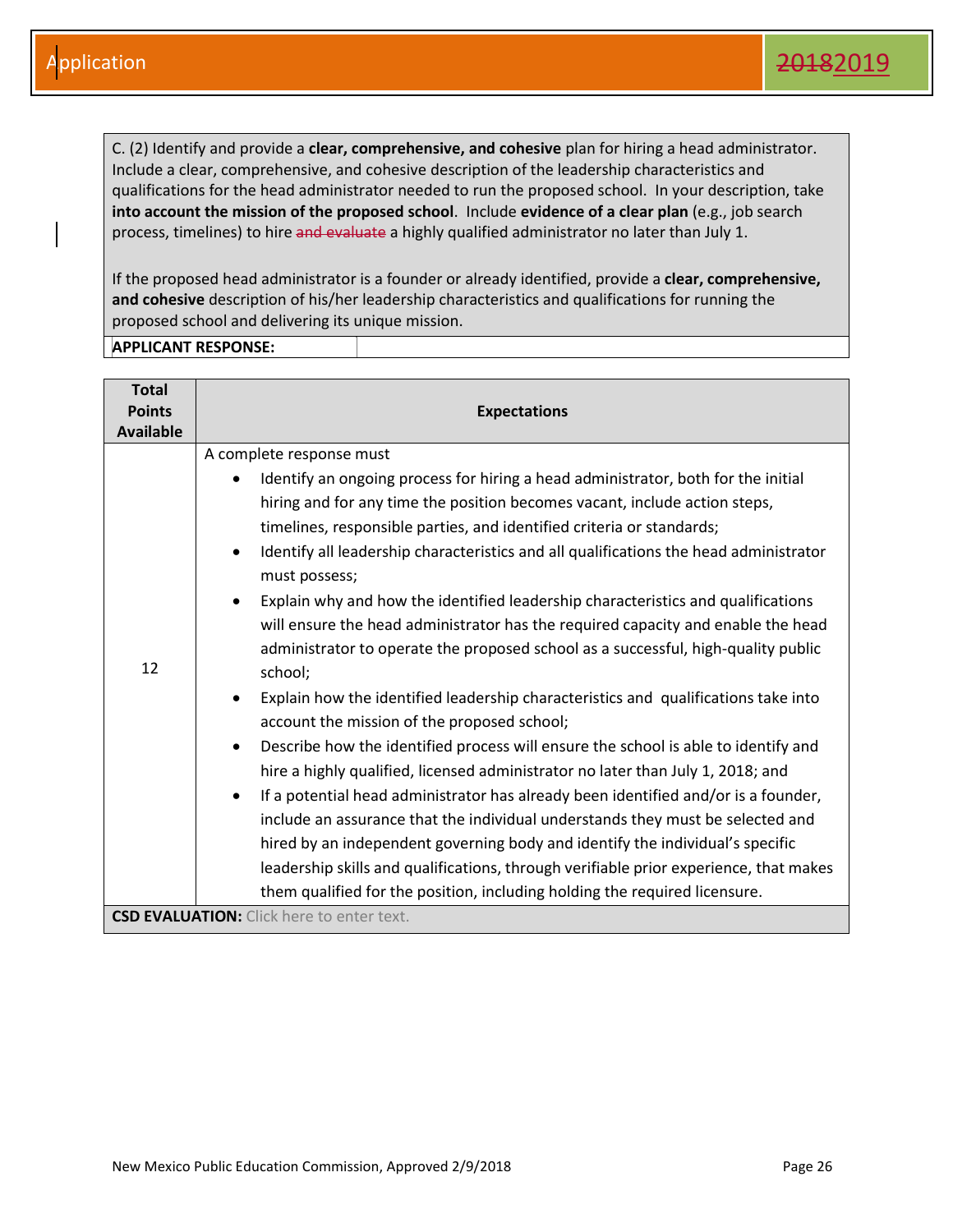C. (2) Identify and provide a **clear, comprehensive, and cohesive** plan for hiring a head administrator. Include a clear, comprehensive, and cohesive description of the leadership characteristics and qualifications for the head administrator needed to run the proposed school. In your description, take **into account the mission of the proposed school**. Include **evidence of a clear plan** (e.g., job search process, timelines) to hire and evaluate a highly qualified administrator no later than July 1.

If the proposed head administrator is a founder or already identified, provide a **clear, comprehensive, and cohesive** description of his/her leadership characteristics and qualifications for running the proposed school and delivering its unique mission.

| <b>Total</b><br><b>Points</b><br><b>Available</b> | <b>Expectations</b>                                                                                                                                                                                                                                                                                                                                                                                                                                                                                                                                                                                                                                                                                                                                                                                                                                                                                                                                                                                                                                                                                                                                                                                                                                                                                                                                                                                                                         |
|---------------------------------------------------|---------------------------------------------------------------------------------------------------------------------------------------------------------------------------------------------------------------------------------------------------------------------------------------------------------------------------------------------------------------------------------------------------------------------------------------------------------------------------------------------------------------------------------------------------------------------------------------------------------------------------------------------------------------------------------------------------------------------------------------------------------------------------------------------------------------------------------------------------------------------------------------------------------------------------------------------------------------------------------------------------------------------------------------------------------------------------------------------------------------------------------------------------------------------------------------------------------------------------------------------------------------------------------------------------------------------------------------------------------------------------------------------------------------------------------------------|
| 12                                                | A complete response must<br>Identify an ongoing process for hiring a head administrator, both for the initial<br>hiring and for any time the position becomes vacant, include action steps,<br>timelines, responsible parties, and identified criteria or standards;<br>Identify all leadership characteristics and all qualifications the head administrator<br>$\bullet$<br>must possess;<br>Explain why and how the identified leadership characteristics and qualifications<br>will ensure the head administrator has the required capacity and enable the head<br>administrator to operate the proposed school as a successful, high-quality public<br>school;<br>Explain how the identified leadership characteristics and qualifications take into<br>$\bullet$<br>account the mission of the proposed school;<br>Describe how the identified process will ensure the school is able to identify and<br>$\bullet$<br>hire a highly qualified, licensed administrator no later than July 1, 2018; and<br>If a potential head administrator has already been identified and/or is a founder,<br>include an assurance that the individual understands they must be selected and<br>hired by an independent governing body and identify the individual's specific<br>leadership skills and qualifications, through verifiable prior experience, that makes<br>them qualified for the position, including holding the required licensure. |
|                                                   | <b>CSD EVALUATION:</b> Click here to enter text.                                                                                                                                                                                                                                                                                                                                                                                                                                                                                                                                                                                                                                                                                                                                                                                                                                                                                                                                                                                                                                                                                                                                                                                                                                                                                                                                                                                            |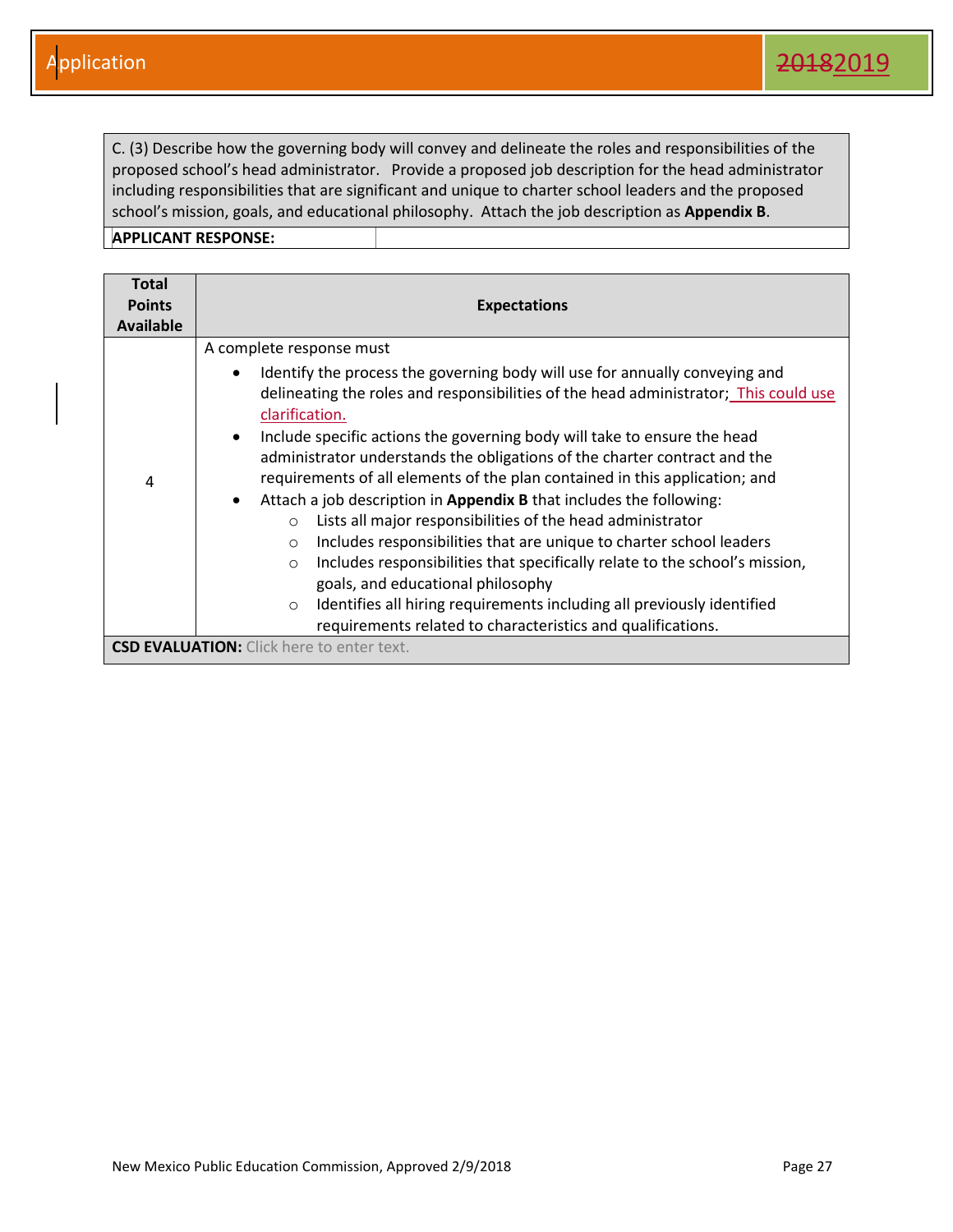C. (3) Describe how the governing body will convey and delineate the roles and responsibilities of the proposed school's head administrator. Provide a proposed job description for the head administrator including responsibilities that are significant and unique to charter school leaders and the proposed school's mission, goals, and educational philosophy. Attach the job description as **Appendix B**.

| <b>Total</b><br><b>Points</b><br>Available | <b>Expectations</b>                                                                                                                                                                                                                                                                                                                                                                                                                                                                                                                                                                                                                                                                                                                                                                                                                                                                                                                                                                                      |
|--------------------------------------------|----------------------------------------------------------------------------------------------------------------------------------------------------------------------------------------------------------------------------------------------------------------------------------------------------------------------------------------------------------------------------------------------------------------------------------------------------------------------------------------------------------------------------------------------------------------------------------------------------------------------------------------------------------------------------------------------------------------------------------------------------------------------------------------------------------------------------------------------------------------------------------------------------------------------------------------------------------------------------------------------------------|
| 4                                          | A complete response must<br>Identify the process the governing body will use for annually conveying and<br>delineating the roles and responsibilities of the head administrator; This could use<br>clarification.<br>Include specific actions the governing body will take to ensure the head<br>$\bullet$<br>administrator understands the obligations of the charter contract and the<br>requirements of all elements of the plan contained in this application; and<br>Attach a job description in Appendix B that includes the following:<br>$\bullet$<br>Lists all major responsibilities of the head administrator<br>$\circ$<br>Includes responsibilities that are unique to charter school leaders<br>$\circ$<br>Includes responsibilities that specifically relate to the school's mission,<br>$\circ$<br>goals, and educational philosophy<br>Identifies all hiring requirements including all previously identified<br>$\circ$<br>requirements related to characteristics and qualifications. |
|                                            | <b>CSD EVALUATION:</b> Click here to enter text.                                                                                                                                                                                                                                                                                                                                                                                                                                                                                                                                                                                                                                                                                                                                                                                                                                                                                                                                                         |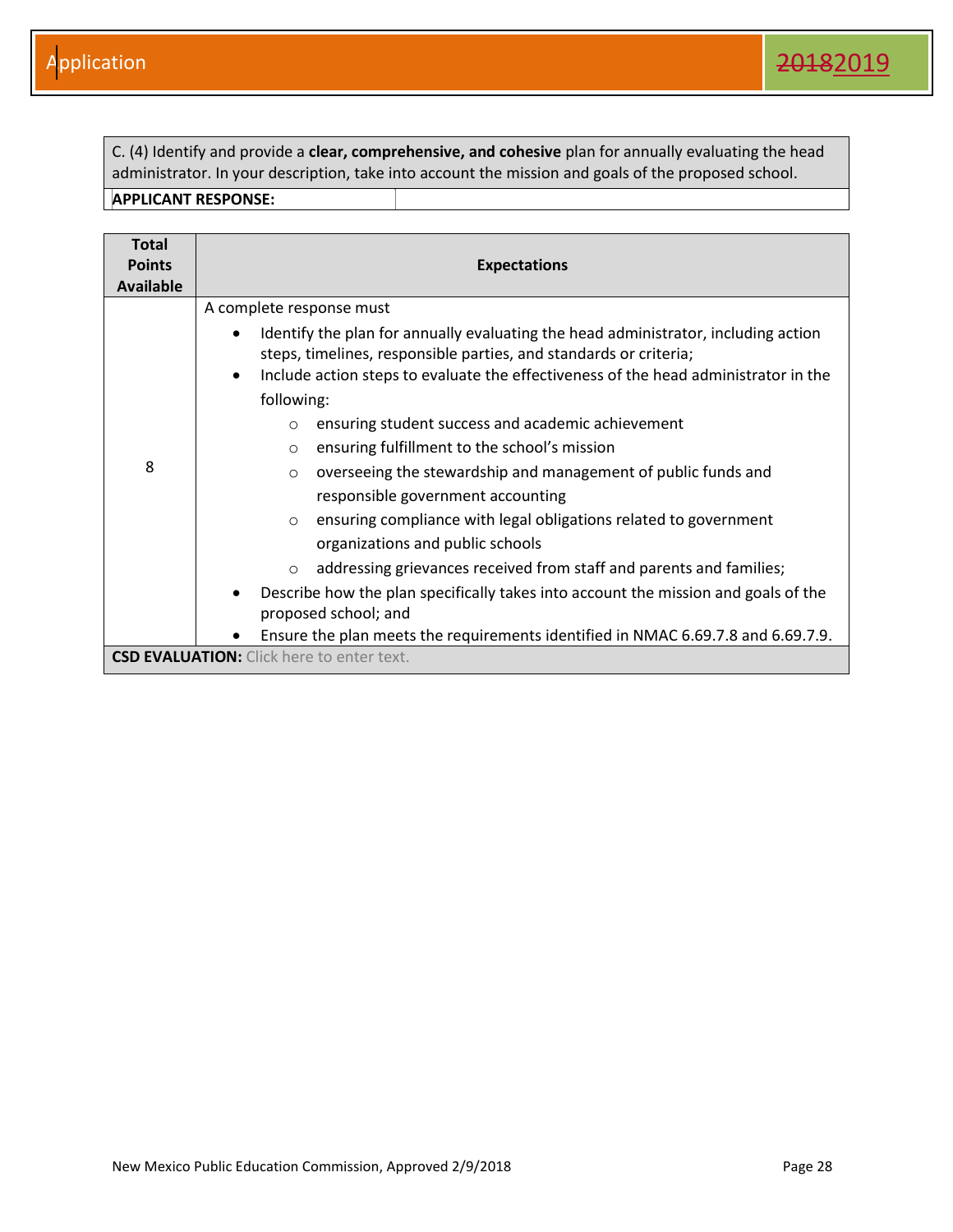C. (4) Identify and provide a **clear, comprehensive, and cohesive** plan for annually evaluating the head administrator. In your description, take into account the mission and goals of the proposed school.

| <b>Total</b><br><b>Points</b><br><b>Available</b> | <b>Expectations</b>                                                                                                                                     |
|---------------------------------------------------|---------------------------------------------------------------------------------------------------------------------------------------------------------|
|                                                   | A complete response must                                                                                                                                |
|                                                   | Identify the plan for annually evaluating the head administrator, including action<br>steps, timelines, responsible parties, and standards or criteria; |
|                                                   | Include action steps to evaluate the effectiveness of the head administrator in the<br>$\bullet$<br>following:                                          |
| 8                                                 | ensuring student success and academic achievement<br>$\circ$                                                                                            |
|                                                   | ensuring fulfillment to the school's mission<br>$\circ$                                                                                                 |
|                                                   | overseeing the stewardship and management of public funds and<br>$\circ$                                                                                |
|                                                   | responsible government accounting                                                                                                                       |
|                                                   | ensuring compliance with legal obligations related to government<br>$\circ$                                                                             |
|                                                   | organizations and public schools                                                                                                                        |
|                                                   | addressing grievances received from staff and parents and families;<br>$\circ$                                                                          |
|                                                   | Describe how the plan specifically takes into account the mission and goals of the<br>$\bullet$                                                         |
|                                                   | proposed school; and                                                                                                                                    |
|                                                   | Ensure the plan meets the requirements identified in NMAC 6.69.7.8 and 6.69.7.9.                                                                        |
|                                                   | <b>CSD EVALUATION:</b> Click here to enter text.                                                                                                        |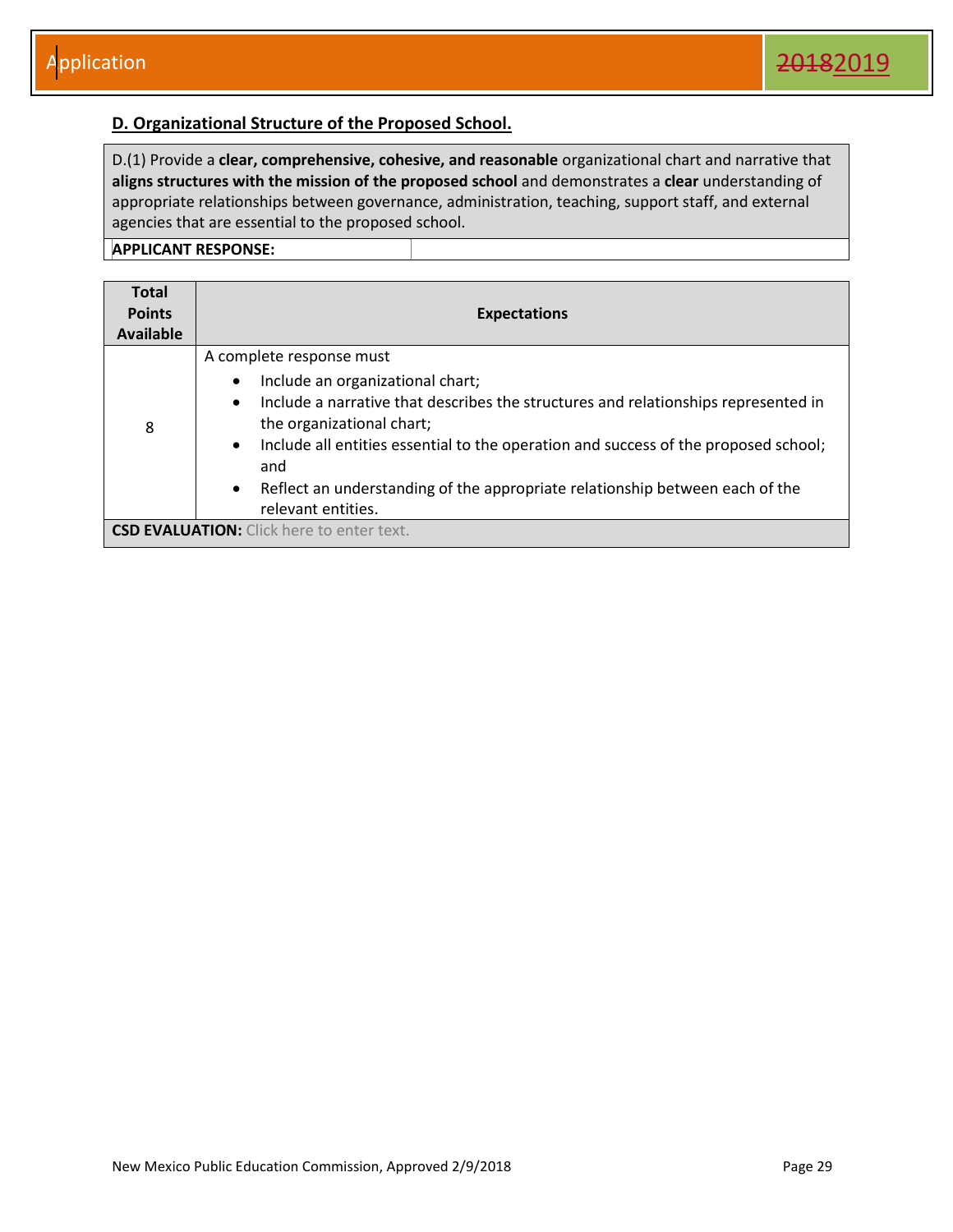#### <span id="page-29-0"></span>**D. Organizational Structure of the Proposed School.**

D.(1) Provide a **clear, comprehensive, cohesive, and reasonable** organizational chart and narrative that **aligns structures with the mission of the proposed school** and demonstrates a **clear** understanding of appropriate relationships between governance, administration, teaching, support staff, and external agencies that are essential to the proposed school.

| <b>Total</b><br><b>Points</b><br>Available | <b>Expectations</b>                                                                                                                                                                                                                                                                                                                                                                                                                     |
|--------------------------------------------|-----------------------------------------------------------------------------------------------------------------------------------------------------------------------------------------------------------------------------------------------------------------------------------------------------------------------------------------------------------------------------------------------------------------------------------------|
| 8                                          | A complete response must<br>Include an organizational chart;<br>$\bullet$<br>Include a narrative that describes the structures and relationships represented in<br>$\bullet$<br>the organizational chart;<br>Include all entities essential to the operation and success of the proposed school;<br>$\bullet$<br>and<br>Reflect an understanding of the appropriate relationship between each of the<br>$\bullet$<br>relevant entities. |
|                                            | <b>CSD EVALUATION:</b> Click here to enter text.                                                                                                                                                                                                                                                                                                                                                                                        |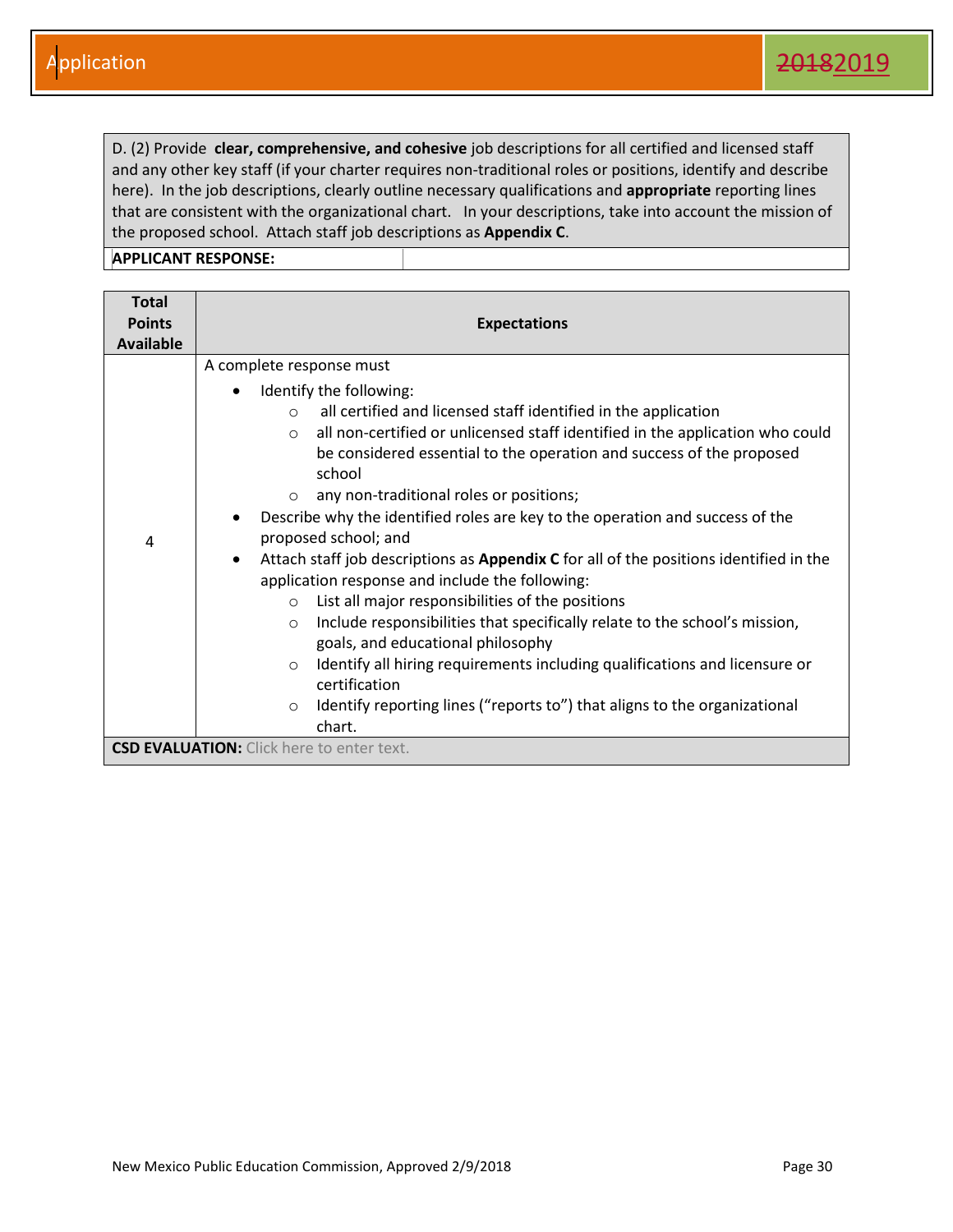D. (2) Provide **clear, comprehensive, and cohesive** job descriptions for all certified and licensed staff and any other key staff (if your charter requires non-traditional roles or positions, identify and describe here). In the job descriptions, clearly outline necessary qualifications and **appropriate** reporting lines that are consistent with the organizational chart. In your descriptions, take into account the mission of the proposed school. Attach staff job descriptions as **Appendix C**.

| <b>Total</b><br><b>Points</b><br><b>Available</b> | <b>Expectations</b>                                                                                                                                                                                                                                                                                                                                                                                                                                                                                                                                                                                                                                                                                                                                                                                                                                                                                                                                                                                                                              |
|---------------------------------------------------|--------------------------------------------------------------------------------------------------------------------------------------------------------------------------------------------------------------------------------------------------------------------------------------------------------------------------------------------------------------------------------------------------------------------------------------------------------------------------------------------------------------------------------------------------------------------------------------------------------------------------------------------------------------------------------------------------------------------------------------------------------------------------------------------------------------------------------------------------------------------------------------------------------------------------------------------------------------------------------------------------------------------------------------------------|
| 4                                                 | A complete response must<br>Identify the following:<br>all certified and licensed staff identified in the application<br>$\circ$<br>all non-certified or unlicensed staff identified in the application who could<br>$\circ$<br>be considered essential to the operation and success of the proposed<br>school<br>any non-traditional roles or positions;<br>$\circ$<br>Describe why the identified roles are key to the operation and success of the<br>proposed school; and<br>Attach staff job descriptions as Appendix C for all of the positions identified in the<br>$\bullet$<br>application response and include the following:<br>List all major responsibilities of the positions<br>$\circ$<br>Include responsibilities that specifically relate to the school's mission,<br>$\circ$<br>goals, and educational philosophy<br>Identify all hiring requirements including qualifications and licensure or<br>$\circ$<br>certification<br>Identify reporting lines ("reports to") that aligns to the organizational<br>$\circ$<br>chart. |
|                                                   | <b>CSD EVALUATION:</b> Click here to enter text.                                                                                                                                                                                                                                                                                                                                                                                                                                                                                                                                                                                                                                                                                                                                                                                                                                                                                                                                                                                                 |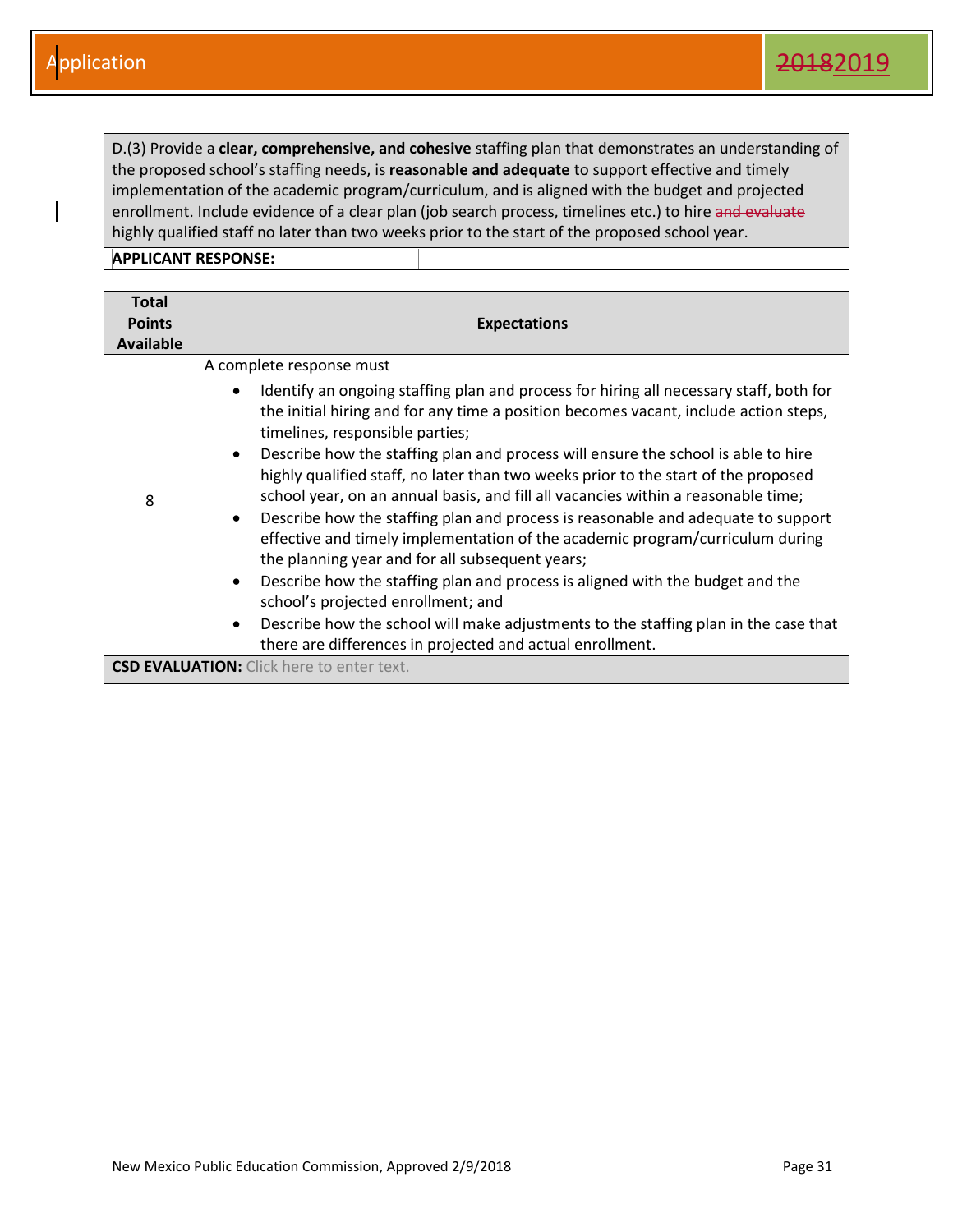D.(3) Provide a **clear, comprehensive, and cohesive** staffing plan that demonstrates an understanding of the proposed school's staffing needs, is **reasonable and adequate** to support effective and timely implementation of the academic program/curriculum, and is aligned with the budget and projected enrollment. Include evidence of a clear plan (job search process, timelines etc.) to hire and evaluate highly qualified staff no later than two weeks prior to the start of the proposed school year.

| Total            |                                                                                                                                                                                                                                                                                                                                                                                                                                                                                                                                                                                                                                                                                                                                                                                                                                                                                                                                                                                                                                                                      |
|------------------|----------------------------------------------------------------------------------------------------------------------------------------------------------------------------------------------------------------------------------------------------------------------------------------------------------------------------------------------------------------------------------------------------------------------------------------------------------------------------------------------------------------------------------------------------------------------------------------------------------------------------------------------------------------------------------------------------------------------------------------------------------------------------------------------------------------------------------------------------------------------------------------------------------------------------------------------------------------------------------------------------------------------------------------------------------------------|
| <b>Points</b>    | <b>Expectations</b>                                                                                                                                                                                                                                                                                                                                                                                                                                                                                                                                                                                                                                                                                                                                                                                                                                                                                                                                                                                                                                                  |
| <b>Available</b> |                                                                                                                                                                                                                                                                                                                                                                                                                                                                                                                                                                                                                                                                                                                                                                                                                                                                                                                                                                                                                                                                      |
| 8                | A complete response must<br>Identify an ongoing staffing plan and process for hiring all necessary staff, both for<br>the initial hiring and for any time a position becomes vacant, include action steps,<br>timelines, responsible parties;<br>Describe how the staffing plan and process will ensure the school is able to hire<br>$\bullet$<br>highly qualified staff, no later than two weeks prior to the start of the proposed<br>school year, on an annual basis, and fill all vacancies within a reasonable time;<br>Describe how the staffing plan and process is reasonable and adequate to support<br>$\bullet$<br>effective and timely implementation of the academic program/curriculum during<br>the planning year and for all subsequent years;<br>Describe how the staffing plan and process is aligned with the budget and the<br>$\bullet$<br>school's projected enrollment; and<br>Describe how the school will make adjustments to the staffing plan in the case that<br>$\bullet$<br>there are differences in projected and actual enrollment. |
|                  | <b>CSD EVALUATION:</b> Click here to enter text.                                                                                                                                                                                                                                                                                                                                                                                                                                                                                                                                                                                                                                                                                                                                                                                                                                                                                                                                                                                                                     |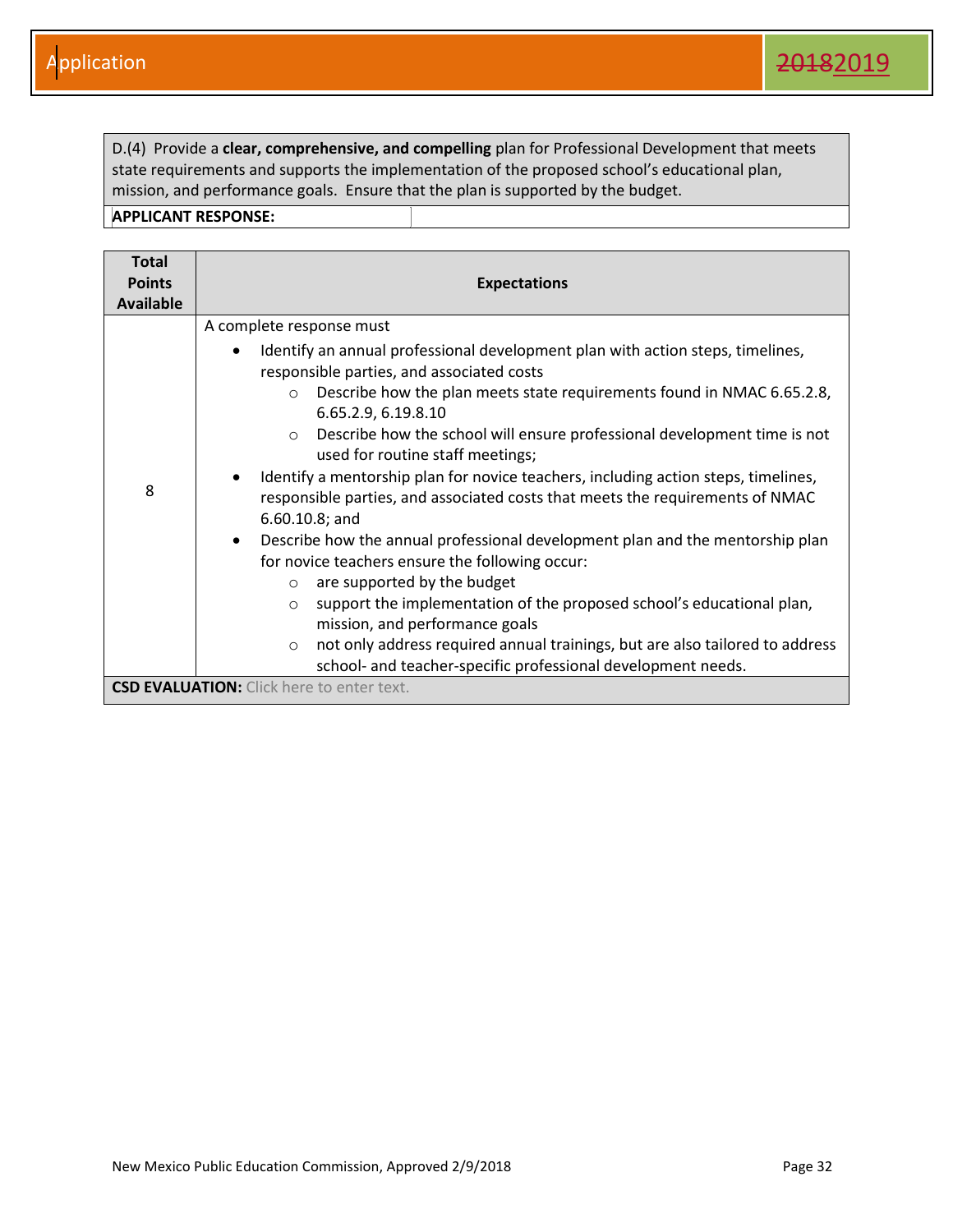D.(4) Provide a **clear, comprehensive, and compelling** plan for Professional Development that meets state requirements and supports the implementation of the proposed school's educational plan, mission, and performance goals. Ensure that the plan is supported by the budget.

| <b>Total</b>     |                                                                                                                                          |
|------------------|------------------------------------------------------------------------------------------------------------------------------------------|
| <b>Points</b>    | <b>Expectations</b>                                                                                                                      |
| <b>Available</b> |                                                                                                                                          |
|                  | A complete response must                                                                                                                 |
|                  | Identify an annual professional development plan with action steps, timelines,<br>$\bullet$<br>responsible parties, and associated costs |
|                  | Describe how the plan meets state requirements found in NMAC 6.65.2.8,<br>$\circ$<br>6.65.2.9, 6.19.8.10                                 |
|                  | Describe how the school will ensure professional development time is not<br>$\circ$<br>used for routine staff meetings;                  |
|                  | Identify a mentorship plan for novice teachers, including action steps, timelines,                                                       |
| 8                | responsible parties, and associated costs that meets the requirements of NMAC<br>$6.60.10.8$ ; and                                       |
|                  | Describe how the annual professional development plan and the mentorship plan<br>$\bullet$                                               |
|                  | for novice teachers ensure the following occur:                                                                                          |
|                  | are supported by the budget<br>$\circ$                                                                                                   |
|                  | support the implementation of the proposed school's educational plan,<br>$\circ$                                                         |
|                  | mission, and performance goals                                                                                                           |
|                  | not only address required annual trainings, but are also tailored to address<br>$\circ$                                                  |
|                  | school- and teacher-specific professional development needs.                                                                             |
|                  | <b>CSD EVALUATION:</b> Click here to enter text.                                                                                         |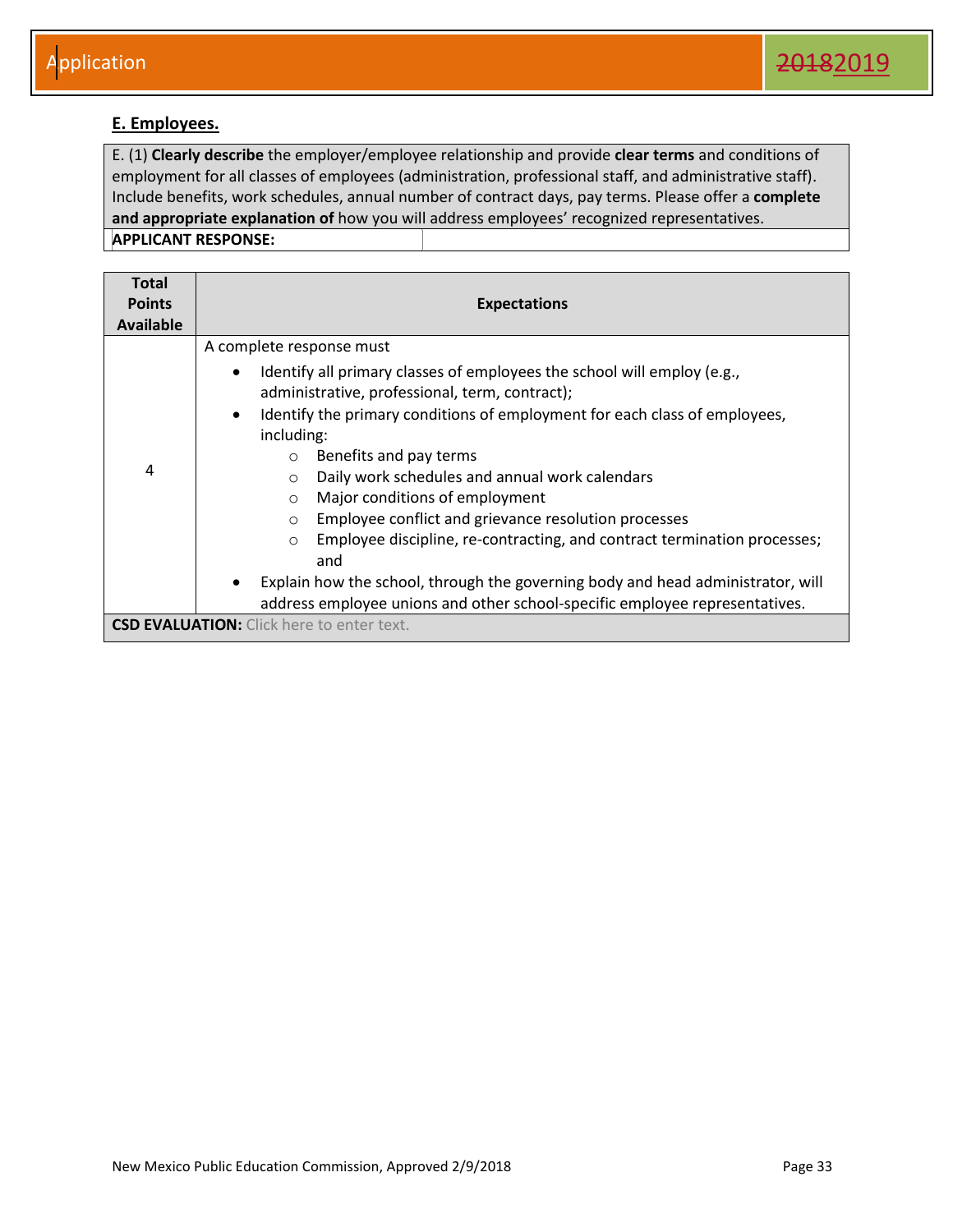#### <span id="page-33-0"></span>**E. Employees.**

E. (1) **Clearly describe** the employer/employee relationship and provide **clear terms** and conditions of employment for all classes of employees (administration, professional staff, and administrative staff). Include benefits, work schedules, annual number of contract days, pay terms. Please offer a **complete and appropriate explanation of** how you will address employees' recognized representatives. **APPLICANT RESPONSE:** 

| <b>Total</b><br><b>Points</b><br><b>Available</b> | <b>Expectations</b>                                                                                                                                                                                                                                                                                                                                                                                                                                                                                                                                                                                                                                                                                                                                           |
|---------------------------------------------------|---------------------------------------------------------------------------------------------------------------------------------------------------------------------------------------------------------------------------------------------------------------------------------------------------------------------------------------------------------------------------------------------------------------------------------------------------------------------------------------------------------------------------------------------------------------------------------------------------------------------------------------------------------------------------------------------------------------------------------------------------------------|
| 4                                                 | A complete response must<br>Identify all primary classes of employees the school will employ (e.g.,<br>$\bullet$<br>administrative, professional, term, contract);<br>Identify the primary conditions of employment for each class of employees,<br>$\bullet$<br>including:<br>Benefits and pay terms<br>$\circ$<br>Daily work schedules and annual work calendars<br>$\circ$<br>Major conditions of employment<br>$\circ$<br>Employee conflict and grievance resolution processes<br>$\circ$<br>Employee discipline, re-contracting, and contract termination processes;<br>$\circ$<br>and<br>Explain how the school, through the governing body and head administrator, will<br>address employee unions and other school-specific employee representatives. |
|                                                   | <b>CSD EVALUATION:</b> Click here to enter text.                                                                                                                                                                                                                                                                                                                                                                                                                                                                                                                                                                                                                                                                                                              |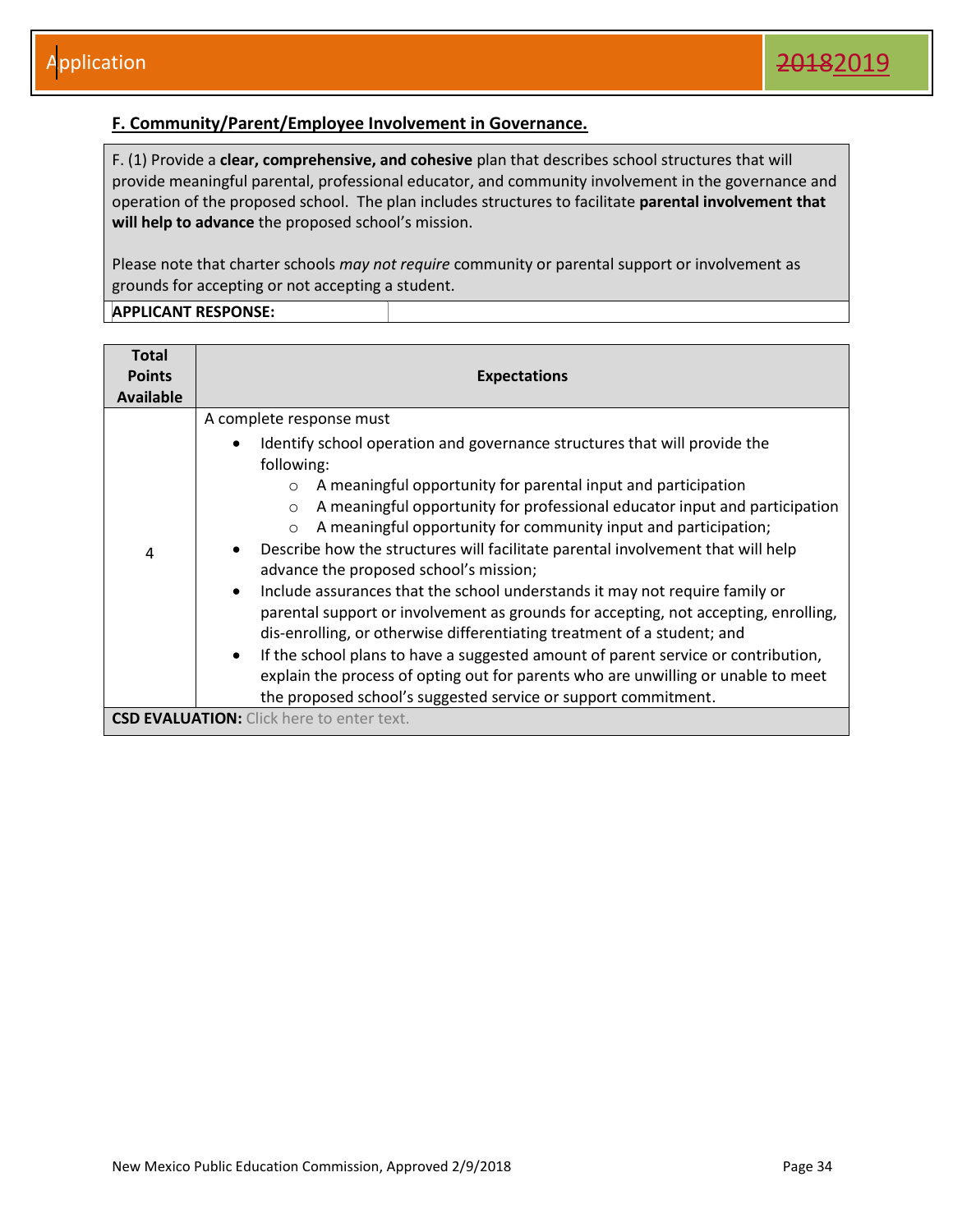#### <span id="page-34-0"></span>**F. Community/Parent/Employee Involvement in Governance.**

F. (1) Provide a **clear, comprehensive, and cohesive** plan that describes school structures that will provide meaningful parental, professional educator, and community involvement in the governance and operation of the proposed school. The plan includes structures to facilitate **parental involvement that will help to advance** the proposed school's mission.

Please note that charter schools *may not require* community or parental support or involvement as grounds for accepting or not accepting a student.

| <b>Total</b>               |                                                                                                                                                                                                                                                                                                                                                                                                                                                                                                                                                                                                                                                                                                                                                                                                                                                                                                                                                                                                                  |
|----------------------------|------------------------------------------------------------------------------------------------------------------------------------------------------------------------------------------------------------------------------------------------------------------------------------------------------------------------------------------------------------------------------------------------------------------------------------------------------------------------------------------------------------------------------------------------------------------------------------------------------------------------------------------------------------------------------------------------------------------------------------------------------------------------------------------------------------------------------------------------------------------------------------------------------------------------------------------------------------------------------------------------------------------|
| <b>Points</b><br>Available | <b>Expectations</b>                                                                                                                                                                                                                                                                                                                                                                                                                                                                                                                                                                                                                                                                                                                                                                                                                                                                                                                                                                                              |
| 4                          | A complete response must<br>Identify school operation and governance structures that will provide the<br>following:<br>A meaningful opportunity for parental input and participation<br>$\bigcirc$<br>A meaningful opportunity for professional educator input and participation<br>$\circ$<br>A meaningful opportunity for community input and participation;<br>$\circ$<br>Describe how the structures will facilitate parental involvement that will help<br>advance the proposed school's mission;<br>Include assurances that the school understands it may not require family or<br>parental support or involvement as grounds for accepting, not accepting, enrolling,<br>dis-enrolling, or otherwise differentiating treatment of a student; and<br>If the school plans to have a suggested amount of parent service or contribution,<br>$\bullet$<br>explain the process of opting out for parents who are unwilling or unable to meet<br>the proposed school's suggested service or support commitment. |
|                            | <b>CSD EVALUATION:</b> Click here to enter text.                                                                                                                                                                                                                                                                                                                                                                                                                                                                                                                                                                                                                                                                                                                                                                                                                                                                                                                                                                 |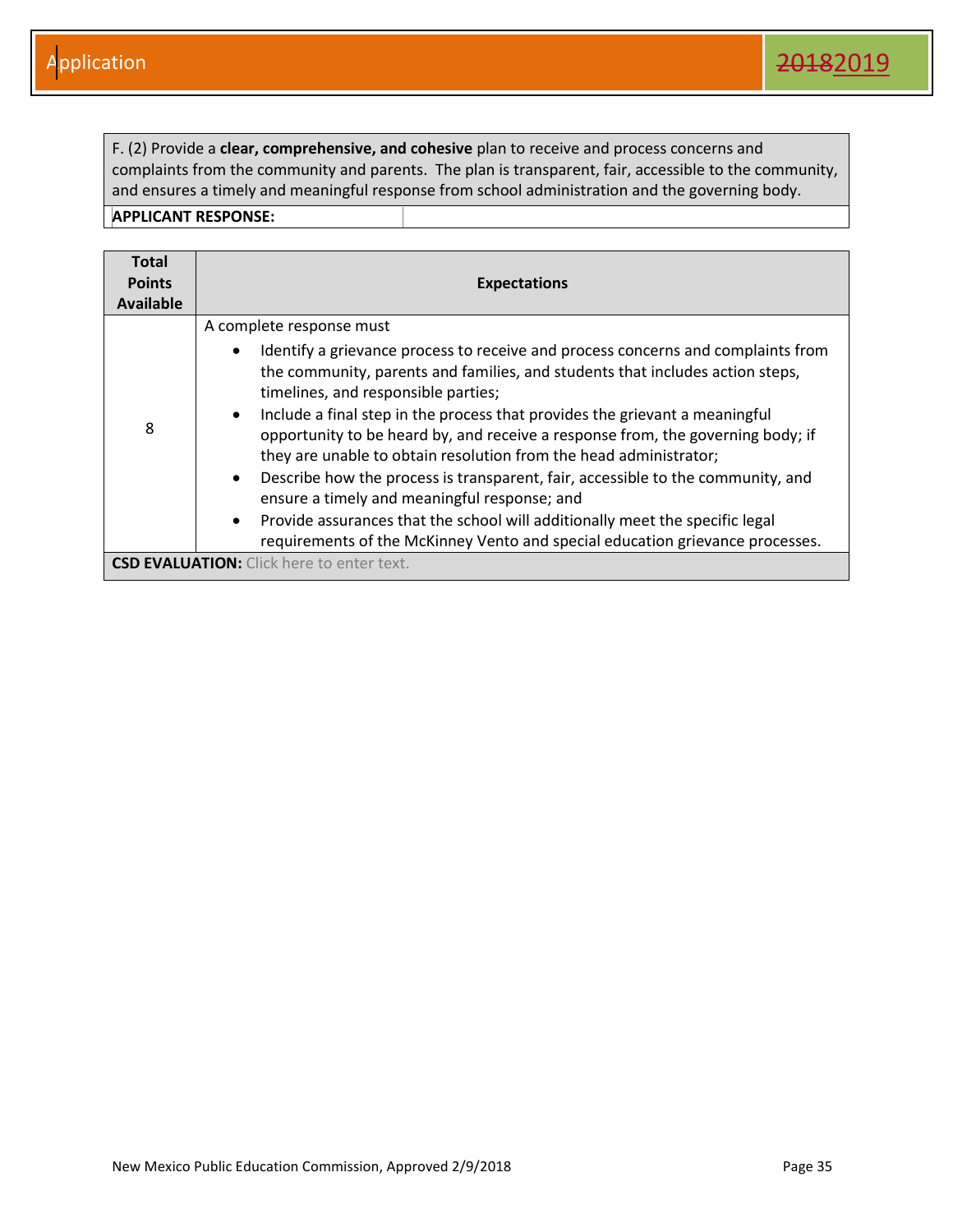F. (2) Provide a **clear, comprehensive, and cohesive** plan to receive and process concerns and complaints from the community and parents. The plan is transparent, fair, accessible to the community, and ensures a timely and meaningful response from school administration and the governing body.

| <b>Total</b><br><b>Points</b><br><b>Available</b> | <b>Expectations</b>                                                                                                                                                                                                                                                                                                                                                                                                                                                                                                                                                                                                                                                                                                                                                                                                    |
|---------------------------------------------------|------------------------------------------------------------------------------------------------------------------------------------------------------------------------------------------------------------------------------------------------------------------------------------------------------------------------------------------------------------------------------------------------------------------------------------------------------------------------------------------------------------------------------------------------------------------------------------------------------------------------------------------------------------------------------------------------------------------------------------------------------------------------------------------------------------------------|
| 8                                                 | A complete response must<br>Identify a grievance process to receive and process concerns and complaints from<br>the community, parents and families, and students that includes action steps,<br>timelines, and responsible parties;<br>Include a final step in the process that provides the grievant a meaningful<br>$\bullet$<br>opportunity to be heard by, and receive a response from, the governing body; if<br>they are unable to obtain resolution from the head administrator;<br>Describe how the process is transparent, fair, accessible to the community, and<br>$\bullet$<br>ensure a timely and meaningful response; and<br>Provide assurances that the school will additionally meet the specific legal<br>$\bullet$<br>requirements of the McKinney Vento and special education grievance processes. |
|                                                   | <b>CSD EVALUATION:</b> Click here to enter text.                                                                                                                                                                                                                                                                                                                                                                                                                                                                                                                                                                                                                                                                                                                                                                       |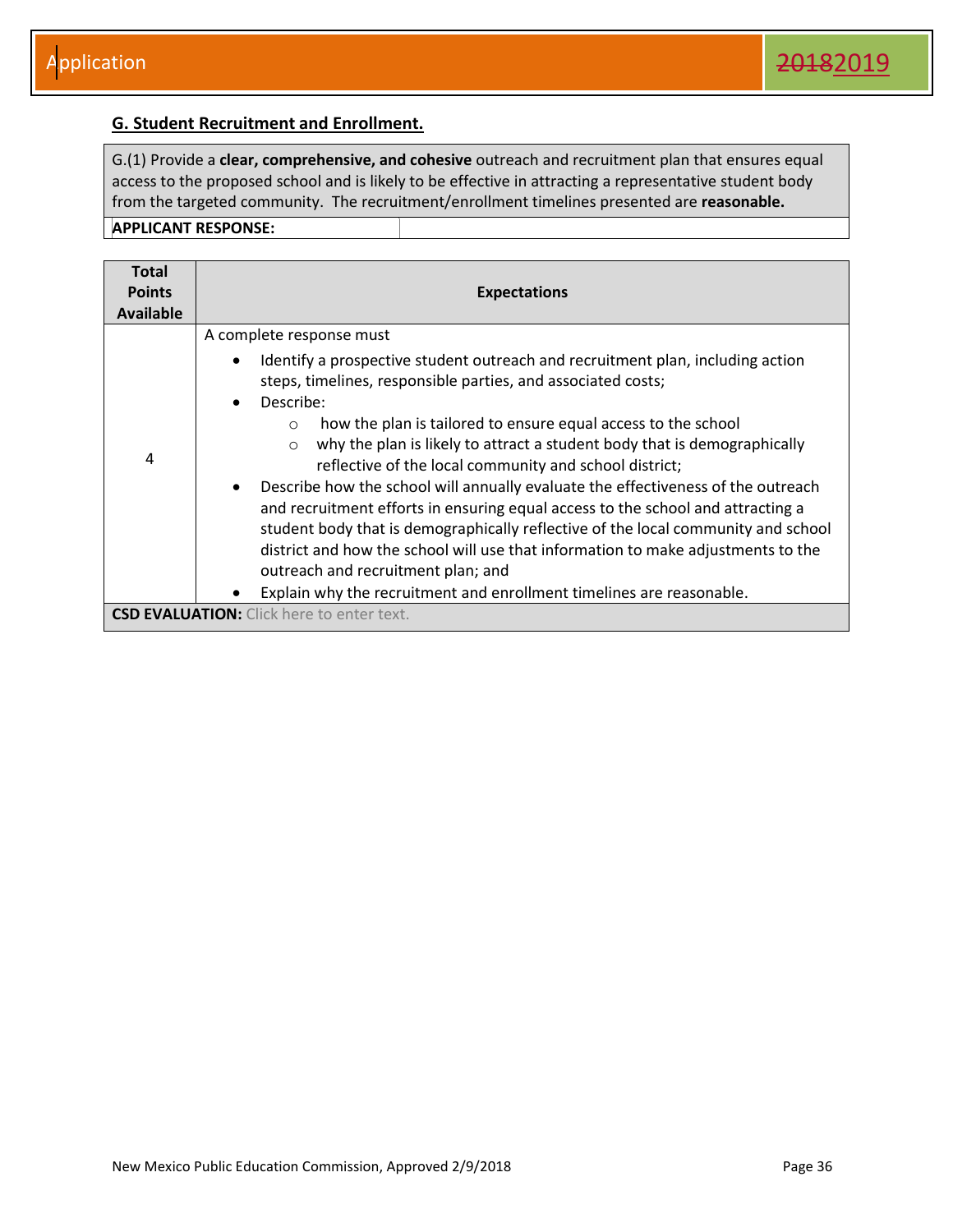#### <span id="page-36-0"></span>**G. Student Recruitment and Enrollment.**

G.(1) Provide a **clear, comprehensive, and cohesive** outreach and recruitment plan that ensures equal access to the proposed school and is likely to be effective in attracting a representative student body from the targeted community. The recruitment/enrollment timelines presented are **reasonable. APPLICANT RESPONSE:** 

| <b>Total</b><br><b>Points</b><br><b>Available</b> | <b>Expectations</b>                                                                                                                                                                                                                                                                                                                                                                                                                                                                                                                                                                                                                                                                                  |
|---------------------------------------------------|------------------------------------------------------------------------------------------------------------------------------------------------------------------------------------------------------------------------------------------------------------------------------------------------------------------------------------------------------------------------------------------------------------------------------------------------------------------------------------------------------------------------------------------------------------------------------------------------------------------------------------------------------------------------------------------------------|
|                                                   | A complete response must                                                                                                                                                                                                                                                                                                                                                                                                                                                                                                                                                                                                                                                                             |
|                                                   | Identify a prospective student outreach and recruitment plan, including action<br>$\bullet$<br>steps, timelines, responsible parties, and associated costs;<br>Describe:<br>$\bullet$                                                                                                                                                                                                                                                                                                                                                                                                                                                                                                                |
| 4                                                 | how the plan is tailored to ensure equal access to the school<br>$\circ$<br>why the plan is likely to attract a student body that is demographically<br>$\circ$<br>reflective of the local community and school district;<br>Describe how the school will annually evaluate the effectiveness of the outreach<br>$\bullet$<br>and recruitment efforts in ensuring equal access to the school and attracting a<br>student body that is demographically reflective of the local community and school<br>district and how the school will use that information to make adjustments to the<br>outreach and recruitment plan; and<br>Explain why the recruitment and enrollment timelines are reasonable. |
|                                                   | <b>CSD EVALUATION:</b> Click here to enter text.                                                                                                                                                                                                                                                                                                                                                                                                                                                                                                                                                                                                                                                     |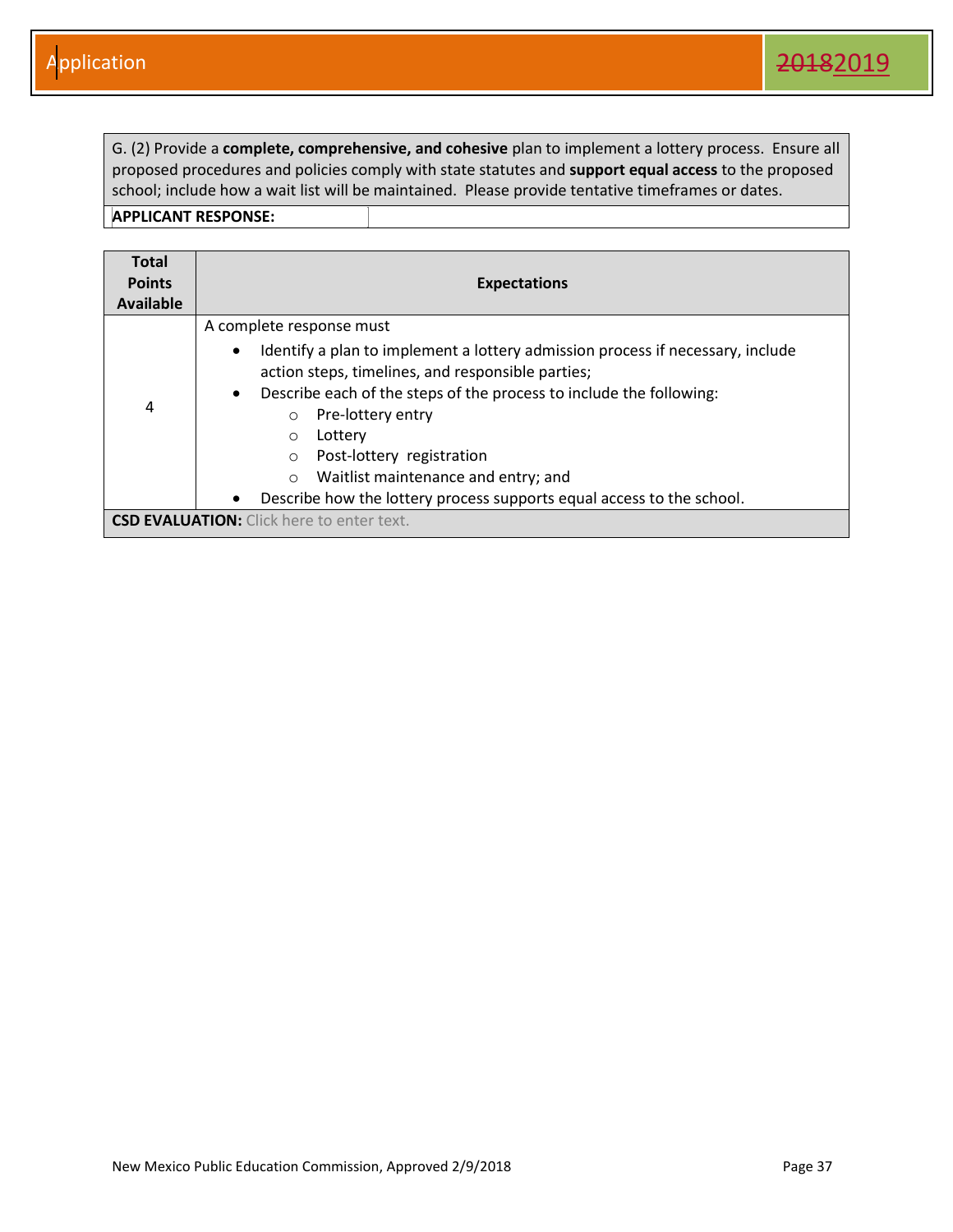G. (2) Provide a **complete, comprehensive, and cohesive** plan to implement a lottery process. Ensure all proposed procedures and policies comply with state statutes and **support equal access** to the proposed school; include how a wait list will be maintained. Please provide tentative timeframes or dates.

| <b>Total</b><br><b>Points</b> | <b>Expectations</b>                                                                                                                                                                                                                                                                                                                                                                                                                                                                          |  |  |
|-------------------------------|----------------------------------------------------------------------------------------------------------------------------------------------------------------------------------------------------------------------------------------------------------------------------------------------------------------------------------------------------------------------------------------------------------------------------------------------------------------------------------------------|--|--|
| Available                     |                                                                                                                                                                                                                                                                                                                                                                                                                                                                                              |  |  |
| 4                             | A complete response must<br>Identify a plan to implement a lottery admission process if necessary, include<br>$\bullet$<br>action steps, timelines, and responsible parties;<br>Describe each of the steps of the process to include the following:<br>$\bullet$<br>Pre-lottery entry<br>Lottery<br>$\circ$<br>Post-lottery registration<br>$\circ$<br>Waitlist maintenance and entry; and<br>$\Omega$<br>Describe how the lottery process supports equal access to the school.<br>$\bullet$ |  |  |
|                               | <b>CSD EVALUATION:</b> Click here to enter text.                                                                                                                                                                                                                                                                                                                                                                                                                                             |  |  |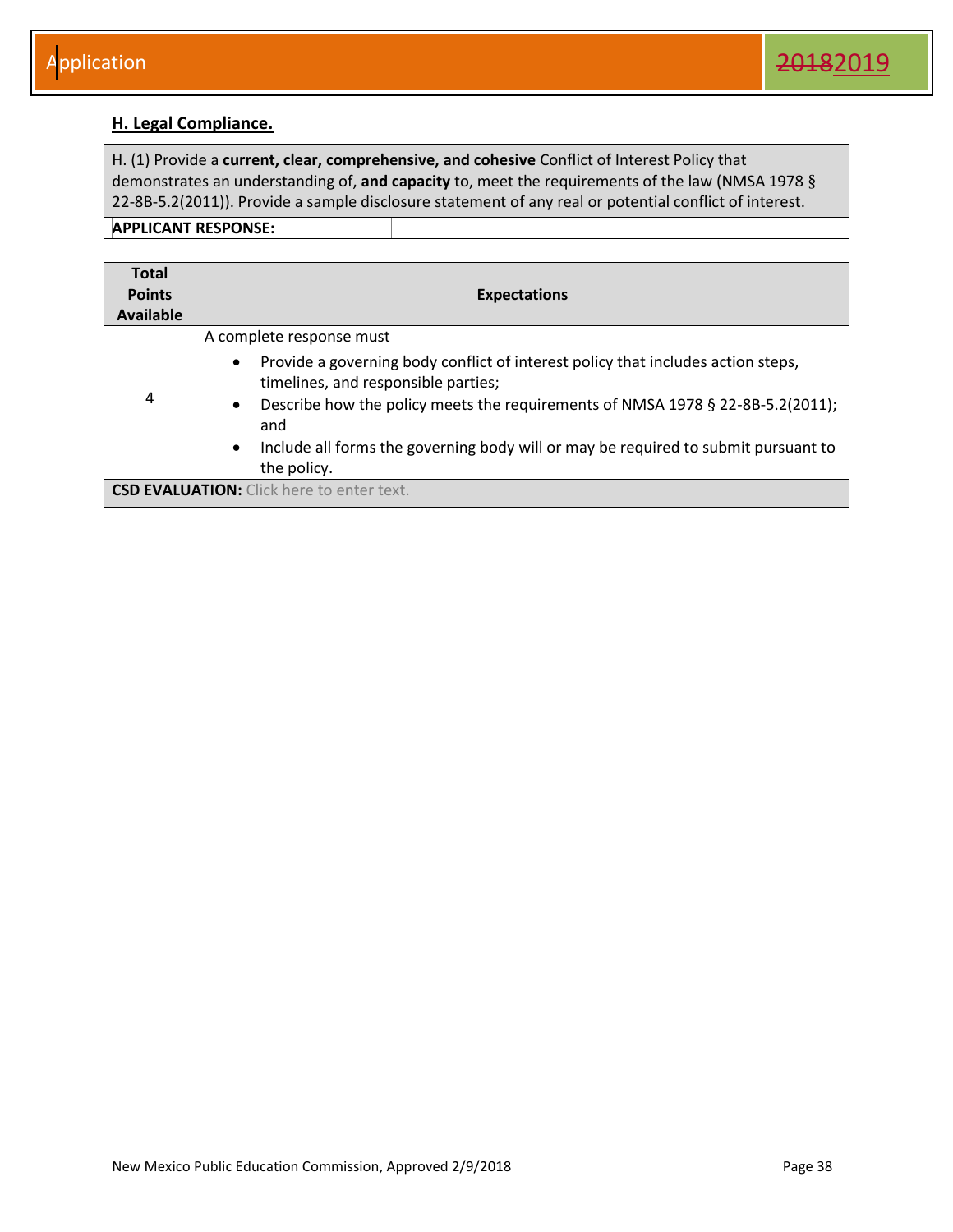#### <span id="page-38-0"></span>**H. Legal Compliance.**

H. (1) Provide a **current, clear, comprehensive, and cohesive** Conflict of Interest Policy that demonstrates an understanding of, **and capacity** to, meet the requirements of the law (NMSA 1978 § 22-8B-5.2(2011)). Provide a sample disclosure statement of any real or potential conflict of interest. **APPLICANT RESPONSE:** 

| <b>Total</b><br><b>Points</b><br><b>Available</b> | <b>Expectations</b>                                                                                                                                                                                                                                                                                                                                                                      |
|---------------------------------------------------|------------------------------------------------------------------------------------------------------------------------------------------------------------------------------------------------------------------------------------------------------------------------------------------------------------------------------------------------------------------------------------------|
| 4                                                 | A complete response must<br>Provide a governing body conflict of interest policy that includes action steps,<br>$\bullet$<br>timelines, and responsible parties;<br>Describe how the policy meets the requirements of NMSA 1978 § 22-8B-5.2(2011);<br>$\bullet$<br>and<br>Include all forms the governing body will or may be required to submit pursuant to<br>$\bullet$<br>the policy. |
|                                                   | <b>CSD EVALUATION:</b> Click here to enter text.                                                                                                                                                                                                                                                                                                                                         |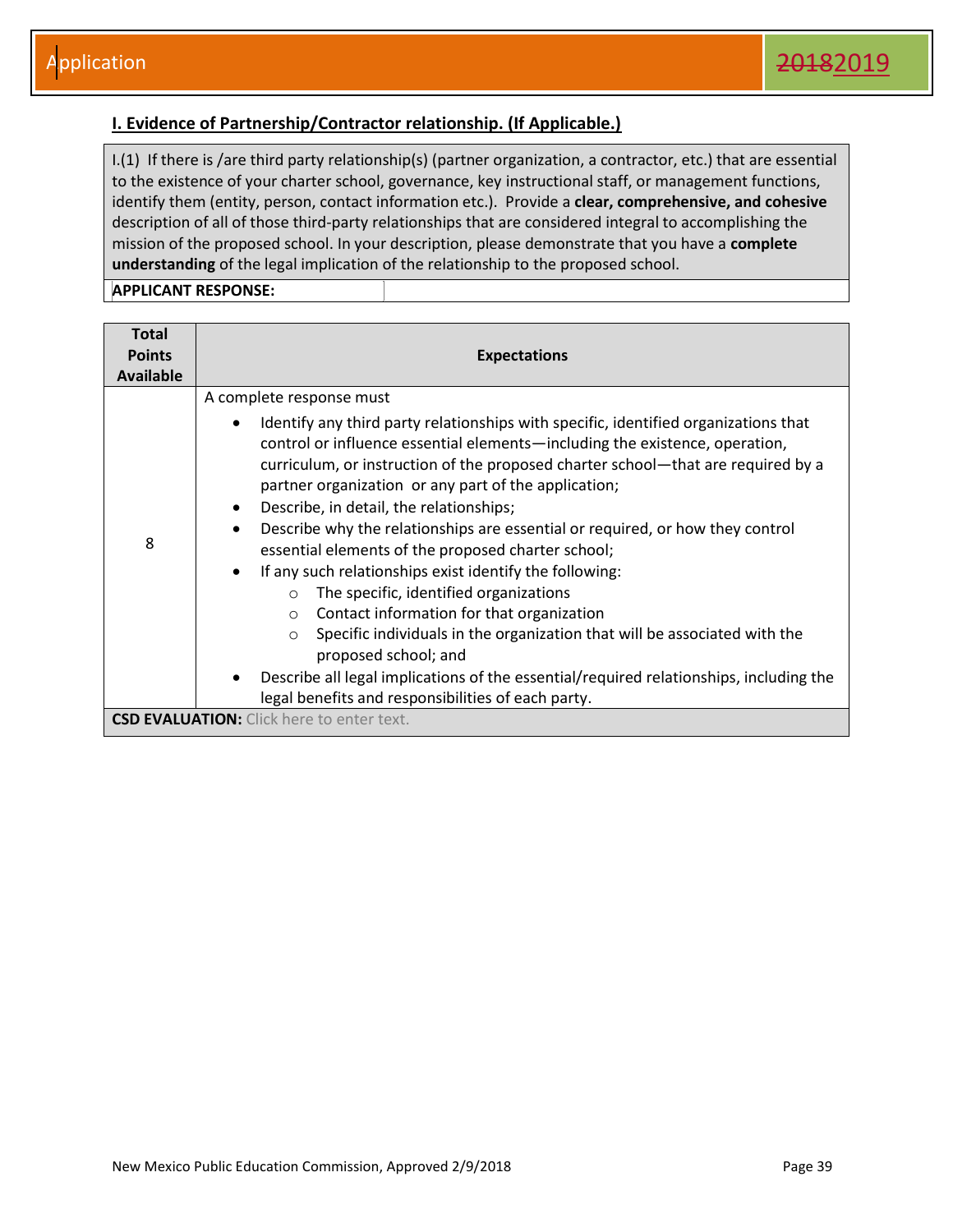#### <span id="page-39-0"></span>**I. Evidence of Partnership/Contractor relationship. (If Applicable.)**

I.(1) If there is /are third party relationship(s) (partner organization, a contractor, etc.) that are essential to the existence of your charter school, governance, key instructional staff, or management functions, identify them (entity, person, contact information etc.). Provide a **clear, comprehensive, and cohesive**  description of all of those third-party relationships that are considered integral to accomplishing the mission of the proposed school. In your description, please demonstrate that you have a **complete understanding** of the legal implication of the relationship to the proposed school.

| <b>Total</b><br><b>Points</b><br><b>Available</b> | <b>Expectations</b>                                                                                                                                                                                                                                                                                                                                                                                                                                                                                                                                                                                                                                                                                                                                                                                                                                                                                                                                                                                                                                                    |  |  |  |
|---------------------------------------------------|------------------------------------------------------------------------------------------------------------------------------------------------------------------------------------------------------------------------------------------------------------------------------------------------------------------------------------------------------------------------------------------------------------------------------------------------------------------------------------------------------------------------------------------------------------------------------------------------------------------------------------------------------------------------------------------------------------------------------------------------------------------------------------------------------------------------------------------------------------------------------------------------------------------------------------------------------------------------------------------------------------------------------------------------------------------------|--|--|--|
| 8                                                 | A complete response must<br>Identify any third party relationships with specific, identified organizations that<br>$\bullet$<br>control or influence essential elements—including the existence, operation,<br>curriculum, or instruction of the proposed charter school—that are required by a<br>partner organization or any part of the application;<br>Describe, in detail, the relationships;<br>$\bullet$<br>Describe why the relationships are essential or required, or how they control<br>$\bullet$<br>essential elements of the proposed charter school;<br>If any such relationships exist identify the following:<br>$\bullet$<br>The specific, identified organizations<br>$\circ$<br>Contact information for that organization<br>$\circ$<br>Specific individuals in the organization that will be associated with the<br>proposed school; and<br>Describe all legal implications of the essential/required relationships, including the<br>٠<br>legal benefits and responsibilities of each party.<br><b>CSD EVALUATION:</b> Click here to enter text. |  |  |  |
|                                                   |                                                                                                                                                                                                                                                                                                                                                                                                                                                                                                                                                                                                                                                                                                                                                                                                                                                                                                                                                                                                                                                                        |  |  |  |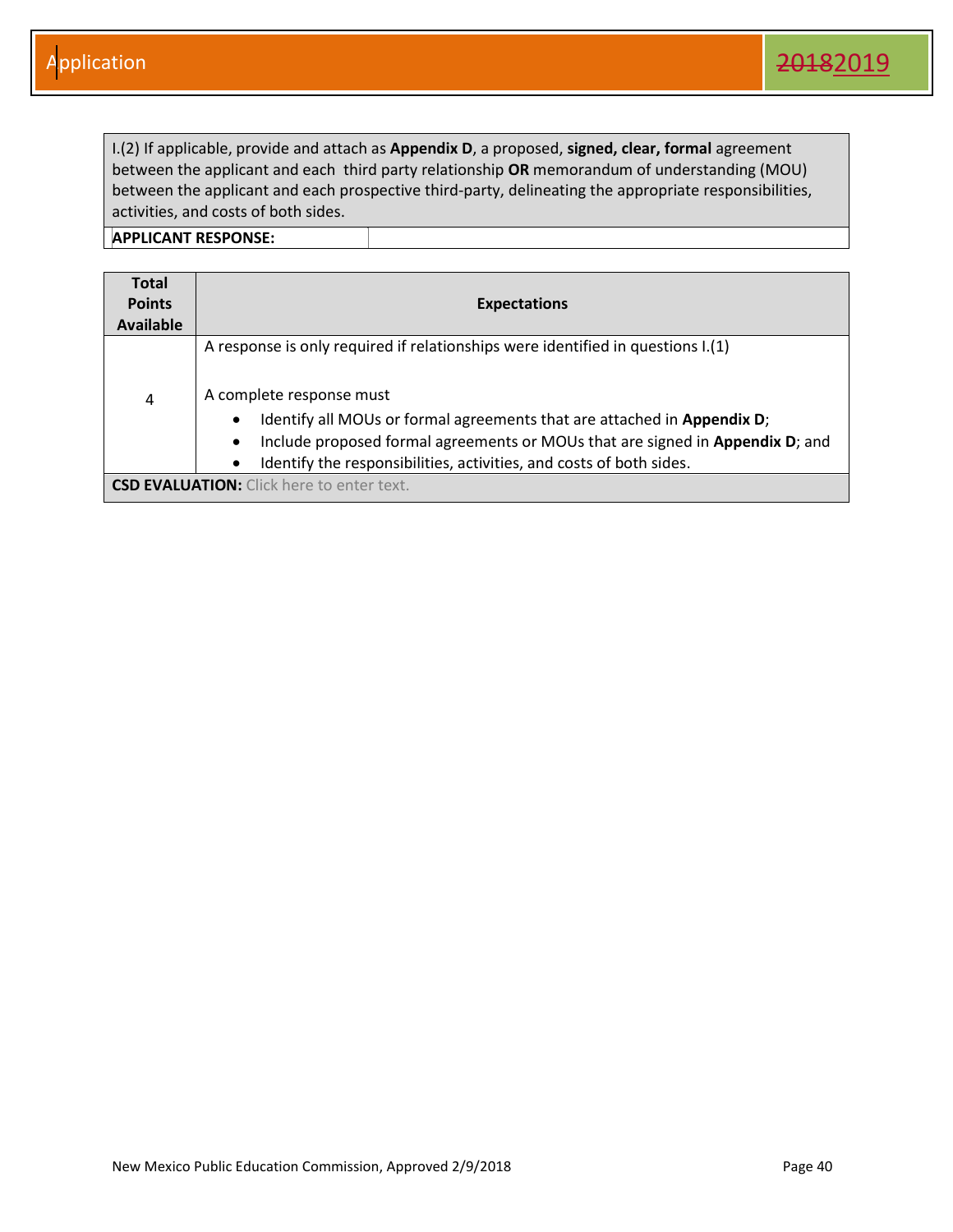I.(2) If applicable, provide and attach as **Appendix D**, a proposed, **signed, clear, formal** agreement between the applicant and each third party relationship **OR** memorandum of understanding (MOU) between the applicant and each prospective third-party, delineating the appropriate responsibilities, activities, and costs of both sides.

| <b>Total</b><br><b>Points</b><br><b>Available</b> | <b>Expectations</b>                                                                                                                                                                                                                                                                                                                                         |
|---------------------------------------------------|-------------------------------------------------------------------------------------------------------------------------------------------------------------------------------------------------------------------------------------------------------------------------------------------------------------------------------------------------------------|
| 4                                                 | A response is only required if relationships were identified in questions I.(1)<br>A complete response must<br>Identify all MOUs or formal agreements that are attached in Appendix D;<br>Include proposed formal agreements or MOUs that are signed in Appendix D; and<br>$\bullet$<br>Identify the responsibilities, activities, and costs of both sides. |
|                                                   | <b>CSD EVALUATION:</b> Click here to enter text.                                                                                                                                                                                                                                                                                                            |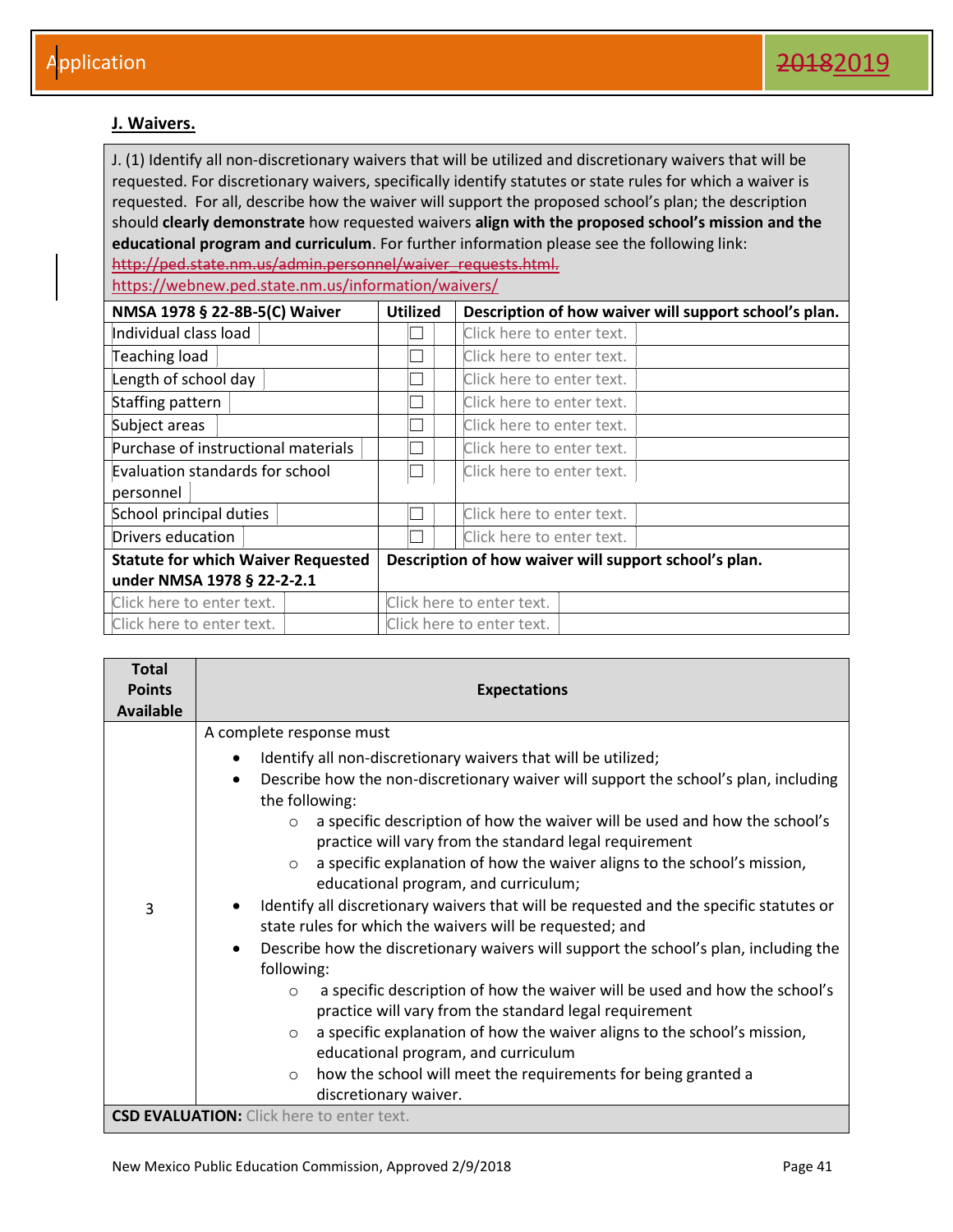#### <span id="page-41-0"></span>**J. Waivers.**

J. (1) Identify all non-discretionary waivers that will be utilized and discretionary waivers that will be requested. For discretionary waivers, specifically identify statutes or state rules for which a waiver is requested. For all, describe how the waiver will support the proposed school's plan; the description should **clearly demonstrate** how requested waivers **align with the proposed school's mission and the educational program and curriculum**. For further information please see the following link: http://ped.state.nm.us/admin.personnel/waiver\_requests.html.

https://webnew.ped.state.nm.us/information/waivers/

| NMSA 1978 § 22-8B-5(C) Waiver             | <b>Utilized</b> | Description of how waiver will support school's plan. |  |
|-------------------------------------------|-----------------|-------------------------------------------------------|--|
| Individual class load                     |                 | Click here to enter text.                             |  |
| Teaching load                             |                 | Click here to enter text.                             |  |
| Length of school day                      |                 | Click here to enter text.                             |  |
| Staffing pattern                          |                 | Click here to enter text.                             |  |
| Subject areas                             |                 | Click here to enter text.                             |  |
| Purchase of instructional materials       |                 | Click here to enter text.                             |  |
| Evaluation standards for school           | П               | Click here to enter text.                             |  |
| personnel                                 |                 |                                                       |  |
| School principal duties                   |                 | Click here to enter text.                             |  |
| Drivers education                         |                 | Click here to enter text.                             |  |
| <b>Statute for which Waiver Requested</b> |                 | Description of how waiver will support school's plan. |  |
| under NMSA 1978 § 22-2-2.1                |                 |                                                       |  |
| Click here to enter text.                 |                 | Click here to enter text.                             |  |
| Click here to enter text.                 |                 | Click here to enter text.                             |  |

| <b>Total</b><br><b>Points</b><br><b>Available</b> | <b>Expectations</b>                                                                                                                                                                                                                                                                                                                                                                                                                                                                                                                                                                                                                                                                                                                                                                                                                                                                                                                                                                                                                                                                                                                                                              |  |  |  |
|---------------------------------------------------|----------------------------------------------------------------------------------------------------------------------------------------------------------------------------------------------------------------------------------------------------------------------------------------------------------------------------------------------------------------------------------------------------------------------------------------------------------------------------------------------------------------------------------------------------------------------------------------------------------------------------------------------------------------------------------------------------------------------------------------------------------------------------------------------------------------------------------------------------------------------------------------------------------------------------------------------------------------------------------------------------------------------------------------------------------------------------------------------------------------------------------------------------------------------------------|--|--|--|
| 3                                                 | A complete response must<br>Identify all non-discretionary waivers that will be utilized;<br>$\bullet$<br>Describe how the non-discretionary waiver will support the school's plan, including<br>$\bullet$<br>the following:<br>a specific description of how the waiver will be used and how the school's<br>$\circ$<br>practice will vary from the standard legal requirement<br>a specific explanation of how the waiver aligns to the school's mission,<br>$\bigcirc$<br>educational program, and curriculum;<br>Identify all discretionary waivers that will be requested and the specific statutes or<br>state rules for which the waivers will be requested; and<br>Describe how the discretionary waivers will support the school's plan, including the<br>$\bullet$<br>following:<br>a specific description of how the waiver will be used and how the school's<br>$\circ$<br>practice will vary from the standard legal requirement<br>a specific explanation of how the waiver aligns to the school's mission,<br>$\circ$<br>educational program, and curriculum<br>how the school will meet the requirements for being granted a<br>$\circ$<br>discretionary waiver. |  |  |  |
|                                                   | <b>CSD EVALUATION:</b> Click here to enter text.                                                                                                                                                                                                                                                                                                                                                                                                                                                                                                                                                                                                                                                                                                                                                                                                                                                                                                                                                                                                                                                                                                                                 |  |  |  |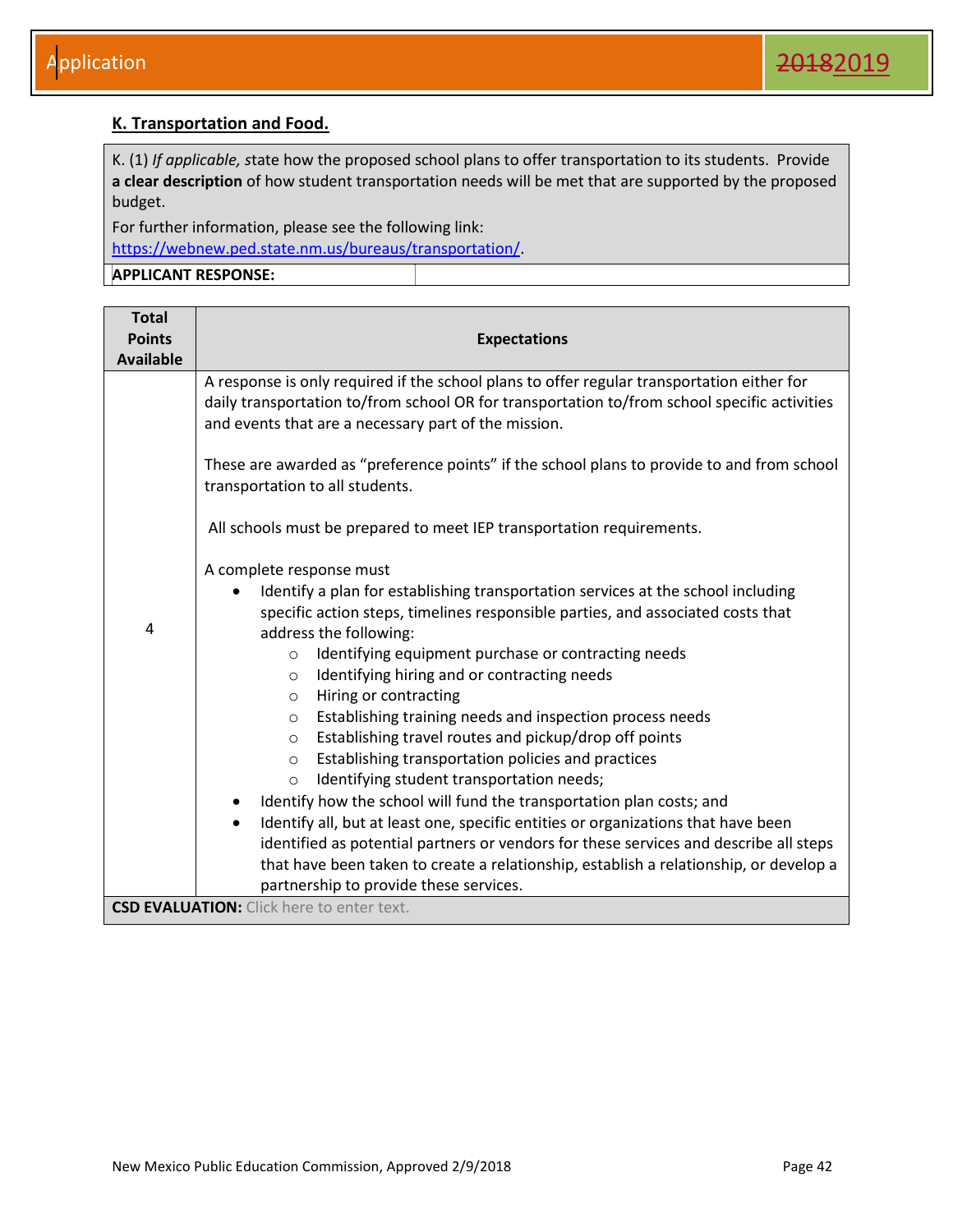#### <span id="page-42-0"></span>**K. Transportation and Food.**

K. (1) *If applicable, s*tate how the proposed school plans to offer transportation to its students. Provide **a clear description** of how student transportation needs will be met that are supported by the proposed budget.

For further information, please see the following link: [https://webnew.ped.state.nm.us/bureaus/transportation/.](http://ped.state.nm.us/div/fin/trans/index.html)

| <b>Total</b>                                     |                                                                                                                                                                                            |  |  |  |  |
|--------------------------------------------------|--------------------------------------------------------------------------------------------------------------------------------------------------------------------------------------------|--|--|--|--|
| <b>Points</b>                                    | <b>Expectations</b>                                                                                                                                                                        |  |  |  |  |
| <b>Available</b>                                 |                                                                                                                                                                                            |  |  |  |  |
|                                                  | A response is only required if the school plans to offer regular transportation either for<br>daily transportation to/from school OR for transportation to/from school specific activities |  |  |  |  |
|                                                  | and events that are a necessary part of the mission.                                                                                                                                       |  |  |  |  |
|                                                  | These are awarded as "preference points" if the school plans to provide to and from school<br>transportation to all students.                                                              |  |  |  |  |
|                                                  | All schools must be prepared to meet IEP transportation requirements.                                                                                                                      |  |  |  |  |
|                                                  | A complete response must                                                                                                                                                                   |  |  |  |  |
|                                                  | Identify a plan for establishing transportation services at the school including<br>$\bullet$                                                                                              |  |  |  |  |
| $\overline{4}$                                   | specific action steps, timelines responsible parties, and associated costs that                                                                                                            |  |  |  |  |
|                                                  | address the following:                                                                                                                                                                     |  |  |  |  |
|                                                  | Identifying equipment purchase or contracting needs<br>$\circ$                                                                                                                             |  |  |  |  |
|                                                  | Identifying hiring and or contracting needs<br>$\circ$                                                                                                                                     |  |  |  |  |
|                                                  | Hiring or contracting<br>$\circ$                                                                                                                                                           |  |  |  |  |
|                                                  | Establishing training needs and inspection process needs<br>$\circ$                                                                                                                        |  |  |  |  |
|                                                  | Establishing travel routes and pickup/drop off points<br>$\circ$                                                                                                                           |  |  |  |  |
|                                                  | Establishing transportation policies and practices<br>$\circ$<br>Identifying student transportation needs;                                                                                 |  |  |  |  |
|                                                  | $\circ$<br>Identify how the school will fund the transportation plan costs; and                                                                                                            |  |  |  |  |
|                                                  | Identify all, but at least one, specific entities or organizations that have been                                                                                                          |  |  |  |  |
|                                                  |                                                                                                                                                                                            |  |  |  |  |
|                                                  | identified as potential partners or vendors for these services and describe all steps<br>that have been taken to create a relationship, establish a relationship, or develop a             |  |  |  |  |
|                                                  | partnership to provide these services.                                                                                                                                                     |  |  |  |  |
| <b>CSD EVALUATION:</b> Click here to enter text. |                                                                                                                                                                                            |  |  |  |  |
|                                                  |                                                                                                                                                                                            |  |  |  |  |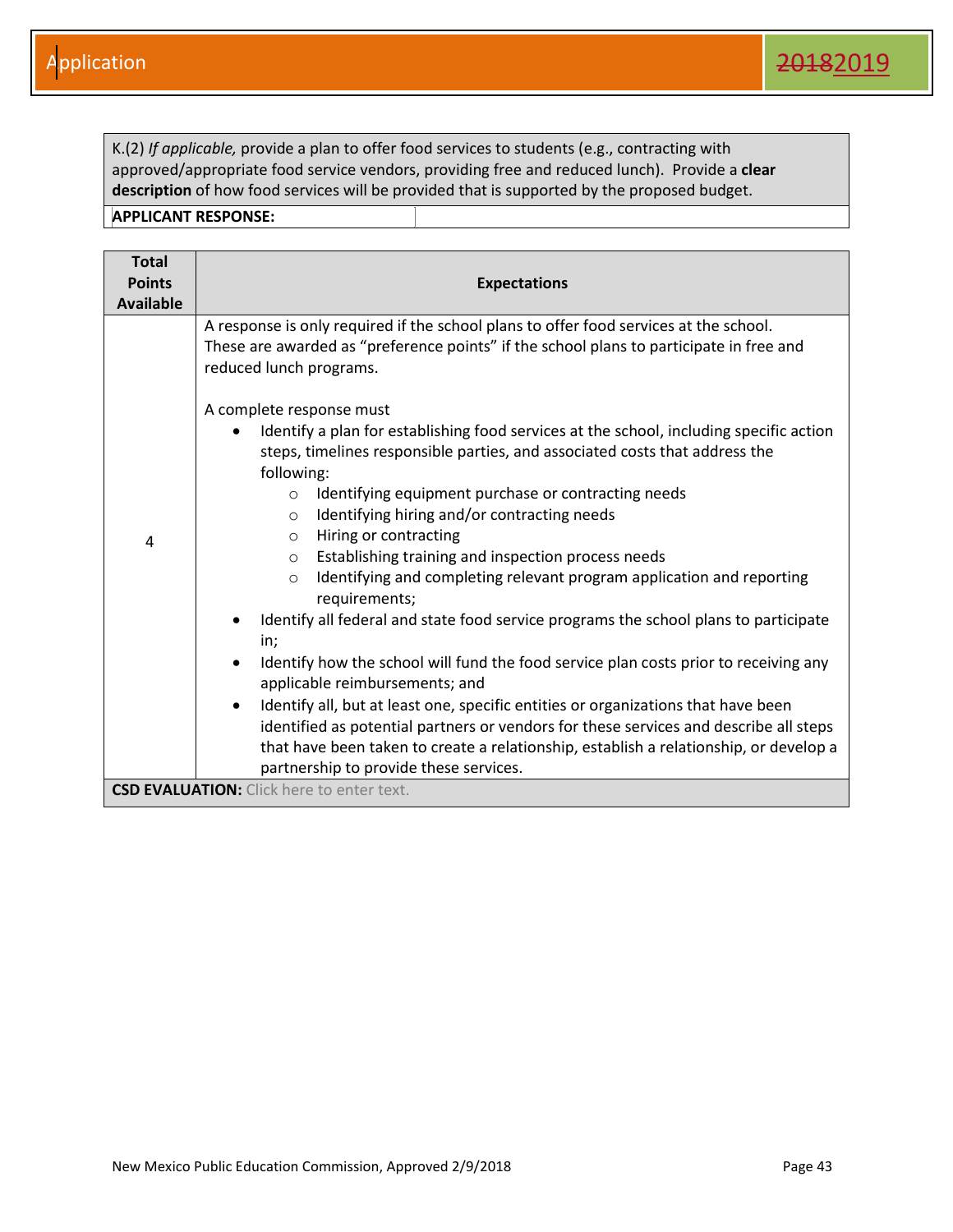K.(2) *If applicable,* provide a plan to offer food services to students (e.g., contracting with approved/appropriate food service vendors, providing free and reduced lunch). Provide a **clear description** of how food services will be provided that is supported by the proposed budget.

| <b>Total</b><br><b>Points</b><br><b>Available</b> | <b>Expectations</b>                                                                                                                                                                                                                                                                                                                                                                                                                                                                                                                                                                                                                                                                                                                                                                                                                                                                                                                                                                                                      |  |  |
|---------------------------------------------------|--------------------------------------------------------------------------------------------------------------------------------------------------------------------------------------------------------------------------------------------------------------------------------------------------------------------------------------------------------------------------------------------------------------------------------------------------------------------------------------------------------------------------------------------------------------------------------------------------------------------------------------------------------------------------------------------------------------------------------------------------------------------------------------------------------------------------------------------------------------------------------------------------------------------------------------------------------------------------------------------------------------------------|--|--|
| 4                                                 | A response is only required if the school plans to offer food services at the school.<br>These are awarded as "preference points" if the school plans to participate in free and<br>reduced lunch programs.<br>A complete response must<br>Identify a plan for establishing food services at the school, including specific action<br>$\bullet$<br>steps, timelines responsible parties, and associated costs that address the<br>following:<br>Identifying equipment purchase or contracting needs<br>$\circ$<br>Identifying hiring and/or contracting needs<br>$\circ$<br>Hiring or contracting<br>$\circ$<br>Establishing training and inspection process needs<br>$\circ$<br>Identifying and completing relevant program application and reporting<br>$\circ$<br>requirements;<br>Identify all federal and state food service programs the school plans to participate<br>in;<br>Identify how the school will fund the food service plan costs prior to receiving any<br>$\bullet$<br>applicable reimbursements; and |  |  |
|                                                   | Identify all, but at least one, specific entities or organizations that have been<br>$\bullet$<br>identified as potential partners or vendors for these services and describe all steps<br>that have been taken to create a relationship, establish a relationship, or develop a<br>partnership to provide these services.                                                                                                                                                                                                                                                                                                                                                                                                                                                                                                                                                                                                                                                                                               |  |  |
|                                                   | <b>CSD EVALUATION:</b> Click here to enter text.                                                                                                                                                                                                                                                                                                                                                                                                                                                                                                                                                                                                                                                                                                                                                                                                                                                                                                                                                                         |  |  |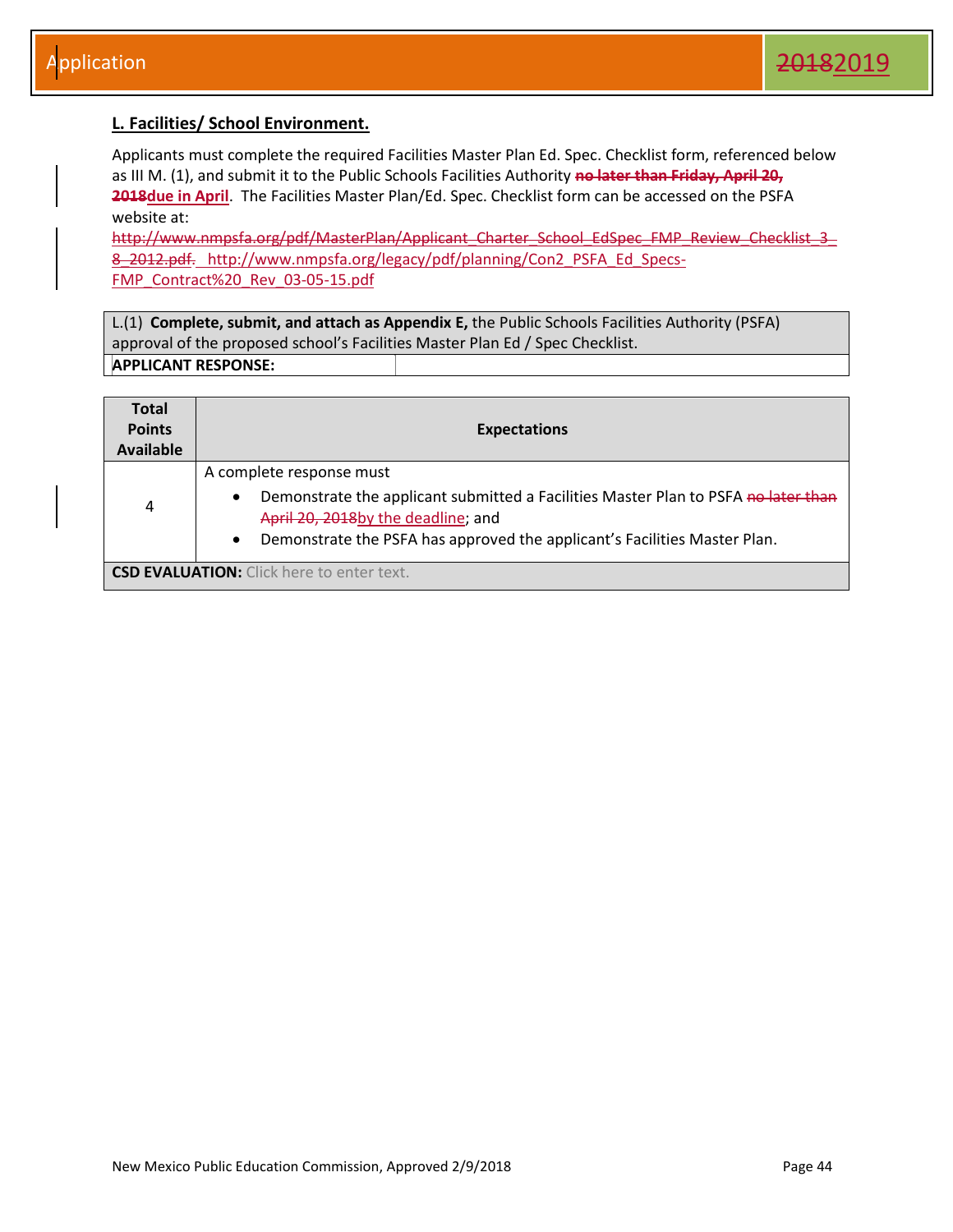#### <span id="page-44-0"></span>**L. Facilities/ School Environment.**

Applicants must complete the required Facilities Master Plan Ed. Spec. Checklist form, referenced below as III M. (1), and submit it to the Public Schools Facilities Authority **no later than Friday, April 20,**  2018due in April. The Facilities Master Plan/Ed. Spec. Checklist form can be accessed on the PSFA website at:

http://www.nmpsfa.org/pdf/MasterPlan/Applicant\_Charter\_School\_EdSpec\_FMP\_Review\_Checklist\_3\_ 8 2012.pdf. http://www.nmpsfa.org/legacy/pdf/planning/Con2\_PSFA\_Ed\_Specs-FMP\_Contract%20\_Rev\_03-05-15.pdf

L.(1) **Complete, submit, and attach as Appendix E,** the Public Schools Facilities Authority (PSFA) approval of the proposed school's Facilities Master Plan Ed / Spec Checklist. **APPLICANT RESPONSE:** 

| <b>Total</b><br><b>Points</b><br><b>Available</b> | <b>Expectations</b>                                                                                                                                                                                                                                         |
|---------------------------------------------------|-------------------------------------------------------------------------------------------------------------------------------------------------------------------------------------------------------------------------------------------------------------|
| 4                                                 | A complete response must<br>Demonstrate the applicant submitted a Facilities Master Plan to PSFA no later than<br>$\bullet$<br>April 20, 2018by the deadline; and<br>Demonstrate the PSFA has approved the applicant's Facilities Master Plan.<br>$\bullet$ |
|                                                   | <b>CSD EVALUATION:</b> Click here to enter text.                                                                                                                                                                                                            |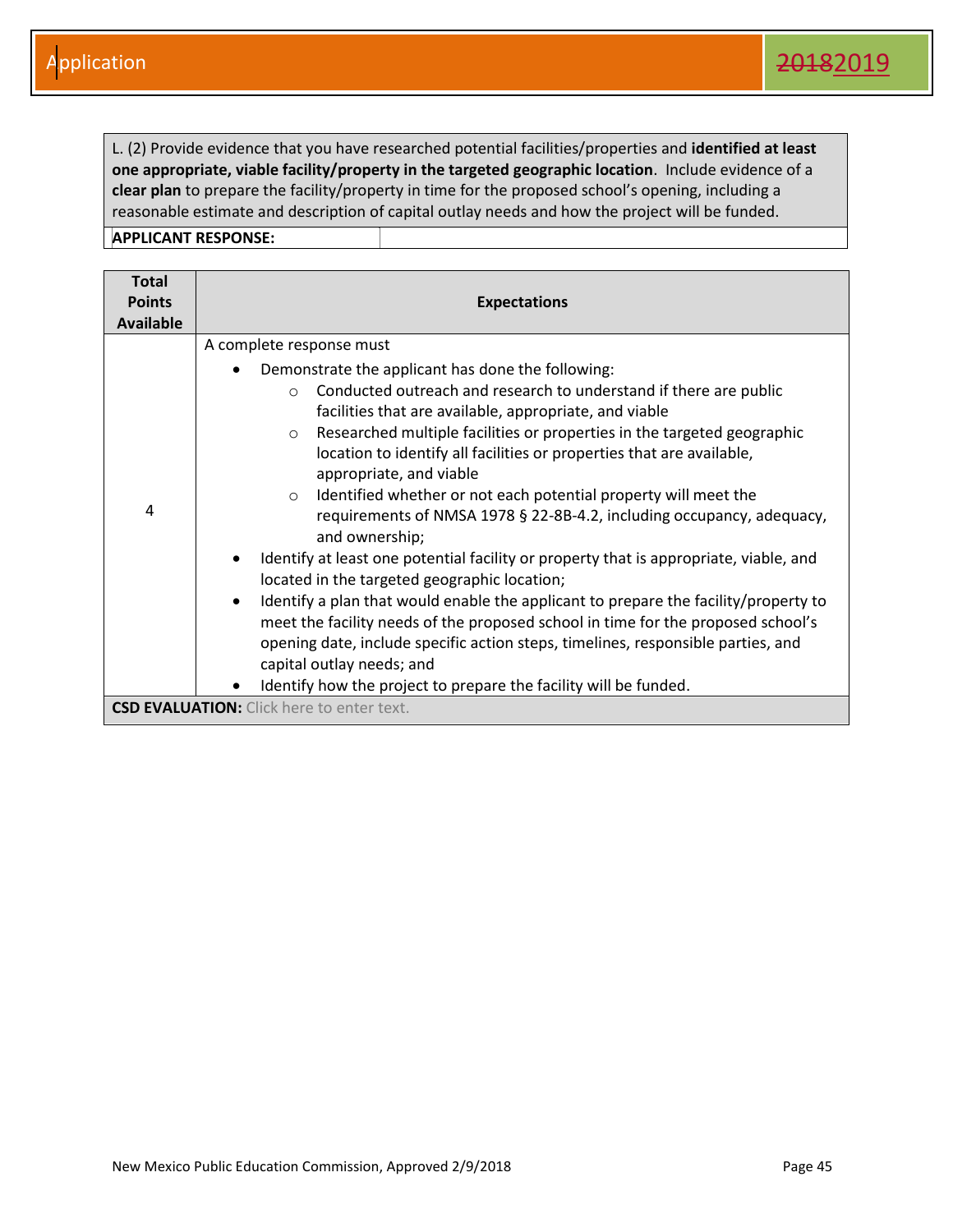L. (2) Provide evidence that you have researched potential facilities/properties and **identified at least one appropriate, viable facility/property in the targeted geographic location**. Include evidence of a **clear plan** to prepare the facility/property in time for the proposed school's opening, including a reasonable estimate and description of capital outlay needs and how the project will be funded.

| <b>Total</b>     |                                                                                                                                                                                                                                                                                                                                                                                                                                                                                                                                                                                                                                                                                                                                                                                                                                                                                                                                                                                                                                                                                                         |  |  |  |
|------------------|---------------------------------------------------------------------------------------------------------------------------------------------------------------------------------------------------------------------------------------------------------------------------------------------------------------------------------------------------------------------------------------------------------------------------------------------------------------------------------------------------------------------------------------------------------------------------------------------------------------------------------------------------------------------------------------------------------------------------------------------------------------------------------------------------------------------------------------------------------------------------------------------------------------------------------------------------------------------------------------------------------------------------------------------------------------------------------------------------------|--|--|--|
| <b>Points</b>    | <b>Expectations</b>                                                                                                                                                                                                                                                                                                                                                                                                                                                                                                                                                                                                                                                                                                                                                                                                                                                                                                                                                                                                                                                                                     |  |  |  |
| <b>Available</b> |                                                                                                                                                                                                                                                                                                                                                                                                                                                                                                                                                                                                                                                                                                                                                                                                                                                                                                                                                                                                                                                                                                         |  |  |  |
|                  | A complete response must                                                                                                                                                                                                                                                                                                                                                                                                                                                                                                                                                                                                                                                                                                                                                                                                                                                                                                                                                                                                                                                                                |  |  |  |
| 4                | Demonstrate the applicant has done the following:<br>$\bullet$<br>Conducted outreach and research to understand if there are public<br>$\Omega$<br>facilities that are available, appropriate, and viable<br>Researched multiple facilities or properties in the targeted geographic<br>$\circ$<br>location to identify all facilities or properties that are available,<br>appropriate, and viable<br>Identified whether or not each potential property will meet the<br>$\circ$<br>requirements of NMSA 1978 § 22-8B-4.2, including occupancy, adequacy,<br>and ownership;<br>Identify at least one potential facility or property that is appropriate, viable, and<br>٠<br>located in the targeted geographic location;<br>Identify a plan that would enable the applicant to prepare the facility/property to<br>$\bullet$<br>meet the facility needs of the proposed school in time for the proposed school's<br>opening date, include specific action steps, timelines, responsible parties, and<br>capital outlay needs; and<br>Identify how the project to prepare the facility will be funded. |  |  |  |
|                  | <b>CSD EVALUATION:</b> Click here to enter text.                                                                                                                                                                                                                                                                                                                                                                                                                                                                                                                                                                                                                                                                                                                                                                                                                                                                                                                                                                                                                                                        |  |  |  |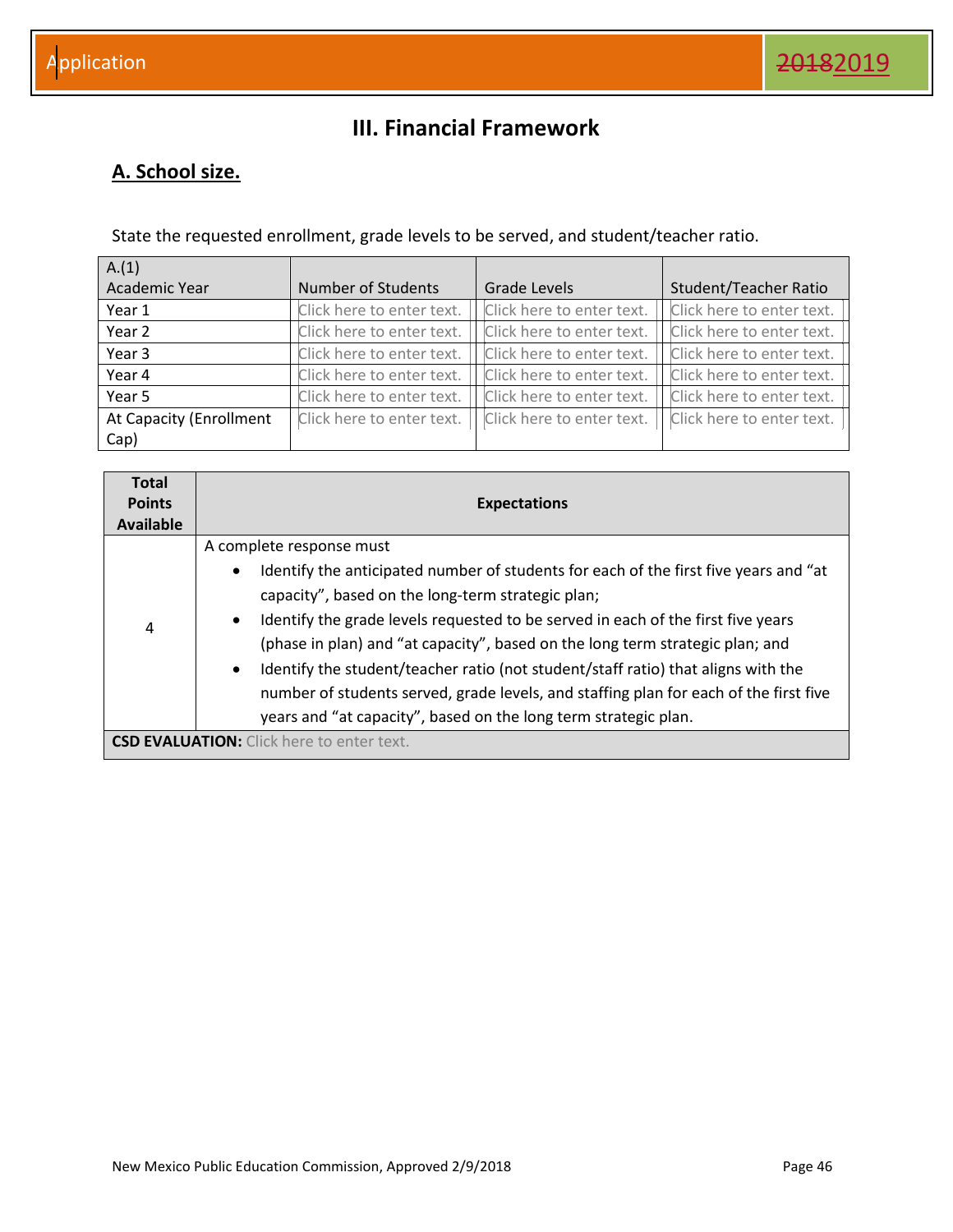### **III. Financial Framework**

### <span id="page-46-1"></span><span id="page-46-0"></span>**A. School size.**

State the requested enrollment, grade levels to be served, and student/teacher ratio.

| A.(1)                   |                           |                           |                           |
|-------------------------|---------------------------|---------------------------|---------------------------|
| Academic Year           | <b>Number of Students</b> | Grade Levels              | Student/Teacher Ratio     |
| Year 1                  | Click here to enter text. | Click here to enter text. | Click here to enter text. |
| Year 2                  | Click here to enter text. | Click here to enter text. | Click here to enter text. |
| Year 3                  | Click here to enter text. | Click here to enter text. | Click here to enter text. |
| Year 4                  | Click here to enter text. | Click here to enter text. | Click here to enter text. |
| Year 5                  | Click here to enter text. | Click here to enter text. | Click here to enter text. |
| At Capacity (Enrollment | Click here to enter text. | Click here to enter text. | Click here to enter text. |
| Cap)                    |                           |                           |                           |

| <b>Total</b><br><b>Points</b><br>Available | <b>Expectations</b>                                                                                                                                                                                                                                                                                                                                                                                                                                                                                                                                                                                                        |
|--------------------------------------------|----------------------------------------------------------------------------------------------------------------------------------------------------------------------------------------------------------------------------------------------------------------------------------------------------------------------------------------------------------------------------------------------------------------------------------------------------------------------------------------------------------------------------------------------------------------------------------------------------------------------------|
| 4                                          | A complete response must<br>Identify the anticipated number of students for each of the first five years and "at<br>٠<br>capacity", based on the long-term strategic plan;<br>Identify the grade levels requested to be served in each of the first five years<br>$\bullet$<br>(phase in plan) and "at capacity", based on the long term strategic plan; and<br>Identify the student/teacher ratio (not student/staff ratio) that aligns with the<br>$\bullet$<br>number of students served, grade levels, and staffing plan for each of the first five<br>years and "at capacity", based on the long term strategic plan. |
|                                            | <b>CSD EVALUATION:</b> Click here to enter text.                                                                                                                                                                                                                                                                                                                                                                                                                                                                                                                                                                           |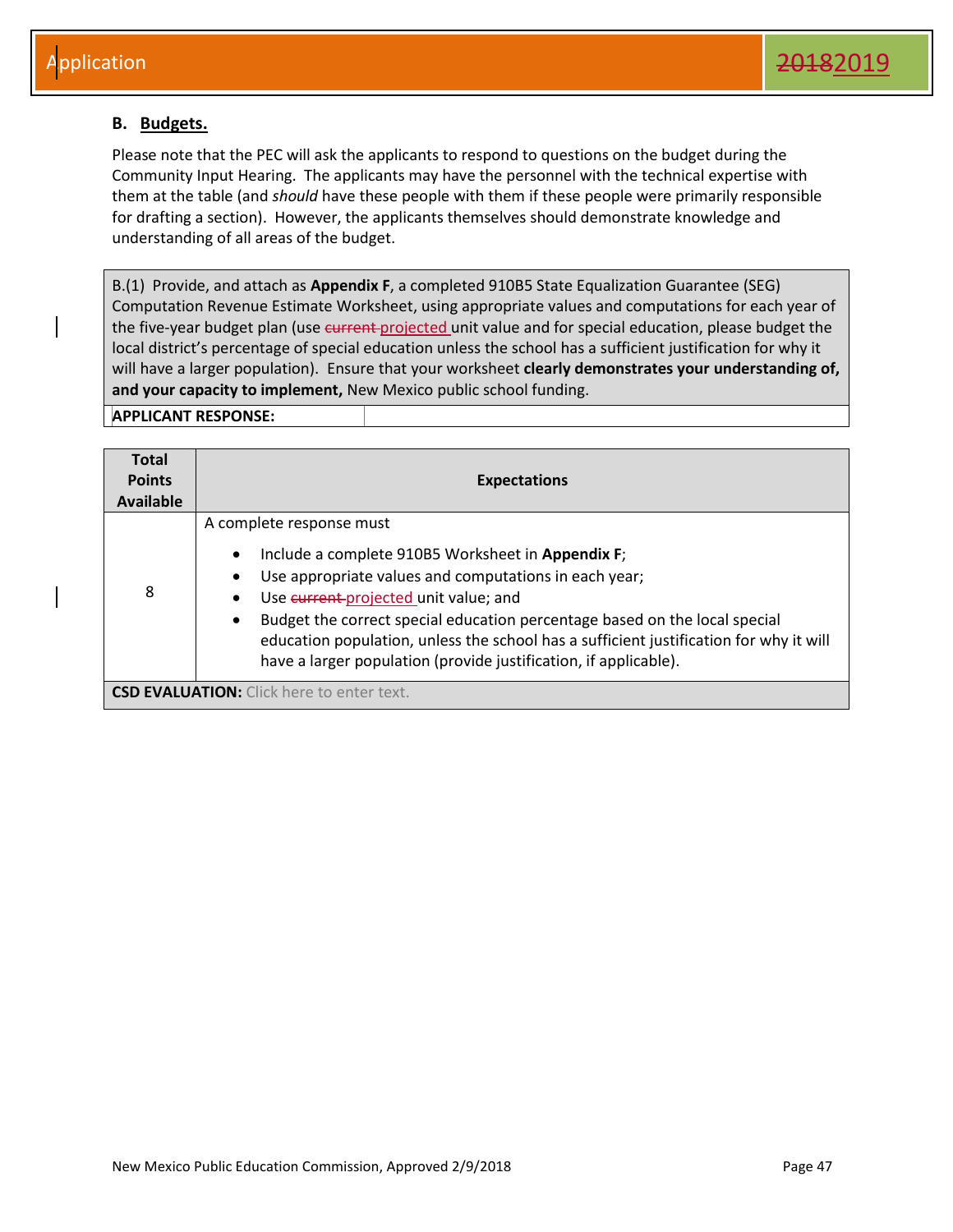#### <span id="page-47-0"></span>**B. Budgets.**

Please note that the PEC will ask the applicants to respond to questions on the budget during the Community Input Hearing. The applicants may have the personnel with the technical expertise with them at the table (and *should* have these people with them if these people were primarily responsible for drafting a section). However, the applicants themselves should demonstrate knowledge and understanding of all areas of the budget.

B.(1) Provide, and attach as **Appendix F**, a completed 910B5 State Equalization Guarantee (SEG) Computation Revenue Estimate Worksheet, using appropriate values and computations for each year of the five-year budget plan (use current-projected unit value and for special education, please budget the local district's percentage of special education unless the school has a sufficient justification for why it will have a larger population). Ensure that your worksheet **clearly demonstrates your understanding of, and your capacity to implement,** New Mexico public school funding.

| <b>Total</b><br><b>Points</b><br>Available | <b>Expectations</b>                                                                                                                                                                                                                                                                                                                                                                                                                                                     |
|--------------------------------------------|-------------------------------------------------------------------------------------------------------------------------------------------------------------------------------------------------------------------------------------------------------------------------------------------------------------------------------------------------------------------------------------------------------------------------------------------------------------------------|
| 8                                          | A complete response must<br>Include a complete 910B5 Worksheet in Appendix F;<br>$\bullet$<br>Use appropriate values and computations in each year;<br>٠<br>Use current-projected unit value; and<br>$\bullet$<br>Budget the correct special education percentage based on the local special<br>$\bullet$<br>education population, unless the school has a sufficient justification for why it will<br>have a larger population (provide justification, if applicable). |
|                                            | <b>CSD EVALUATION:</b> Click here to enter text.                                                                                                                                                                                                                                                                                                                                                                                                                        |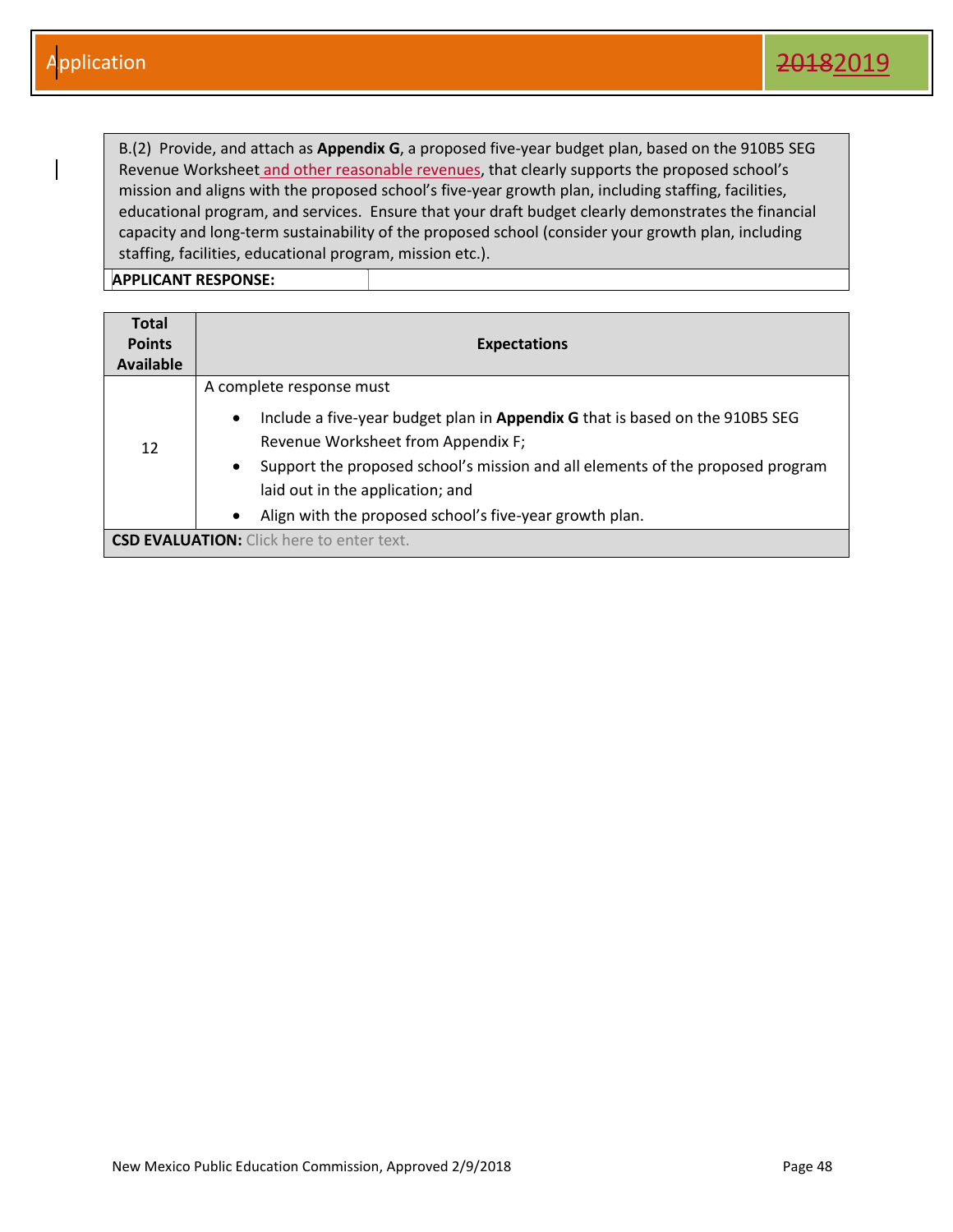B.(2) Provide, and attach as **Appendix G**, a proposed five-year budget plan, based on the 910B5 SEG Revenue Worksheet and other reasonable revenues, that clearly supports the proposed school's mission and aligns with the proposed school's five-year growth plan, including staffing, facilities, educational program, and services. Ensure that your draft budget clearly demonstrates the financial capacity and long-term sustainability of the proposed school (consider your growth plan, including staffing, facilities, educational program, mission etc.).

| <b>Total</b><br><b>Points</b><br>Available       | <b>Expectations</b>                                                                                                                                                                                                                                                                                                                                            |
|--------------------------------------------------|----------------------------------------------------------------------------------------------------------------------------------------------------------------------------------------------------------------------------------------------------------------------------------------------------------------------------------------------------------------|
| 12                                               | A complete response must<br>Include a five-year budget plan in Appendix G that is based on the 910B5 SEG<br>$\bullet$<br>Revenue Worksheet from Appendix F;<br>Support the proposed school's mission and all elements of the proposed program<br>$\bullet$<br>laid out in the application; and<br>Align with the proposed school's five-year growth plan.<br>٠ |
| <b>CSD EVALUATION:</b> Click here to enter text. |                                                                                                                                                                                                                                                                                                                                                                |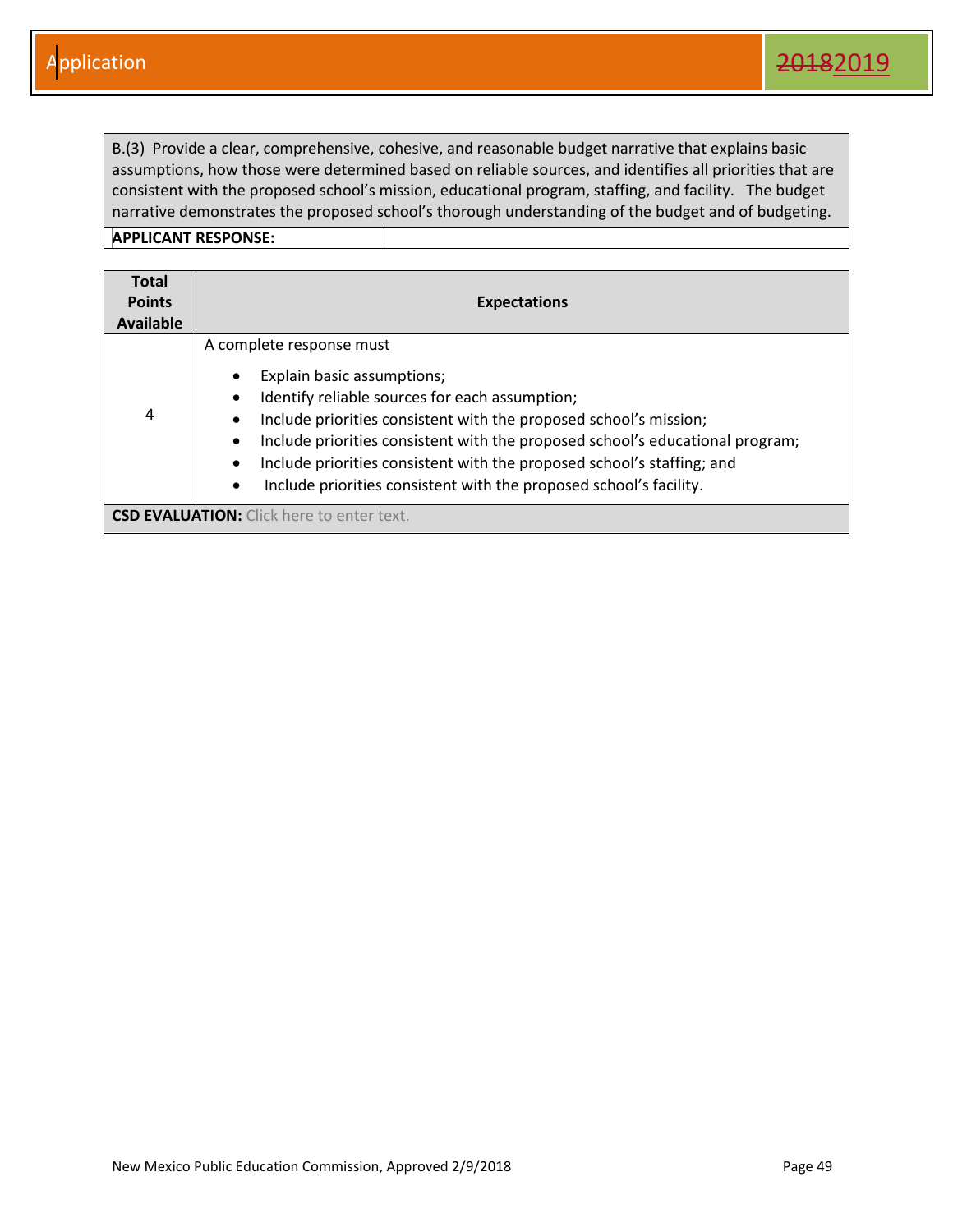B.(3) Provide a clear, comprehensive, cohesive, and reasonable budget narrative that explains basic assumptions, how those were determined based on reliable sources, and identifies all priorities that are consistent with the proposed school's mission, educational program, staffing, and facility. The budget narrative demonstrates the proposed school's thorough understanding of the budget and of budgeting.

| Total<br><b>Points</b><br><b>Available</b> | <b>Expectations</b>                                                                                                                                                                                                                                                                                                                                                                                                      |
|--------------------------------------------|--------------------------------------------------------------------------------------------------------------------------------------------------------------------------------------------------------------------------------------------------------------------------------------------------------------------------------------------------------------------------------------------------------------------------|
| 4                                          | A complete response must<br>Explain basic assumptions;<br>٠<br>Identify reliable sources for each assumption;<br>Include priorities consistent with the proposed school's mission;<br>٠<br>Include priorities consistent with the proposed school's educational program;<br>Include priorities consistent with the proposed school's staffing; and<br>Include priorities consistent with the proposed school's facility. |
|                                            | <b>CSD EVALUATION:</b> Click here to enter text.                                                                                                                                                                                                                                                                                                                                                                         |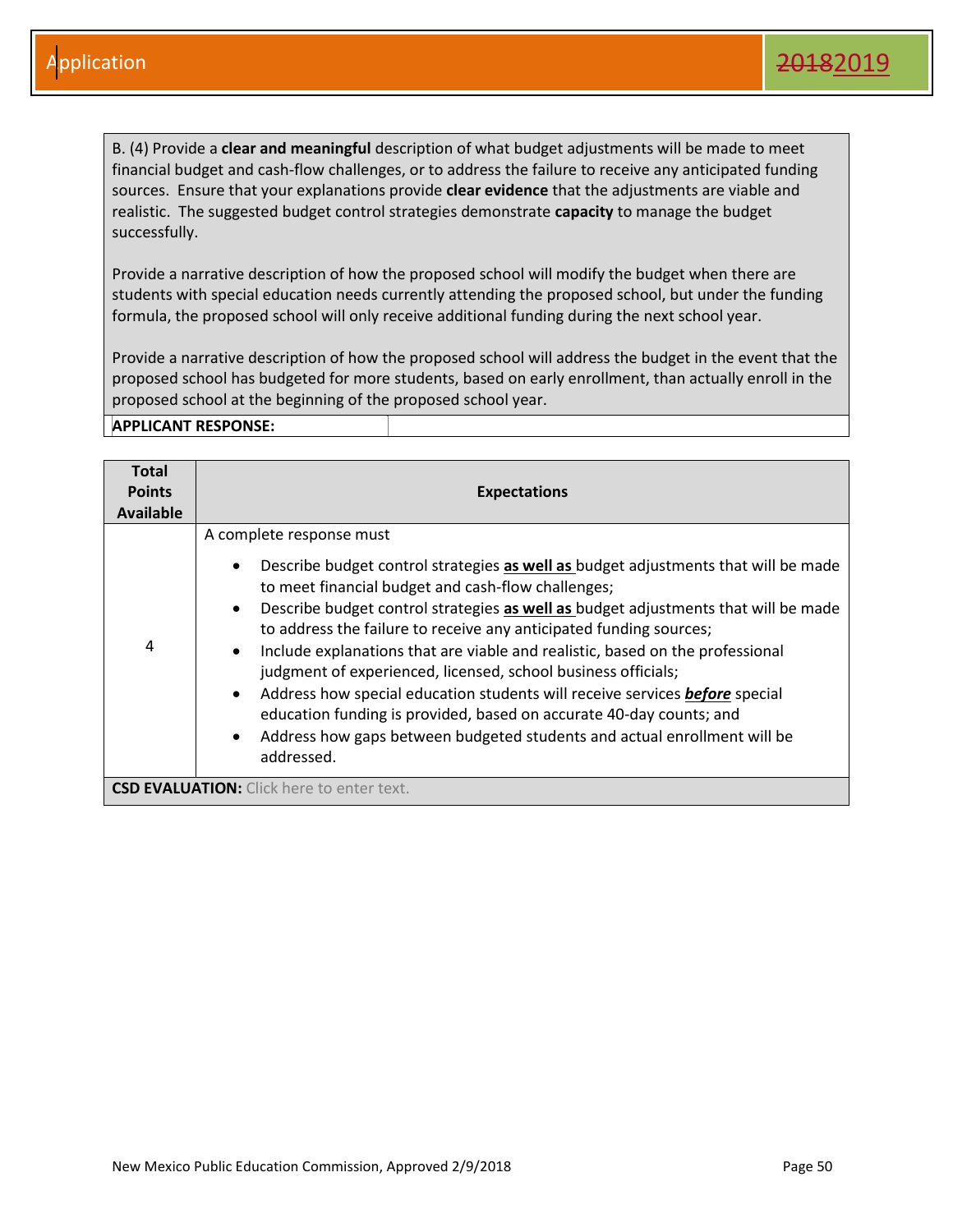B. (4) Provide a **clear and meaningful** description of what budget adjustments will be made to meet financial budget and cash-flow challenges, or to address the failure to receive any anticipated funding sources. Ensure that your explanations provide **clear evidence** that the adjustments are viable and realistic. The suggested budget control strategies demonstrate **capacity** to manage the budget successfully.

Provide a narrative description of how the proposed school will modify the budget when there are students with special education needs currently attending the proposed school, but under the funding formula, the proposed school will only receive additional funding during the next school year.

Provide a narrative description of how the proposed school will address the budget in the event that the proposed school has budgeted for more students, based on early enrollment, than actually enroll in the proposed school at the beginning of the proposed school year.

| Total<br><b>Points</b><br><b>Available</b> | <b>Expectations</b>                                                                                                                                                                                                                                                                                                                                                                                                                                                                                                                                                                                                                                                                                                                                          |
|--------------------------------------------|--------------------------------------------------------------------------------------------------------------------------------------------------------------------------------------------------------------------------------------------------------------------------------------------------------------------------------------------------------------------------------------------------------------------------------------------------------------------------------------------------------------------------------------------------------------------------------------------------------------------------------------------------------------------------------------------------------------------------------------------------------------|
| 4                                          | A complete response must<br>Describe budget control strategies as well as budget adjustments that will be made<br>to meet financial budget and cash-flow challenges;<br>Describe budget control strategies as well as budget adjustments that will be made<br>$\bullet$<br>to address the failure to receive any anticipated funding sources;<br>Include explanations that are viable and realistic, based on the professional<br>judgment of experienced, licensed, school business officials;<br>Address how special education students will receive services before special<br>$\bullet$<br>education funding is provided, based on accurate 40-day counts; and<br>Address how gaps between budgeted students and actual enrollment will be<br>addressed. |
|                                            | <b>CSD EVALUATION:</b> Click here to enter text.                                                                                                                                                                                                                                                                                                                                                                                                                                                                                                                                                                                                                                                                                                             |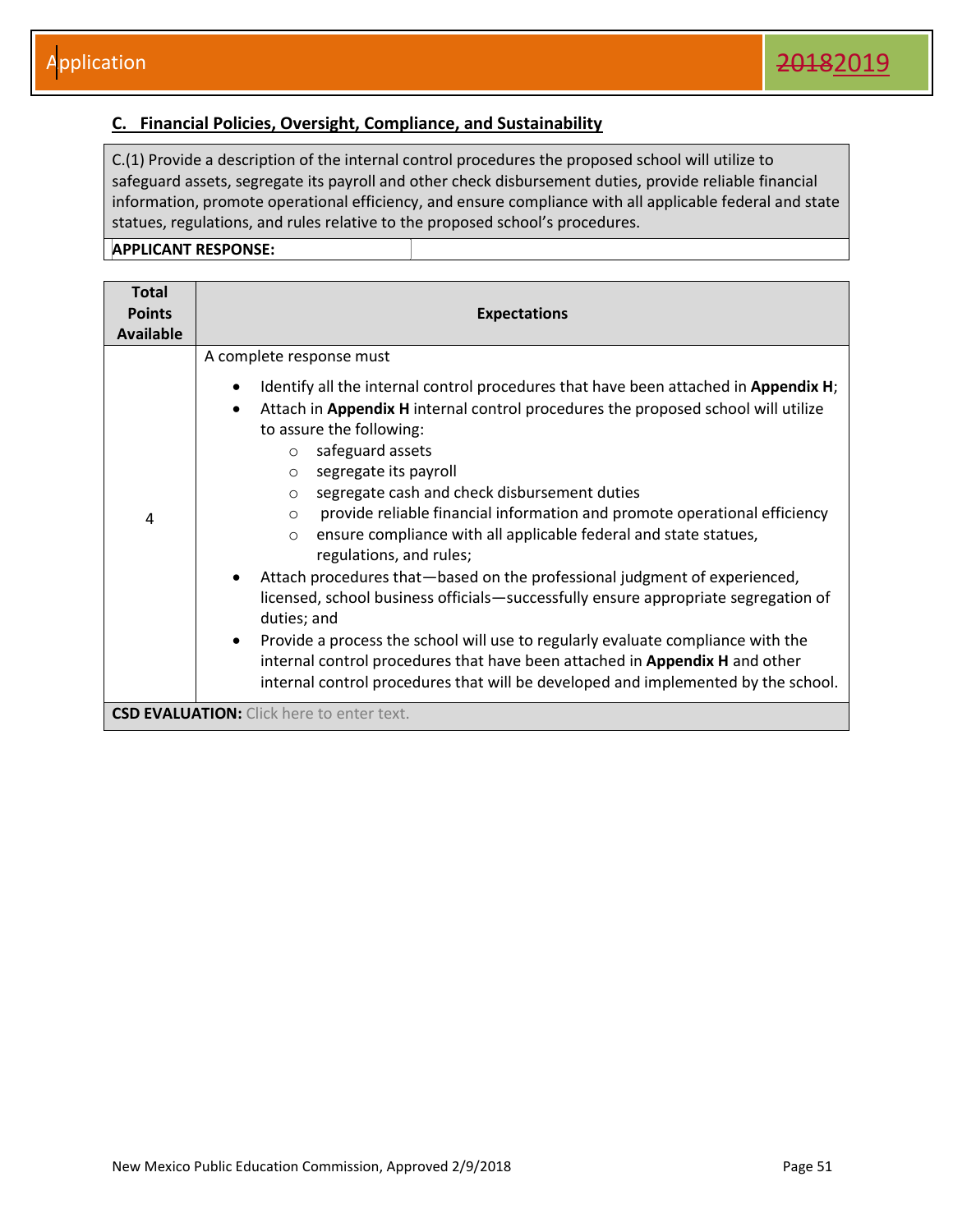#### <span id="page-51-0"></span>**C. Financial Policies, Oversight, Compliance, and Sustainability**

C.(1) Provide a description of the internal control procedures the proposed school will utilize to safeguard assets, segregate its payroll and other check disbursement duties, provide reliable financial information, promote operational efficiency, and ensure compliance with all applicable federal and state statues, regulations, and rules relative to the proposed school's procedures.

| <b>Total</b><br><b>Points</b><br><b>Available</b> | <b>Expectations</b>                                                                                                                                                                                                                                                                                                                                                                                                                                                                                                                                                                                                                                                                                                                                                                                                                                                                                                                            |
|---------------------------------------------------|------------------------------------------------------------------------------------------------------------------------------------------------------------------------------------------------------------------------------------------------------------------------------------------------------------------------------------------------------------------------------------------------------------------------------------------------------------------------------------------------------------------------------------------------------------------------------------------------------------------------------------------------------------------------------------------------------------------------------------------------------------------------------------------------------------------------------------------------------------------------------------------------------------------------------------------------|
| 4                                                 | A complete response must<br>Identify all the internal control procedures that have been attached in Appendix H;<br>Attach in Appendix H internal control procedures the proposed school will utilize<br>$\bullet$<br>to assure the following:<br>safeguard assets<br>$\circ$<br>segregate its payroll<br>$\circ$<br>segregate cash and check disbursement duties<br>$\circ$<br>provide reliable financial information and promote operational efficiency<br>$\circ$<br>ensure compliance with all applicable federal and state statues,<br>$\circ$<br>regulations, and rules;<br>Attach procedures that-based on the professional judgment of experienced,<br>licensed, school business officials—successfully ensure appropriate segregation of<br>duties; and<br>Provide a process the school will use to regularly evaluate compliance with the<br>$\bullet$<br>internal control procedures that have been attached in Appendix H and other |
|                                                   | internal control procedures that will be developed and implemented by the school.<br><b>CSD EVALUATION:</b> Click here to enter text.                                                                                                                                                                                                                                                                                                                                                                                                                                                                                                                                                                                                                                                                                                                                                                                                          |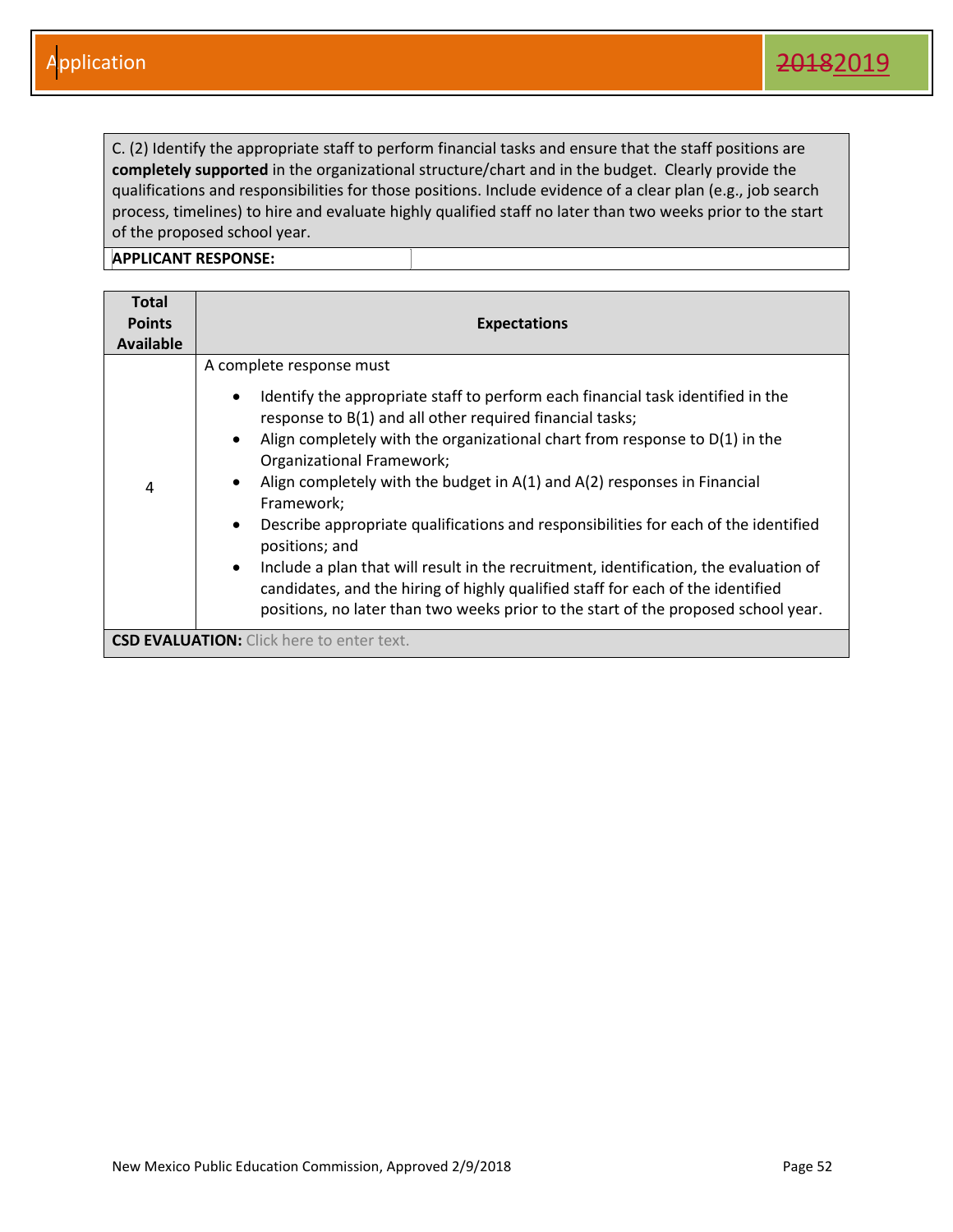C. (2) Identify the appropriate staff to perform financial tasks and ensure that the staff positions are **completely supported** in the organizational structure/chart and in the budget. Clearly provide the qualifications and responsibilities for those positions. Include evidence of a clear plan (e.g., job search process, timelines) to hire and evaluate highly qualified staff no later than two weeks prior to the start of the proposed school year.

| <b>Total</b><br><b>Points</b><br><b>Available</b> | <b>Expectations</b>                                                                                                                                                                                                                                                                                                                                                                                                                                                                                                                                                                                                                                                                                                                                                                                                         |
|---------------------------------------------------|-----------------------------------------------------------------------------------------------------------------------------------------------------------------------------------------------------------------------------------------------------------------------------------------------------------------------------------------------------------------------------------------------------------------------------------------------------------------------------------------------------------------------------------------------------------------------------------------------------------------------------------------------------------------------------------------------------------------------------------------------------------------------------------------------------------------------------|
| 4                                                 | A complete response must<br>Identify the appropriate staff to perform each financial task identified in the<br>$\bullet$<br>response to B(1) and all other required financial tasks;<br>Align completely with the organizational chart from response to $D(1)$ in the<br>$\bullet$<br>Organizational Framework;<br>Align completely with the budget in A(1) and A(2) responses in Financial<br>$\bullet$<br>Framework;<br>Describe appropriate qualifications and responsibilities for each of the identified<br>$\bullet$<br>positions; and<br>Include a plan that will result in the recruitment, identification, the evaluation of<br>$\bullet$<br>candidates, and the hiring of highly qualified staff for each of the identified<br>positions, no later than two weeks prior to the start of the proposed school year. |
|                                                   | <b>CSD EVALUATION:</b> Click here to enter text.                                                                                                                                                                                                                                                                                                                                                                                                                                                                                                                                                                                                                                                                                                                                                                            |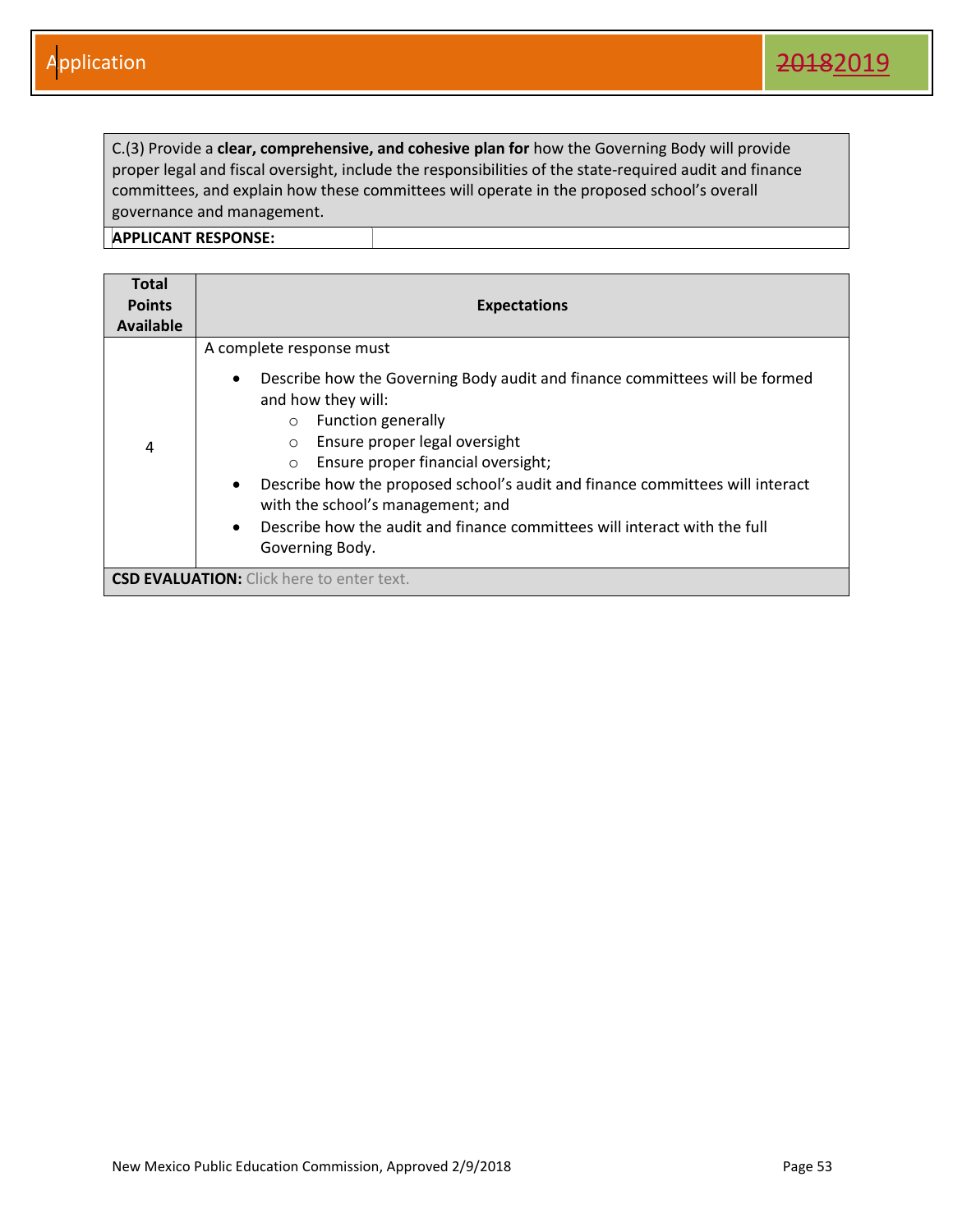C.(3) Provide a **clear, comprehensive, and cohesive plan for** how the Governing Body will provide proper legal and fiscal oversight, include the responsibilities of the state-required audit and finance committees, and explain how these committees will operate in the proposed school's overall governance and management.

| Total<br><b>Points</b><br><b>Available</b> | <b>Expectations</b>                                                                                                                                                                                                                                                                                                                                                                                                                                                                                                             |
|--------------------------------------------|---------------------------------------------------------------------------------------------------------------------------------------------------------------------------------------------------------------------------------------------------------------------------------------------------------------------------------------------------------------------------------------------------------------------------------------------------------------------------------------------------------------------------------|
| 4                                          | A complete response must<br>Describe how the Governing Body audit and finance committees will be formed<br>$\bullet$<br>and how they will:<br><b>Function generally</b><br>$\circ$<br>Ensure proper legal oversight<br>$\circ$<br>Ensure proper financial oversight;<br>$\circ$<br>Describe how the proposed school's audit and finance committees will interact<br>$\bullet$<br>with the school's management; and<br>Describe how the audit and finance committees will interact with the full<br>$\bullet$<br>Governing Body. |
|                                            | <b>CSD EVALUATION:</b> Click here to enter text.                                                                                                                                                                                                                                                                                                                                                                                                                                                                                |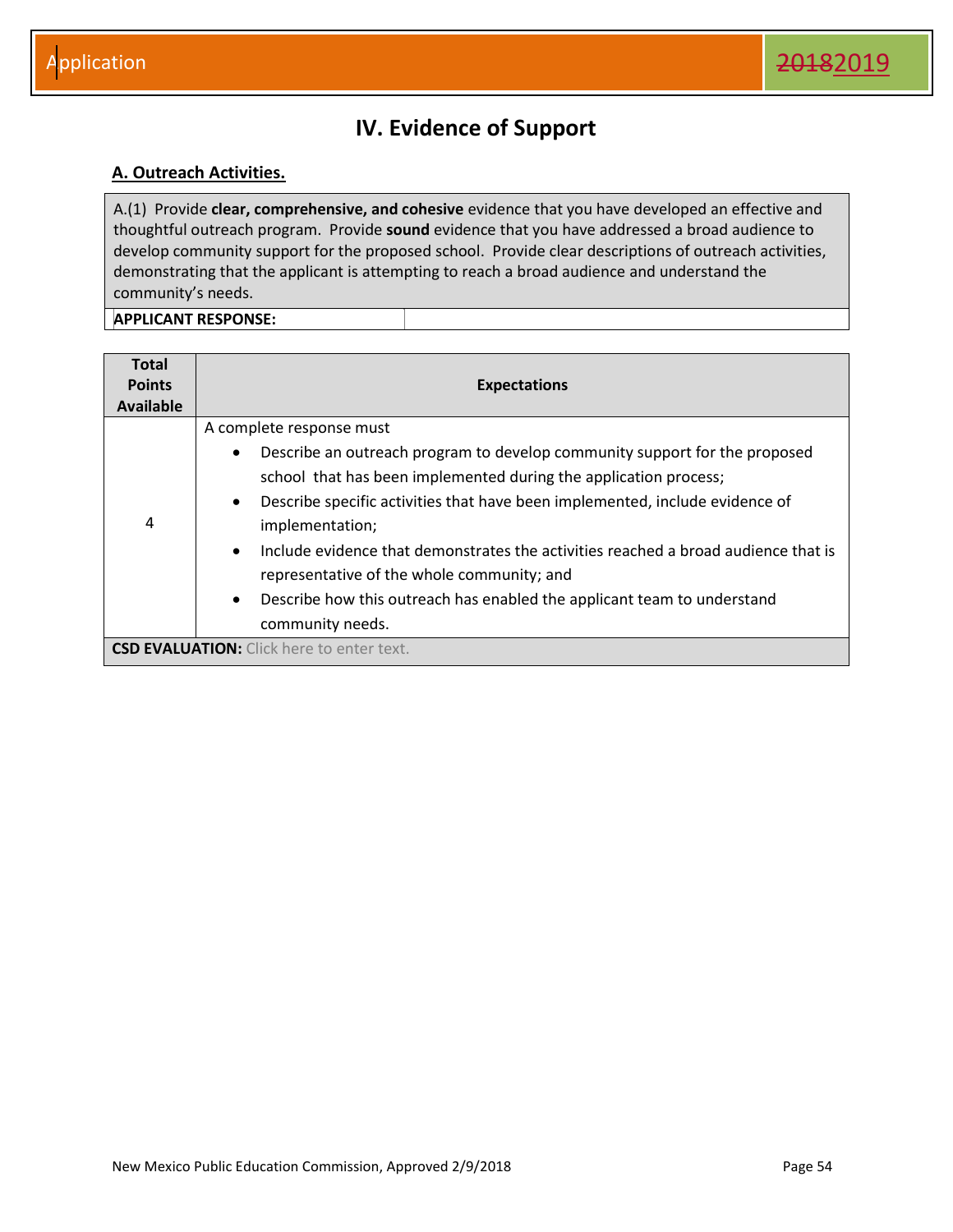## **IV. Evidence of Support**

#### <span id="page-54-1"></span><span id="page-54-0"></span>**A. Outreach Activities.**

A.(1) Provide **clear, comprehensive, and cohesive** evidence that you have developed an effective and thoughtful outreach program. Provide **sound** evidence that you have addressed a broad audience to develop community support for the proposed school. Provide clear descriptions of outreach activities, demonstrating that the applicant is attempting to reach a broad audience and understand the community's needs.

| <b>Total</b><br><b>Points</b><br><b>Available</b> | <b>Expectations</b>                                                                                                                                                                                                                                                                                                                                                                                                                                                                                                                                                  |
|---------------------------------------------------|----------------------------------------------------------------------------------------------------------------------------------------------------------------------------------------------------------------------------------------------------------------------------------------------------------------------------------------------------------------------------------------------------------------------------------------------------------------------------------------------------------------------------------------------------------------------|
| 4                                                 | A complete response must<br>Describe an outreach program to develop community support for the proposed<br>$\bullet$<br>school that has been implemented during the application process;<br>Describe specific activities that have been implemented, include evidence of<br>$\bullet$<br>implementation;<br>Include evidence that demonstrates the activities reached a broad audience that is<br>$\bullet$<br>representative of the whole community; and<br>Describe how this outreach has enabled the applicant team to understand<br>$\bullet$<br>community needs. |
|                                                   | <b>CSD EVALUATION:</b> Click here to enter text.                                                                                                                                                                                                                                                                                                                                                                                                                                                                                                                     |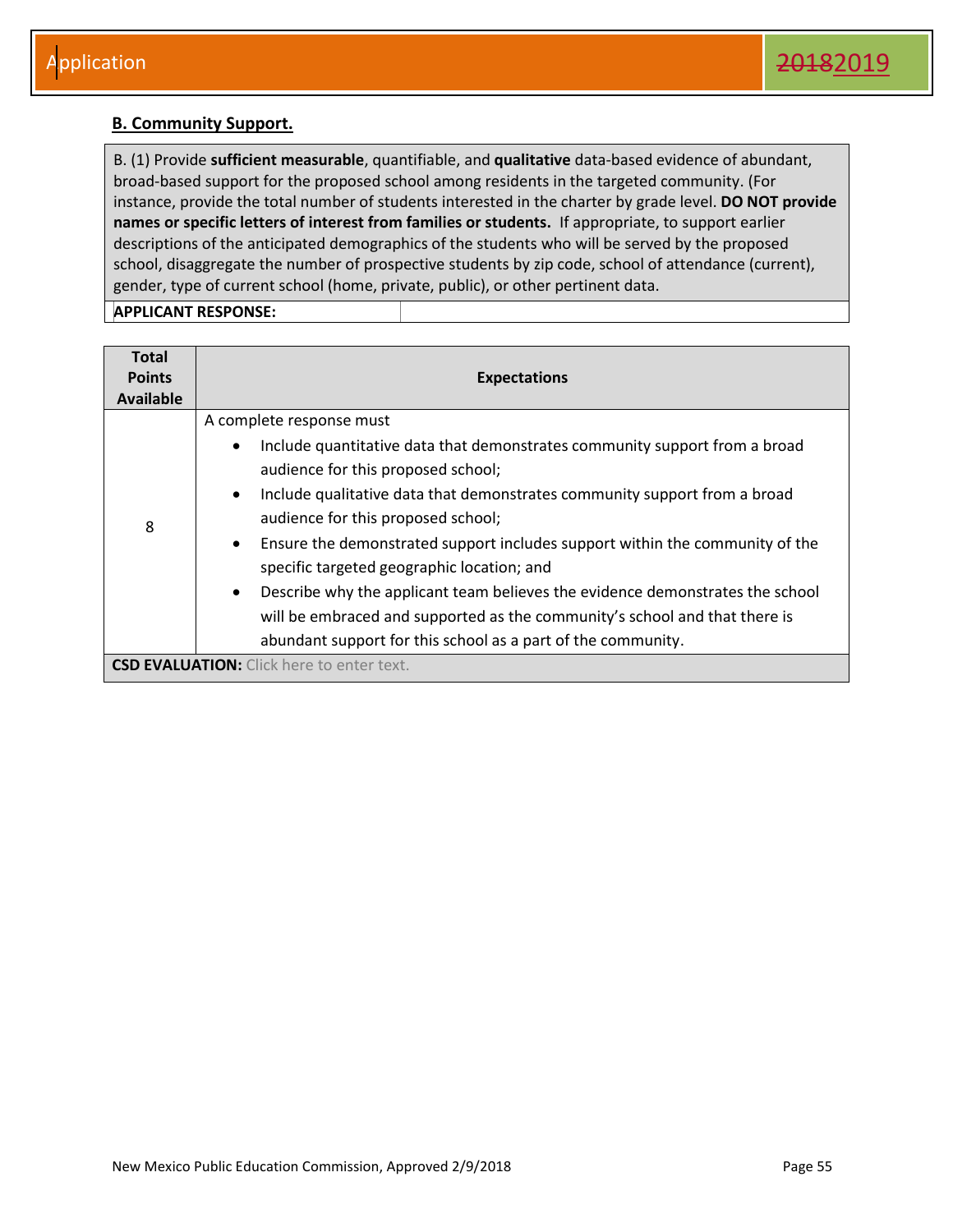#### <span id="page-55-0"></span>**B. Community Support.**

B. (1) Provide **sufficient measurable**, quantifiable, and **qualitative** data-based evidence of abundant, broad-based support for the proposed school among residents in the targeted community. (For instance, provide the total number of students interested in the charter by grade level. **DO NOT provide names or specific letters of interest from families or students.** If appropriate, to support earlier descriptions of the anticipated demographics of the students who will be served by the proposed school, disaggregate the number of prospective students by zip code, school of attendance (current), gender, type of current school (home, private, public), or other pertinent data.

| <b>Total</b><br><b>Points</b><br>Available | <b>Expectations</b>                                                                                                                                                                                                                                                                                                                                                                                                                                                                                                                                                                                                                                                      |
|--------------------------------------------|--------------------------------------------------------------------------------------------------------------------------------------------------------------------------------------------------------------------------------------------------------------------------------------------------------------------------------------------------------------------------------------------------------------------------------------------------------------------------------------------------------------------------------------------------------------------------------------------------------------------------------------------------------------------------|
| 8                                          | A complete response must<br>Include quantitative data that demonstrates community support from a broad<br>٠<br>audience for this proposed school;<br>Include qualitative data that demonstrates community support from a broad<br>$\bullet$<br>audience for this proposed school;<br>Ensure the demonstrated support includes support within the community of the<br>$\bullet$<br>specific targeted geographic location; and<br>Describe why the applicant team believes the evidence demonstrates the school<br>$\bullet$<br>will be embraced and supported as the community's school and that there is<br>abundant support for this school as a part of the community. |
|                                            | <b>CSD EVALUATION:</b> Click here to enter text.                                                                                                                                                                                                                                                                                                                                                                                                                                                                                                                                                                                                                         |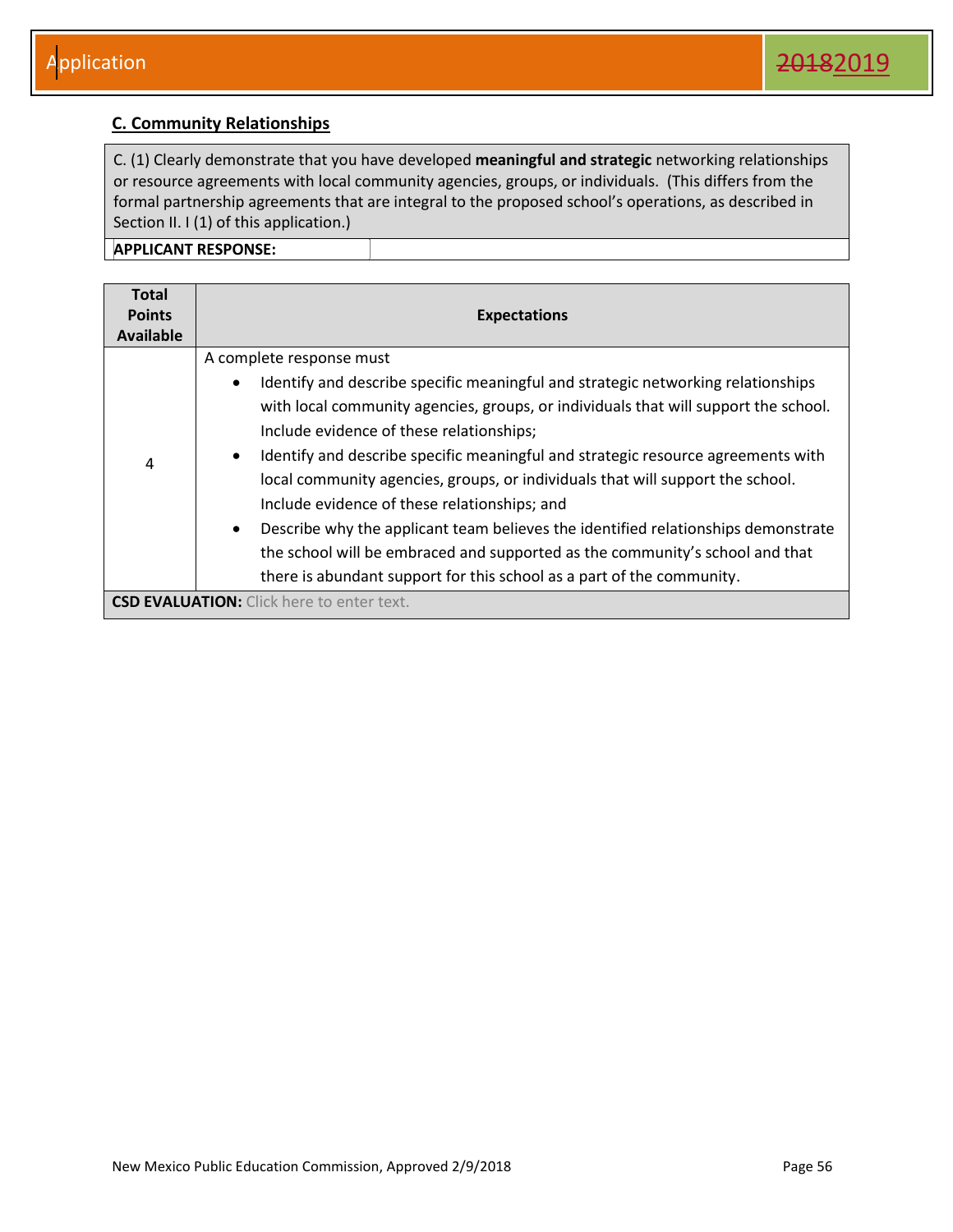#### <span id="page-56-0"></span>**C. Community Relationships**

C. (1) Clearly demonstrate that you have developed **meaningful and strategic** networking relationships or resource agreements with local community agencies, groups, or individuals. (This differs from the formal partnership agreements that are integral to the proposed school's operations, as described in Section II. I (1) of this application.)

| <b>Total</b>  |                                                                                                |
|---------------|------------------------------------------------------------------------------------------------|
| <b>Points</b> | <b>Expectations</b>                                                                            |
| Available     |                                                                                                |
|               | A complete response must                                                                       |
|               | Identify and describe specific meaningful and strategic networking relationships<br>$\bullet$  |
|               | with local community agencies, groups, or individuals that will support the school.            |
|               | Include evidence of these relationships;                                                       |
| 4             | Identify and describe specific meaningful and strategic resource agreements with<br>$\bullet$  |
|               | local community agencies, groups, or individuals that will support the school.                 |
|               | Include evidence of these relationships; and                                                   |
|               | Describe why the applicant team believes the identified relationships demonstrate<br>$\bullet$ |
|               | the school will be embraced and supported as the community's school and that                   |
|               | there is abundant support for this school as a part of the community.                          |
|               | <b>CSD EVALUATION:</b> Click here to enter text.                                               |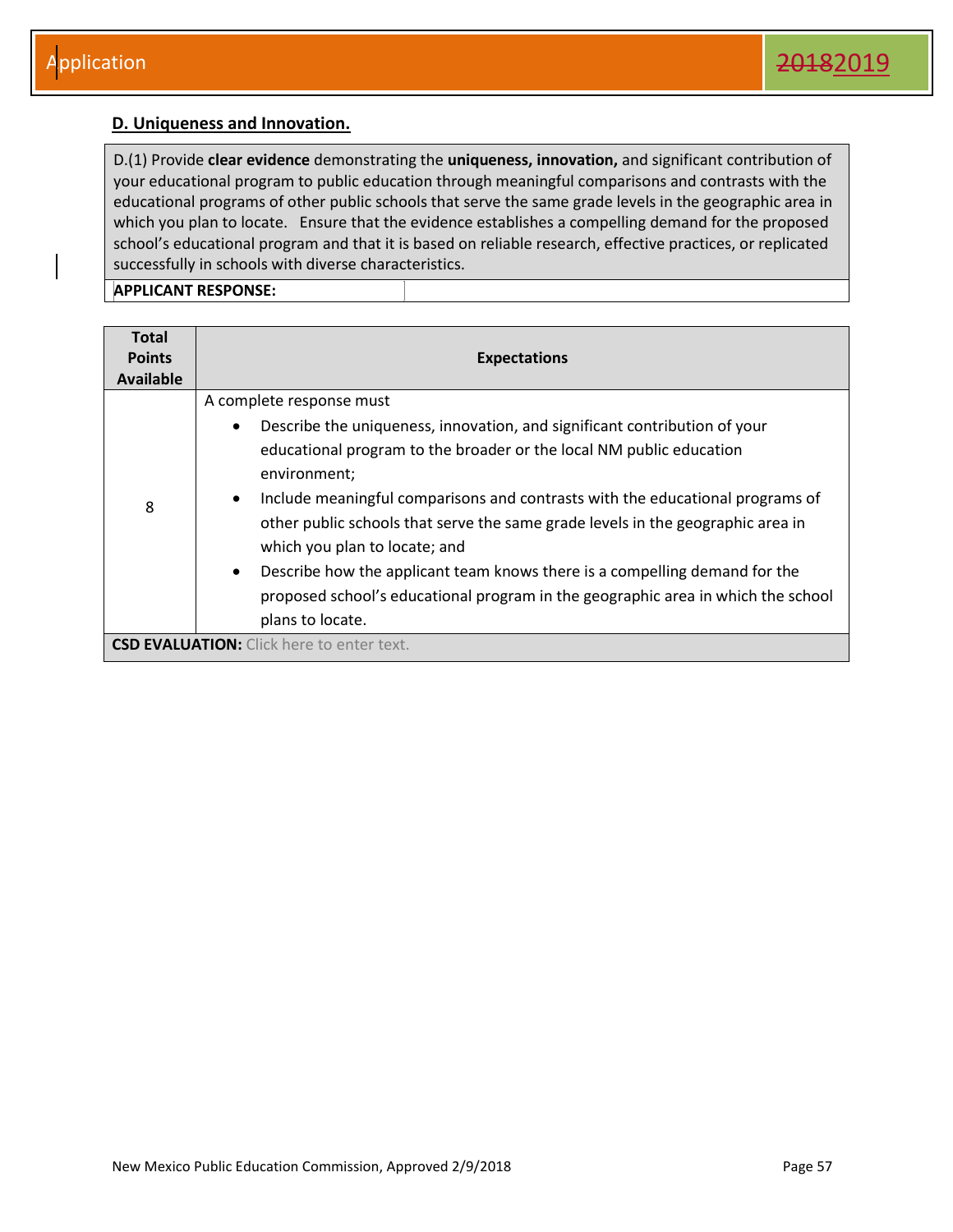#### <span id="page-57-0"></span>**D. Uniqueness and Innovation.**

D.(1) Provide **clear evidence** demonstrating the **uniqueness, innovation,** and significant contribution of your educational program to public education through meaningful comparisons and contrasts with the educational programs of other public schools that serve the same grade levels in the geographic area in which you plan to locate. Ensure that the evidence establishes a compelling demand for the proposed school's educational program and that it is based on reliable research, effective practices, or replicated successfully in schools with diverse characteristics.

| <b>Total</b><br><b>Points</b><br>Available       | <b>Expectations</b>                                                                                                                                                                                                                                                                                                                                                                                                                                                                                                                                                                                                            |  |  |
|--------------------------------------------------|--------------------------------------------------------------------------------------------------------------------------------------------------------------------------------------------------------------------------------------------------------------------------------------------------------------------------------------------------------------------------------------------------------------------------------------------------------------------------------------------------------------------------------------------------------------------------------------------------------------------------------|--|--|
| 8                                                | A complete response must<br>Describe the uniqueness, innovation, and significant contribution of your<br>$\bullet$<br>educational program to the broader or the local NM public education<br>environment;<br>Include meaningful comparisons and contrasts with the educational programs of<br>$\bullet$<br>other public schools that serve the same grade levels in the geographic area in<br>which you plan to locate; and<br>Describe how the applicant team knows there is a compelling demand for the<br>$\bullet$<br>proposed school's educational program in the geographic area in which the school<br>plans to locate. |  |  |
| <b>CSD EVALUATION:</b> Click here to enter text. |                                                                                                                                                                                                                                                                                                                                                                                                                                                                                                                                                                                                                                |  |  |